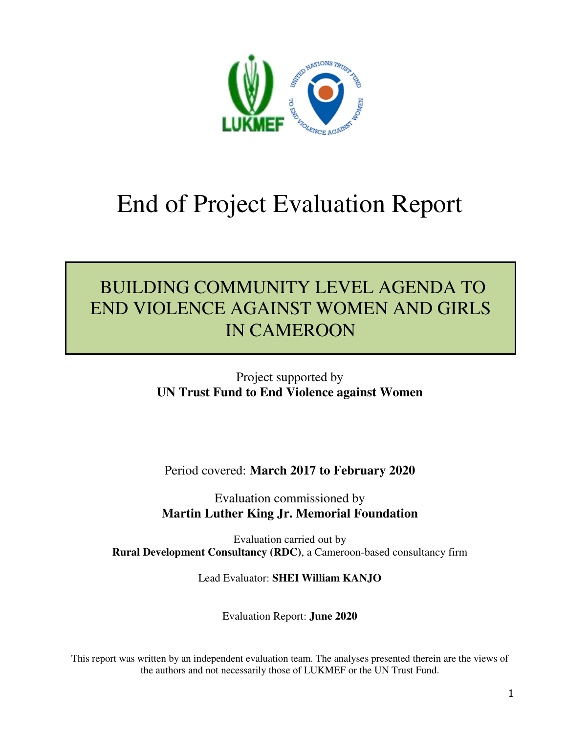

# End of Project Evaluation Report

## BUILDING COMMUNITY LEVEL AGENDA TO END VIOLENCE AGAINST WOMEN AND GIRLS IN CAMEROON

Project supported by **UN Trust Fund to End Violence against Women**

Period covered: **March 2017 to February 2020**

Evaluation commissioned by **Martin Luther King Jr. Memorial Foundation**

Evaluation carried out by **Rural Development Consultancy (RDC)**, a Cameroon-based consultancy firm

Lead Evaluator: **SHEI William KANJO** 

Evaluation Report: **June 2020** 

This report was written by an independent evaluation team. The analyses presented therein are the views of the authors and not necessarily those of LUKMEF or the UN Trust Fund.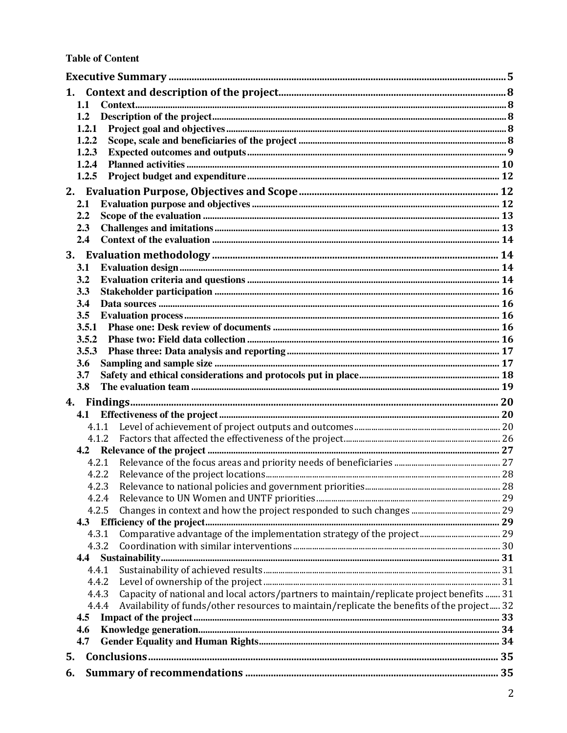| 1.    |                                                                                                     |  |
|-------|-----------------------------------------------------------------------------------------------------|--|
| 1.1   |                                                                                                     |  |
| 1.2   |                                                                                                     |  |
| 1.2.1 |                                                                                                     |  |
| 1.2.2 |                                                                                                     |  |
| 1.2.3 |                                                                                                     |  |
| 1.2.4 |                                                                                                     |  |
| 1.2.5 |                                                                                                     |  |
|       |                                                                                                     |  |
| 2.1   |                                                                                                     |  |
| 2.2   |                                                                                                     |  |
| 2.3   |                                                                                                     |  |
| 2.4   |                                                                                                     |  |
|       |                                                                                                     |  |
| 3.1   |                                                                                                     |  |
| 3.2   |                                                                                                     |  |
| 3.3   |                                                                                                     |  |
| 3.4   |                                                                                                     |  |
| 3.5   |                                                                                                     |  |
| 3.5.1 |                                                                                                     |  |
| 3.5.2 |                                                                                                     |  |
| 3.5.3 |                                                                                                     |  |
| 3.6   |                                                                                                     |  |
| 3.7   |                                                                                                     |  |
| 3.8   |                                                                                                     |  |
|       |                                                                                                     |  |
| 4.1   |                                                                                                     |  |
|       | 4.1.1                                                                                               |  |
|       |                                                                                                     |  |
|       |                                                                                                     |  |
|       |                                                                                                     |  |
|       | 4.2.2                                                                                               |  |
|       | 4.2.3                                                                                               |  |
|       | 4.2.4                                                                                               |  |
|       | 4.2.5                                                                                               |  |
|       |                                                                                                     |  |
|       | 4.3.1                                                                                               |  |
|       | 4.3.2                                                                                               |  |
| 4.4   |                                                                                                     |  |
|       | 4.4.1                                                                                               |  |
|       | 4.4.2                                                                                               |  |
|       | Capacity of national and local actors/partners to maintain/replicate project benefits  31<br>4.4.3  |  |
|       | Availability of funds/other resources to maintain/replicate the benefits of the project 32<br>4.4.4 |  |
| 4.5   |                                                                                                     |  |
| 4.6   |                                                                                                     |  |
| 4.7   |                                                                                                     |  |
| 5.    |                                                                                                     |  |
|       |                                                                                                     |  |
| 6.    |                                                                                                     |  |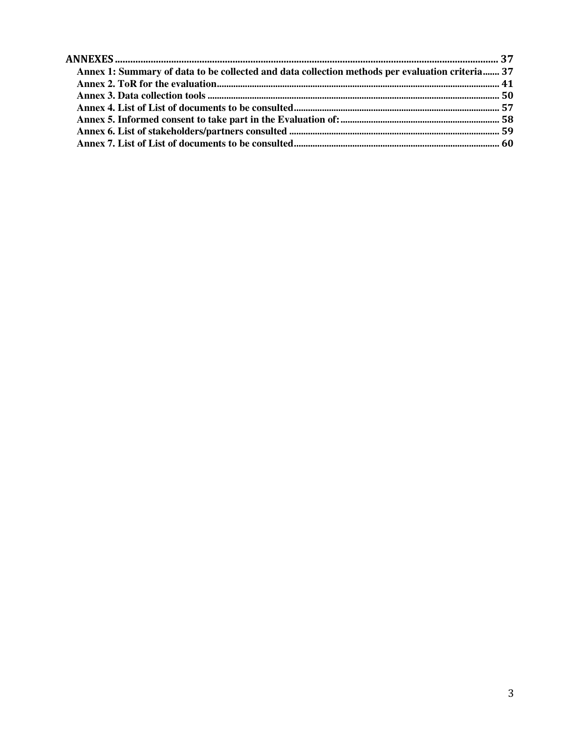| Annex 1: Summary of data to be collected and data collection methods per evaluation criteria 37 |  |
|-------------------------------------------------------------------------------------------------|--|
|                                                                                                 |  |
|                                                                                                 |  |
|                                                                                                 |  |
|                                                                                                 |  |
|                                                                                                 |  |
|                                                                                                 |  |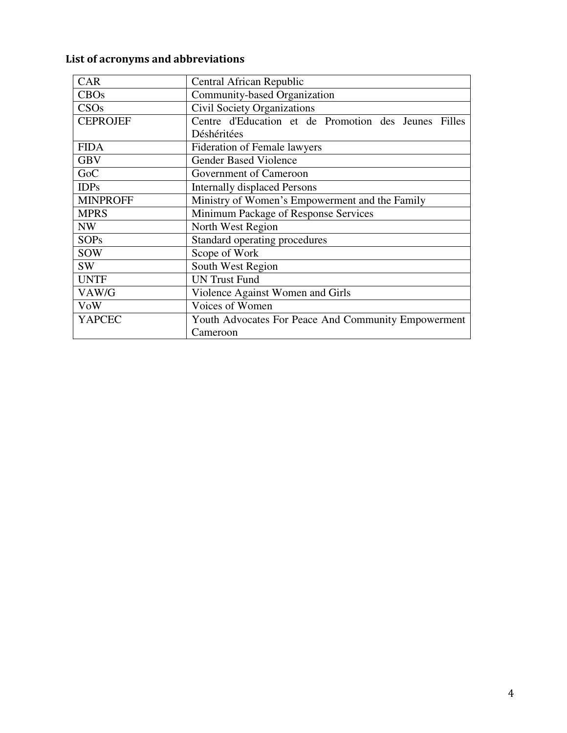## **List of acronyms and abbreviations**

| CAR             | Central African Republic                             |  |  |  |
|-----------------|------------------------------------------------------|--|--|--|
| CBOs            | Community-based Organization                         |  |  |  |
| CSOs            | <b>Civil Society Organizations</b>                   |  |  |  |
| <b>CEPROJEF</b> | Centre d'Education et de Promotion des Jeunes Filles |  |  |  |
|                 | Déshéritées                                          |  |  |  |
| <b>FIDA</b>     | <b>Fideration of Female lawyers</b>                  |  |  |  |
| <b>GBV</b>      | <b>Gender Based Violence</b>                         |  |  |  |
| GoC             | Government of Cameroon                               |  |  |  |
| IDPs            | <b>Internally displaced Persons</b>                  |  |  |  |
| <b>MINPROFF</b> | Ministry of Women's Empowerment and the Family       |  |  |  |
| <b>MPRS</b>     | Minimum Package of Response Services                 |  |  |  |
| <b>NW</b>       | North West Region                                    |  |  |  |
| <b>SOPs</b>     | Standard operating procedures                        |  |  |  |
| <b>SOW</b>      | Scope of Work                                        |  |  |  |
| <b>SW</b>       | South West Region                                    |  |  |  |
| <b>UNTF</b>     | <b>UN Trust Fund</b>                                 |  |  |  |
| VAW/G           | Violence Against Women and Girls                     |  |  |  |
| <b>VoW</b>      | Voices of Women                                      |  |  |  |
| <b>YAPCEC</b>   | Youth Advocates For Peace And Community Empowerment  |  |  |  |
|                 | Cameroon                                             |  |  |  |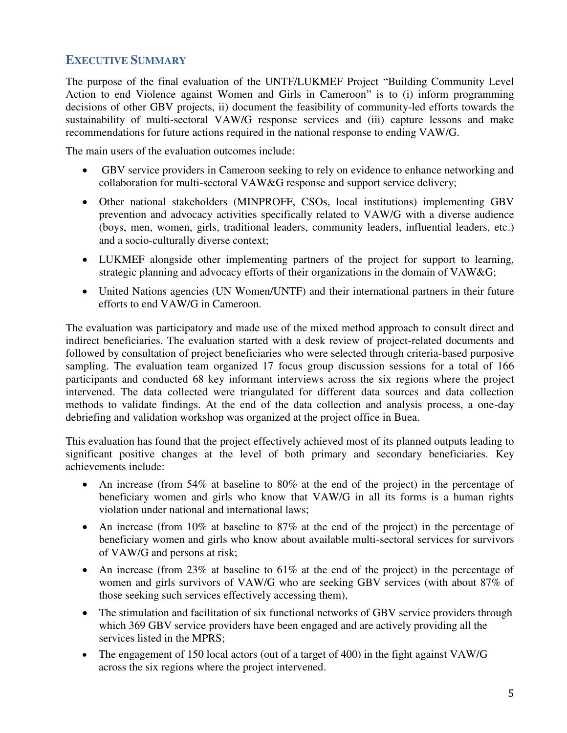## **EXECUTIVE SUMMARY**

The purpose of the final evaluation of the UNTF/LUKMEF Project "Building Community Level Action to end Violence against Women and Girls in Cameroon" is to (i) inform programming decisions of other GBV projects, ii) document the feasibility of community-led efforts towards the sustainability of multi-sectoral VAW/G response services and (iii) capture lessons and make recommendations for future actions required in the national response to ending VAW/G.

The main users of the evaluation outcomes include:

- GBV service providers in Cameroon seeking to rely on evidence to enhance networking and collaboration for multi-sectoral VAW&G response and support service delivery;
- Other national stakeholders (MINPROFF, CSOs, local institutions) implementing GBV prevention and advocacy activities specifically related to VAW/G with a diverse audience (boys, men, women, girls, traditional leaders, community leaders, influential leaders, etc.) and a socio-culturally diverse context;
- LUKMEF alongside other implementing partners of the project for support to learning, strategic planning and advocacy efforts of their organizations in the domain of VAW&G;
- United Nations agencies (UN Women/UNTF) and their international partners in their future efforts to end VAW/G in Cameroon.

The evaluation was participatory and made use of the mixed method approach to consult direct and indirect beneficiaries. The evaluation started with a desk review of project-related documents and followed by consultation of project beneficiaries who were selected through criteria-based purposive sampling. The evaluation team organized 17 focus group discussion sessions for a total of 166 participants and conducted 68 key informant interviews across the six regions where the project intervened. The data collected were triangulated for different data sources and data collection methods to validate findings. At the end of the data collection and analysis process, a one-day debriefing and validation workshop was organized at the project office in Buea.

This evaluation has found that the project effectively achieved most of its planned outputs leading to significant positive changes at the level of both primary and secondary beneficiaries. Key achievements include:

- An increase (from 54% at baseline to 80% at the end of the project) in the percentage of beneficiary women and girls who know that VAW/G in all its forms is a human rights violation under national and international laws;
- An increase (from 10% at baseline to 87% at the end of the project) in the percentage of beneficiary women and girls who know about available multi-sectoral services for survivors of VAW/G and persons at risk;
- An increase (from 23% at baseline to 61% at the end of the project) in the percentage of women and girls survivors of VAW/G who are seeking GBV services (with about 87% of those seeking such services effectively accessing them),
- The stimulation and facilitation of six functional networks of GBV service providers through which 369 GBV service providers have been engaged and are actively providing all the services listed in the MPRS;
- The engagement of 150 local actors (out of a target of 400) in the fight against VAW/G across the six regions where the project intervened.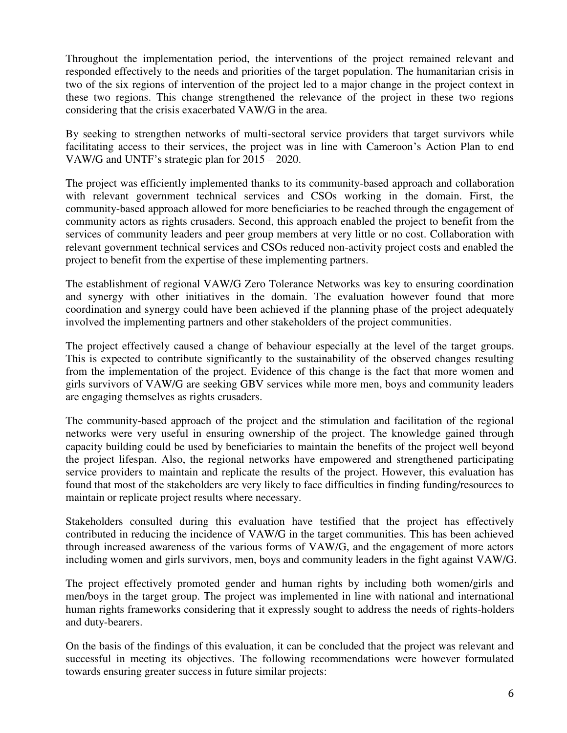Throughout the implementation period, the interventions of the project remained relevant and responded effectively to the needs and priorities of the target population. The humanitarian crisis in two of the six regions of intervention of the project led to a major change in the project context in these two regions. This change strengthened the relevance of the project in these two regions considering that the crisis exacerbated VAW/G in the area.

By seeking to strengthen networks of multi-sectoral service providers that target survivors while facilitating access to their services, the project was in line with Cameroon's Action Plan to end VAW/G and UNTF's strategic plan for 2015 – 2020.

The project was efficiently implemented thanks to its community-based approach and collaboration with relevant government technical services and CSOs working in the domain. First, the community-based approach allowed for more beneficiaries to be reached through the engagement of community actors as rights crusaders. Second, this approach enabled the project to benefit from the services of community leaders and peer group members at very little or no cost. Collaboration with relevant government technical services and CSOs reduced non-activity project costs and enabled the project to benefit from the expertise of these implementing partners.

The establishment of regional VAW/G Zero Tolerance Networks was key to ensuring coordination and synergy with other initiatives in the domain. The evaluation however found that more coordination and synergy could have been achieved if the planning phase of the project adequately involved the implementing partners and other stakeholders of the project communities.

The project effectively caused a change of behaviour especially at the level of the target groups. This is expected to contribute significantly to the sustainability of the observed changes resulting from the implementation of the project. Evidence of this change is the fact that more women and girls survivors of VAW/G are seeking GBV services while more men, boys and community leaders are engaging themselves as rights crusaders.

The community-based approach of the project and the stimulation and facilitation of the regional networks were very useful in ensuring ownership of the project. The knowledge gained through capacity building could be used by beneficiaries to maintain the benefits of the project well beyond the project lifespan. Also, the regional networks have empowered and strengthened participating service providers to maintain and replicate the results of the project. However, this evaluation has found that most of the stakeholders are very likely to face difficulties in finding funding/resources to maintain or replicate project results where necessary.

Stakeholders consulted during this evaluation have testified that the project has effectively contributed in reducing the incidence of VAW/G in the target communities. This has been achieved through increased awareness of the various forms of VAW/G, and the engagement of more actors including women and girls survivors, men, boys and community leaders in the fight against VAW/G.

The project effectively promoted gender and human rights by including both women/girls and men/boys in the target group. The project was implemented in line with national and international human rights frameworks considering that it expressly sought to address the needs of rights-holders and duty-bearers.

On the basis of the findings of this evaluation, it can be concluded that the project was relevant and successful in meeting its objectives. The following recommendations were however formulated towards ensuring greater success in future similar projects: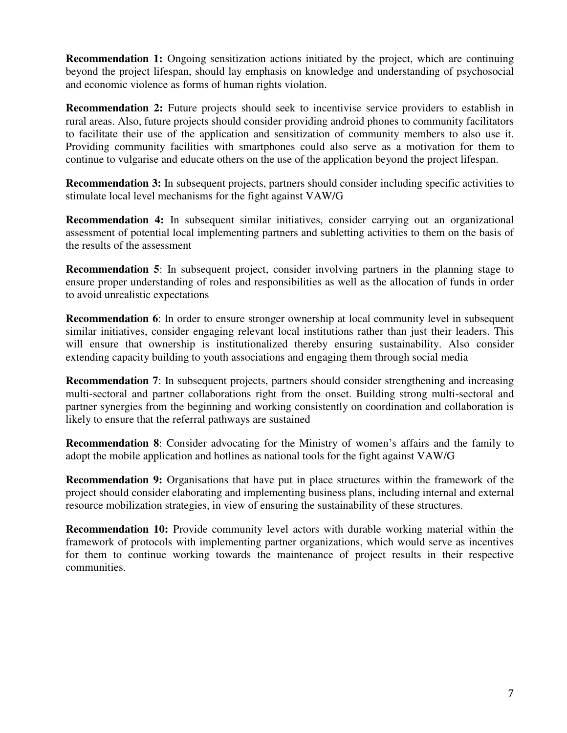**Recommendation 1:** Ongoing sensitization actions initiated by the project, which are continuing beyond the project lifespan, should lay emphasis on knowledge and understanding of psychosocial and economic violence as forms of human rights violation.

**Recommendation 2:** Future projects should seek to incentivise service providers to establish in rural areas. Also, future projects should consider providing android phones to community facilitators to facilitate their use of the application and sensitization of community members to also use it. Providing community facilities with smartphones could also serve as a motivation for them to continue to vulgarise and educate others on the use of the application beyond the project lifespan.

**Recommendation 3:** In subsequent projects, partners should consider including specific activities to stimulate local level mechanisms for the fight against VAW/G

**Recommendation 4:** In subsequent similar initiatives, consider carrying out an organizational assessment of potential local implementing partners and subletting activities to them on the basis of the results of the assessment

**Recommendation 5**: In subsequent project, consider involving partners in the planning stage to ensure proper understanding of roles and responsibilities as well as the allocation of funds in order to avoid unrealistic expectations

**Recommendation 6:** In order to ensure stronger ownership at local community level in subsequent similar initiatives, consider engaging relevant local institutions rather than just their leaders. This will ensure that ownership is institutionalized thereby ensuring sustainability. Also consider extending capacity building to youth associations and engaging them through social media

**Recommendation 7**: In subsequent projects, partners should consider strengthening and increasing multi-sectoral and partner collaborations right from the onset. Building strong multi-sectoral and partner synergies from the beginning and working consistently on coordination and collaboration is likely to ensure that the referral pathways are sustained

**Recommendation 8**: Consider advocating for the Ministry of women's affairs and the family to adopt the mobile application and hotlines as national tools for the fight against VAW/G

**Recommendation 9:** Organisations that have put in place structures within the framework of the project should consider elaborating and implementing business plans, including internal and external resource mobilization strategies, in view of ensuring the sustainability of these structures.

**Recommendation 10:** Provide community level actors with durable working material within the framework of protocols with implementing partner organizations, which would serve as incentives for them to continue working towards the maintenance of project results in their respective communities.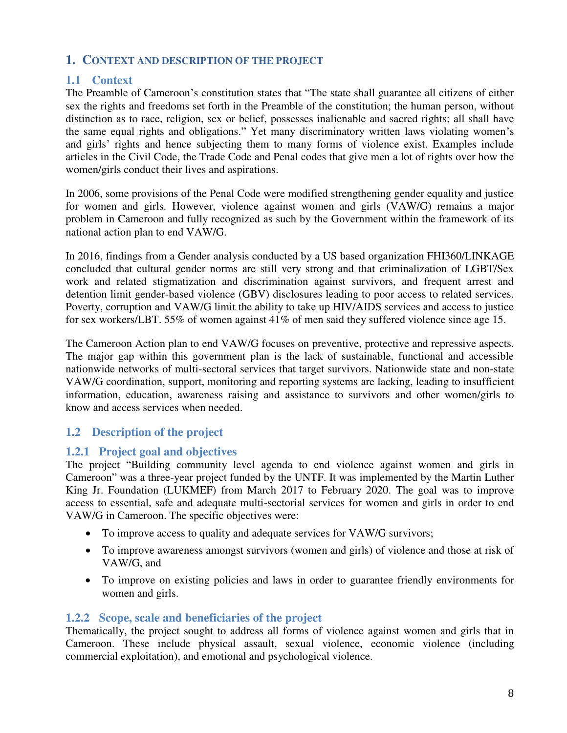#### **1. CONTEXT AND DESCRIPTION OF THE PROJECT**

#### **1.1 Context**

The Preamble of Cameroon's constitution states that "The state shall guarantee all citizens of either sex the rights and freedoms set forth in the Preamble of the constitution; the human person, without distinction as to race, religion, sex or belief, possesses inalienable and sacred rights; all shall have the same equal rights and obligations." Yet many discriminatory written laws violating women's and girls' rights and hence subjecting them to many forms of violence exist. Examples include articles in the Civil Code, the Trade Code and Penal codes that give men a lot of rights over how the women/girls conduct their lives and aspirations.

In 2006, some provisions of the Penal Code were modified strengthening gender equality and justice for women and girls. However, violence against women and girls (VAW/G) remains a major problem in Cameroon and fully recognized as such by the Government within the framework of its national action plan to end VAW/G.

In 2016, findings from a Gender analysis conducted by a US based organization FHI360/LINKAGE concluded that cultural gender norms are still very strong and that criminalization of LGBT/Sex work and related stigmatization and discrimination against survivors, and frequent arrest and detention limit gender-based violence (GBV) disclosures leading to poor access to related services. Poverty, corruption and VAW/G limit the ability to take up HIV/AIDS services and access to justice for sex workers/LBT. 55% of women against 41% of men said they suffered violence since age 15.

The Cameroon Action plan to end VAW/G focuses on preventive, protective and repressive aspects. The major gap within this government plan is the lack of sustainable, functional and accessible nationwide networks of multi-sectoral services that target survivors. Nationwide state and non-state VAW/G coordination, support, monitoring and reporting systems are lacking, leading to insufficient information, education, awareness raising and assistance to survivors and other women/girls to know and access services when needed.

#### **1.2 Description of the project**

#### **1.2.1 Project goal and objectives**

The project "Building community level agenda to end violence against women and girls in Cameroon" was a three-year project funded by the UNTF. It was implemented by the Martin Luther King Jr. Foundation (LUKMEF) from March 2017 to February 2020. The goal was to improve access to essential, safe and adequate multi-sectorial services for women and girls in order to end VAW/G in Cameroon. The specific objectives were:

- To improve access to quality and adequate services for VAW/G survivors;
- To improve awareness amongst survivors (women and girls) of violence and those at risk of VAW/G, and
- To improve on existing policies and laws in order to guarantee friendly environments for women and girls.

#### **1.2.2 Scope, scale and beneficiaries of the project**

Thematically, the project sought to address all forms of violence against women and girls that in Cameroon. These include physical assault, sexual violence, economic violence (including commercial exploitation), and emotional and psychological violence.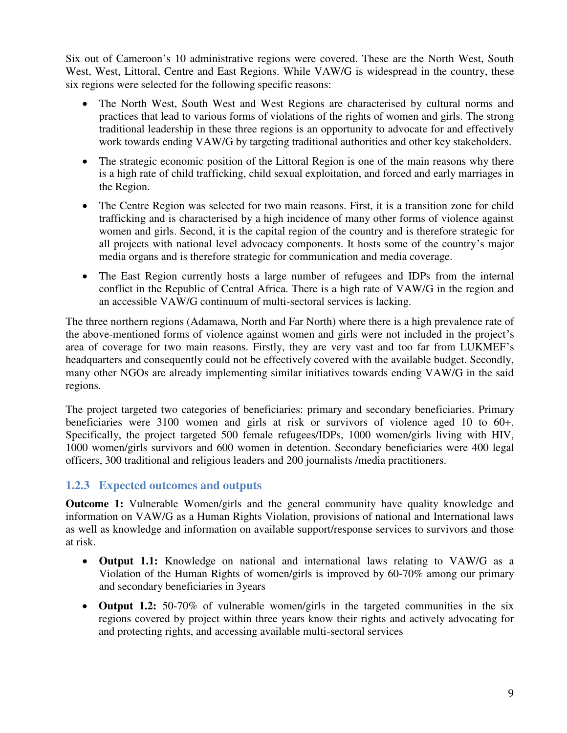Six out of Cameroon's 10 administrative regions were covered. These are the North West, South West, West, Littoral, Centre and East Regions. While VAW/G is widespread in the country, these six regions were selected for the following specific reasons:

- The North West, South West and West Regions are characterised by cultural norms and practices that lead to various forms of violations of the rights of women and girls. The strong traditional leadership in these three regions is an opportunity to advocate for and effectively work towards ending VAW/G by targeting traditional authorities and other key stakeholders.
- The strategic economic position of the Littoral Region is one of the main reasons why there is a high rate of child trafficking, child sexual exploitation, and forced and early marriages in the Region.
- The Centre Region was selected for two main reasons. First, it is a transition zone for child trafficking and is characterised by a high incidence of many other forms of violence against women and girls. Second, it is the capital region of the country and is therefore strategic for all projects with national level advocacy components. It hosts some of the country's major media organs and is therefore strategic for communication and media coverage.
- The East Region currently hosts a large number of refugees and IDPs from the internal conflict in the Republic of Central Africa. There is a high rate of VAW/G in the region and an accessible VAW/G continuum of multi-sectoral services is lacking.

The three northern regions (Adamawa, North and Far North) where there is a high prevalence rate of the above-mentioned forms of violence against women and girls were not included in the project's area of coverage for two main reasons. Firstly, they are very vast and too far from LUKMEF's headquarters and consequently could not be effectively covered with the available budget. Secondly, many other NGOs are already implementing similar initiatives towards ending VAW/G in the said regions.

The project targeted two categories of beneficiaries: primary and secondary beneficiaries. Primary beneficiaries were 3100 women and girls at risk or survivors of violence aged 10 to 60+. Specifically, the project targeted 500 female refugees/IDPs, 1000 women/girls living with HIV, 1000 women/girls survivors and 600 women in detention. Secondary beneficiaries were 400 legal officers, 300 traditional and religious leaders and 200 journalists /media practitioners.

#### **1.2.3 Expected outcomes and outputs**

**Outcome 1:** Vulnerable Women/girls and the general community have quality knowledge and information on VAW/G as a Human Rights Violation, provisions of national and International laws as well as knowledge and information on available support/response services to survivors and those at risk.

- **Output 1.1:** Knowledge on national and international laws relating to VAW/G as a Violation of the Human Rights of women/girls is improved by 60-70% among our primary and secondary beneficiaries in 3years
- **Output 1.2:** 50-70% of vulnerable women/girls in the targeted communities in the six regions covered by project within three years know their rights and actively advocating for and protecting rights, and accessing available multi-sectoral services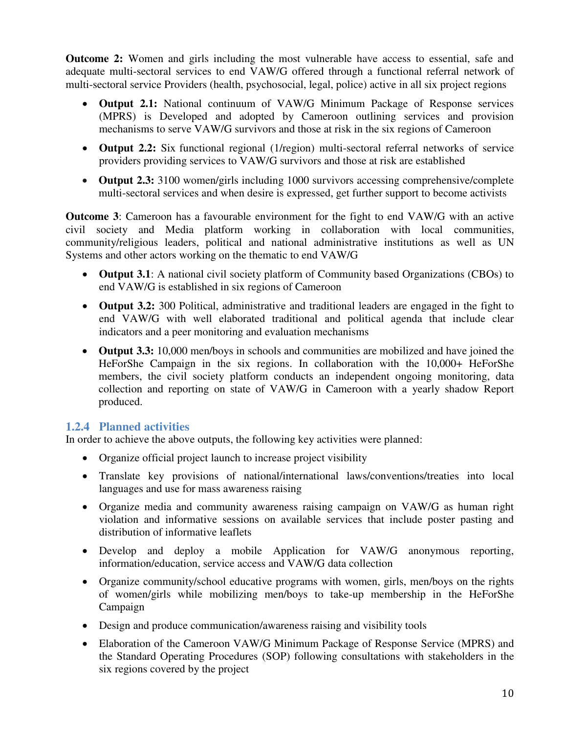**Outcome 2:** Women and girls including the most vulnerable have access to essential, safe and adequate multi-sectoral services to end VAW/G offered through a functional referral network of multi-sectoral service Providers (health, psychosocial, legal, police) active in all six project regions

- **Output 2.1:** National continuum of VAW/G Minimum Package of Response services (MPRS) is Developed and adopted by Cameroon outlining services and provision mechanisms to serve VAW/G survivors and those at risk in the six regions of Cameroon
- **Output 2.2:** Six functional regional (1/region) multi-sectoral referral networks of service providers providing services to VAW/G survivors and those at risk are established
- **Output 2.3:** 3100 women/girls including 1000 survivors accessing comprehensive/complete multi-sectoral services and when desire is expressed, get further support to become activists

**Outcome 3**: Cameroon has a favourable environment for the fight to end VAW/G with an active civil society and Media platform working in collaboration with local communities, community/religious leaders, political and national administrative institutions as well as UN Systems and other actors working on the thematic to end VAW/G

- **Output 3.1**: A national civil society platform of Community based Organizations (CBOs) to end VAW/G is established in six regions of Cameroon
- **Output 3.2:** 300 Political, administrative and traditional leaders are engaged in the fight to end VAW/G with well elaborated traditional and political agenda that include clear indicators and a peer monitoring and evaluation mechanisms
- **Output 3.3:** 10,000 men/boys in schools and communities are mobilized and have joined the HeForShe Campaign in the six regions. In collaboration with the 10,000+ HeForShe members, the civil society platform conducts an independent ongoing monitoring, data collection and reporting on state of VAW/G in Cameroon with a yearly shadow Report produced.

#### **1.2.4 Planned activities**

In order to achieve the above outputs, the following key activities were planned:

- Organize official project launch to increase project visibility
- Translate key provisions of national/international laws/conventions/treaties into local languages and use for mass awareness raising
- Organize media and community awareness raising campaign on VAW/G as human right violation and informative sessions on available services that include poster pasting and distribution of informative leaflets
- Develop and deploy a mobile Application for VAW/G anonymous reporting, information/education, service access and VAW/G data collection
- Organize community/school educative programs with women, girls, men/boys on the rights of women/girls while mobilizing men/boys to take-up membership in the HeForShe Campaign
- Design and produce communication/awareness raising and visibility tools
- Elaboration of the Cameroon VAW/G Minimum Package of Response Service (MPRS) and the Standard Operating Procedures (SOP) following consultations with stakeholders in the six regions covered by the project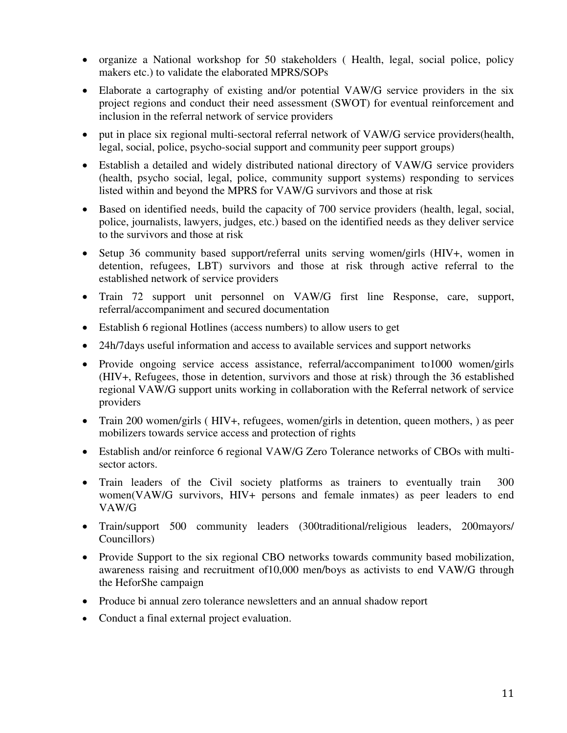- organize a National workshop for 50 stakeholders (Health, legal, social police, policy makers etc.) to validate the elaborated MPRS/SOPs
- Elaborate a cartography of existing and/or potential VAW/G service providers in the six project regions and conduct their need assessment (SWOT) for eventual reinforcement and inclusion in the referral network of service providers
- put in place six regional multi-sectoral referral network of VAW/G service providers(health, legal, social, police, psycho-social support and community peer support groups)
- Establish a detailed and widely distributed national directory of VAW/G service providers (health, psycho social, legal, police, community support systems) responding to services listed within and beyond the MPRS for VAW/G survivors and those at risk
- Based on identified needs, build the capacity of 700 service providers (health, legal, social, police, journalists, lawyers, judges, etc.) based on the identified needs as they deliver service to the survivors and those at risk
- Setup 36 community based support/referral units serving women/girls (HIV+, women in detention, refugees, LBT) survivors and those at risk through active referral to the established network of service providers
- Train 72 support unit personnel on VAW/G first line Response, care, support, referral/accompaniment and secured documentation
- Establish 6 regional Hotlines (access numbers) to allow users to get
- 24h/7 days useful information and access to available services and support networks
- Provide ongoing service access assistance, referral/accompaniment to1000 women/girls (HIV+, Refugees, those in detention, survivors and those at risk) through the 36 established regional VAW/G support units working in collaboration with the Referral network of service providers
- Train 200 women/girls ( HIV+, refugees, women/girls in detention, queen mothers, ) as peer mobilizers towards service access and protection of rights
- Establish and/or reinforce 6 regional VAW/G Zero Tolerance networks of CBOs with multisector actors.
- Train leaders of the Civil society platforms as trainers to eventually train 300 women(VAW/G survivors, HIV+ persons and female inmates) as peer leaders to end VAW/G
- Train/support 500 community leaders (300traditional/religious leaders, 200mayors/ Councillors)
- Provide Support to the six regional CBO networks towards community based mobilization, awareness raising and recruitment of10,000 men/boys as activists to end VAW/G through the HeforShe campaign
- Produce bi annual zero tolerance newsletters and an annual shadow report
- Conduct a final external project evaluation.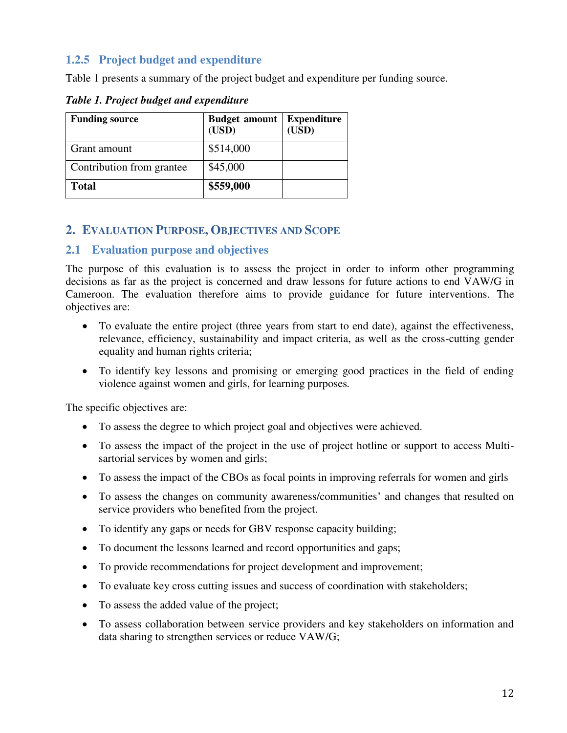#### **1.2.5 Project budget and expenditure**

Table 1 presents a summary of the project budget and expenditure per funding source.

*Table 1. Project budget and expenditure* 

| <b>Funding source</b>     | <b>Budget amount</b><br>(USD) | <b>Expenditure</b><br>(USD) |
|---------------------------|-------------------------------|-----------------------------|
| Grant amount              | \$514,000                     |                             |
| Contribution from grantee | \$45,000                      |                             |
| <b>Total</b>              | \$559,000                     |                             |

#### **2. EVALUATION PURPOSE, OBJECTIVES AND SCOPE**

#### **2.1 Evaluation purpose and objectives**

The purpose of this evaluation is to assess the project in order to inform other programming decisions as far as the project is concerned and draw lessons for future actions to end VAW/G in Cameroon. The evaluation therefore aims to provide guidance for future interventions. The objectives are:

- To evaluate the entire project (three years from start to end date), against the effectiveness, relevance, efficiency, sustainability and impact criteria, as well as the cross-cutting gender equality and human rights criteria;
- To identify key lessons and promising or emerging good practices in the field of ending violence against women and girls, for learning purposes*.*

The specific objectives are:

- To assess the degree to which project goal and objectives were achieved.
- To assess the impact of the project in the use of project hotline or support to access Multisartorial services by women and girls;
- To assess the impact of the CBOs as focal points in improving referrals for women and girls
- To assess the changes on community awareness/communities' and changes that resulted on service providers who benefited from the project.
- To identify any gaps or needs for GBV response capacity building;
- To document the lessons learned and record opportunities and gaps;
- To provide recommendations for project development and improvement;
- To evaluate key cross cutting issues and success of coordination with stakeholders;
- To assess the added value of the project;
- To assess collaboration between service providers and key stakeholders on information and data sharing to strengthen services or reduce VAW/G;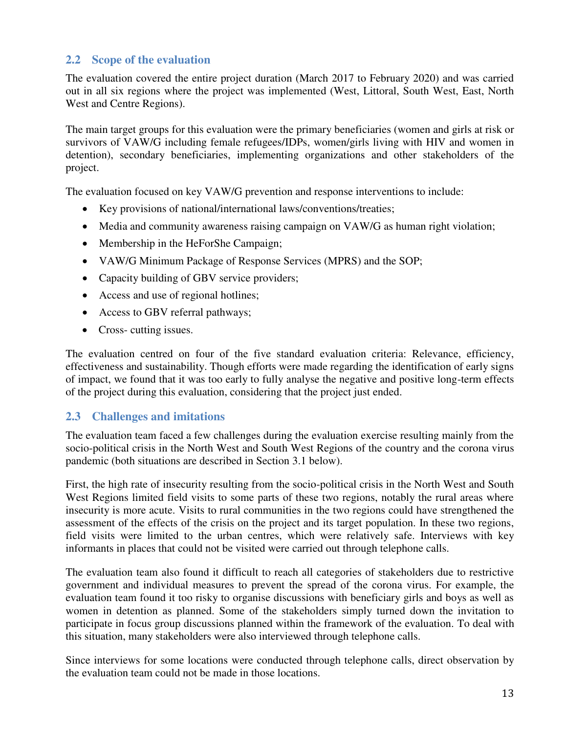#### **2.2 Scope of the evaluation**

The evaluation covered the entire project duration (March 2017 to February 2020) and was carried out in all six regions where the project was implemented (West, Littoral, South West, East, North West and Centre Regions).

The main target groups for this evaluation were the primary beneficiaries (women and girls at risk or survivors of VAW/G including female refugees/IDPs, women/girls living with HIV and women in detention), secondary beneficiaries, implementing organizations and other stakeholders of the project.

The evaluation focused on key VAW/G prevention and response interventions to include:

- Key provisions of national/international laws/conventions/treaties;
- Media and community awareness raising campaign on VAW/G as human right violation;
- Membership in the HeForShe Campaign;
- VAW/G Minimum Package of Response Services (MPRS) and the SOP;
- Capacity building of GBV service providers;
- Access and use of regional hotlines;
- Access to GBV referral pathways;
- Cross- cutting issues.

The evaluation centred on four of the five standard evaluation criteria: Relevance, efficiency, effectiveness and sustainability. Though efforts were made regarding the identification of early signs of impact, we found that it was too early to fully analyse the negative and positive long-term effects of the project during this evaluation, considering that the project just ended.

#### **2.3 Challenges and imitations**

The evaluation team faced a few challenges during the evaluation exercise resulting mainly from the socio-political crisis in the North West and South West Regions of the country and the corona virus pandemic (both situations are described in Section 3.1 below).

First, the high rate of insecurity resulting from the socio-political crisis in the North West and South West Regions limited field visits to some parts of these two regions, notably the rural areas where insecurity is more acute. Visits to rural communities in the two regions could have strengthened the assessment of the effects of the crisis on the project and its target population. In these two regions, field visits were limited to the urban centres, which were relatively safe. Interviews with key informants in places that could not be visited were carried out through telephone calls.

The evaluation team also found it difficult to reach all categories of stakeholders due to restrictive government and individual measures to prevent the spread of the corona virus. For example, the evaluation team found it too risky to organise discussions with beneficiary girls and boys as well as women in detention as planned. Some of the stakeholders simply turned down the invitation to participate in focus group discussions planned within the framework of the evaluation. To deal with this situation, many stakeholders were also interviewed through telephone calls.

Since interviews for some locations were conducted through telephone calls, direct observation by the evaluation team could not be made in those locations.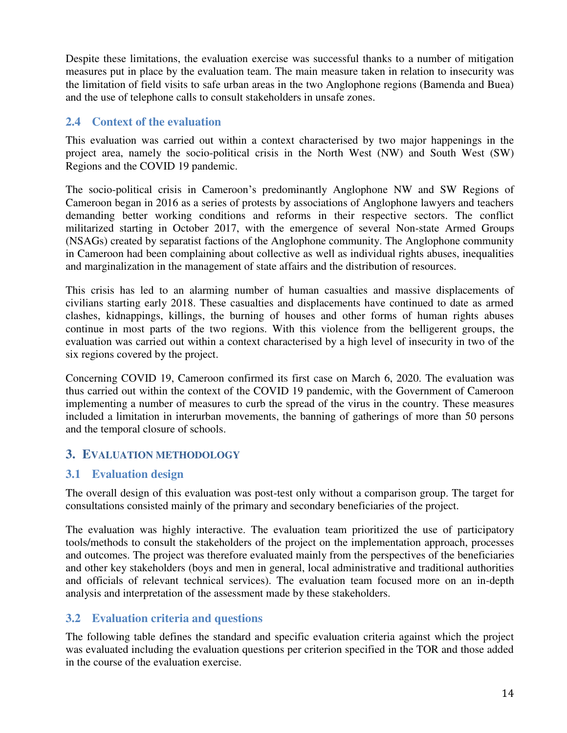Despite these limitations, the evaluation exercise was successful thanks to a number of mitigation measures put in place by the evaluation team. The main measure taken in relation to insecurity was the limitation of field visits to safe urban areas in the two Anglophone regions (Bamenda and Buea) and the use of telephone calls to consult stakeholders in unsafe zones.

#### **2.4 Context of the evaluation**

This evaluation was carried out within a context characterised by two major happenings in the project area, namely the socio-political crisis in the North West (NW) and South West (SW) Regions and the COVID 19 pandemic.

The socio-political crisis in Cameroon's predominantly Anglophone NW and SW Regions of Cameroon began in 2016 as a series of protests by associations of Anglophone lawyers and teachers demanding better working conditions and reforms in their respective sectors. The conflict militarized starting in October 2017, with the emergence of several Non-state Armed Groups (NSAGs) created by separatist factions of the Anglophone community. The Anglophone community in Cameroon had been complaining about collective as well as individual rights abuses, inequalities and marginalization in the management of state affairs and the distribution of resources.

This crisis has led to an alarming number of human casualties and massive displacements of civilians starting early 2018. These casualties and displacements have continued to date as armed clashes, kidnappings, killings, the burning of houses and other forms of human rights abuses continue in most parts of the two regions. With this violence from the belligerent groups, the evaluation was carried out within a context characterised by a high level of insecurity in two of the six regions covered by the project.

Concerning COVID 19, Cameroon confirmed its first case on March 6, 2020. The evaluation was thus carried out within the context of the COVID 19 pandemic, with the Government of Cameroon implementing a number of measures to curb the spread of the virus in the country. These measures included a limitation in interurban movements, the banning of gatherings of more than 50 persons and the temporal closure of schools.

#### **3. EVALUATION METHODOLOGY**

#### **3.1 Evaluation design**

The overall design of this evaluation was post-test only without a comparison group. The target for consultations consisted mainly of the primary and secondary beneficiaries of the project.

The evaluation was highly interactive. The evaluation team prioritized the use of participatory tools/methods to consult the stakeholders of the project on the implementation approach, processes and outcomes. The project was therefore evaluated mainly from the perspectives of the beneficiaries and other key stakeholders (boys and men in general, local administrative and traditional authorities and officials of relevant technical services). The evaluation team focused more on an in-depth analysis and interpretation of the assessment made by these stakeholders.

#### **3.2 Evaluation criteria and questions**

The following table defines the standard and specific evaluation criteria against which the project was evaluated including the evaluation questions per criterion specified in the TOR and those added in the course of the evaluation exercise.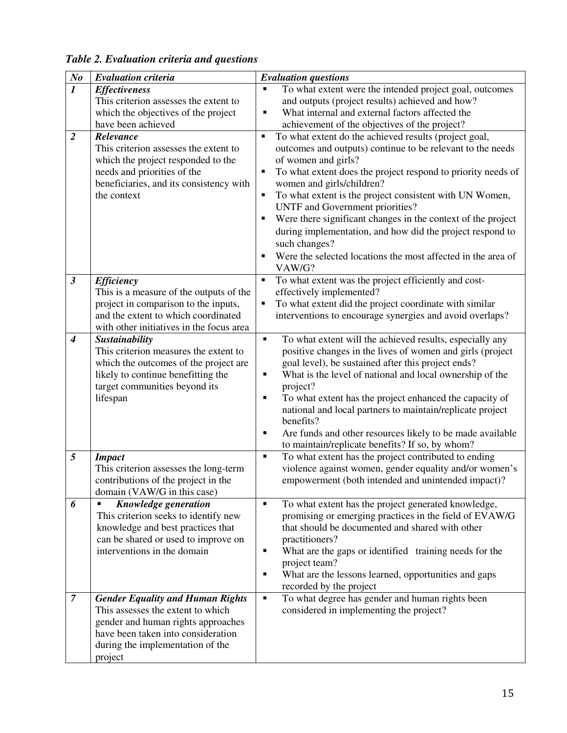*Table 2. Evaluation criteria and questions* 

| N <sub>o</sub>   | <b>Evaluation criteria</b>                                                   |                | <b>Evaluation questions</b>                                                                        |
|------------------|------------------------------------------------------------------------------|----------------|----------------------------------------------------------------------------------------------------|
| $\boldsymbol{l}$ | <b>Effectiveness</b>                                                         | $\blacksquare$ | To what extent were the intended project goal, outcomes                                            |
|                  | This criterion assesses the extent to<br>which the objectives of the project | Ξ              | and outputs (project results) achieved and how?<br>What internal and external factors affected the |
|                  | have been achieved                                                           |                | achievement of the objectives of the project?                                                      |
| $\overline{2}$   | Relevance                                                                    | ٠              | To what extent do the achieved results (project goal,                                              |
|                  | This criterion assesses the extent to                                        |                | outcomes and outputs) continue to be relevant to the needs                                         |
|                  | which the project responded to the                                           |                | of women and girls?                                                                                |
|                  | needs and priorities of the<br>beneficiaries, and its consistency with       | ٠              | To what extent does the project respond to priority needs of<br>women and girls/children?          |
|                  | the context                                                                  | $\blacksquare$ | To what extent is the project consistent with UN Women,<br>UNTF and Government priorities?         |
|                  |                                                                              | ٠              | Were there significant changes in the context of the project                                       |
|                  |                                                                              |                | during implementation, and how did the project respond to<br>such changes?                         |
|                  |                                                                              | $\blacksquare$ | Were the selected locations the most affected in the area of                                       |
|                  |                                                                              |                | VAW/G?                                                                                             |
| $\mathfrak{z}$   | <b>Efficiency</b>                                                            | $\blacksquare$ | To what extent was the project efficiently and cost-                                               |
|                  | This is a measure of the outputs of the                                      |                | effectively implemented?                                                                           |
|                  | project in comparison to the inputs,<br>and the extent to which coordinated  | ٠              | To what extent did the project coordinate with similar                                             |
|                  | with other initiatives in the focus area                                     |                | interventions to encourage synergies and avoid overlaps?                                           |
| $\boldsymbol{4}$ | <b>Sustainability</b>                                                        | $\blacksquare$ | To what extent will the achieved results, especially any                                           |
|                  | This criterion measures the extent to                                        |                | positive changes in the lives of women and girls (project                                          |
|                  | which the outcomes of the project are                                        |                | goal level), be sustained after this project ends?                                                 |
|                  | likely to continue benefitting the                                           | ٠              | What is the level of national and local ownership of the                                           |
|                  | target communities beyond its                                                |                | project?                                                                                           |
|                  | lifespan                                                                     | ٠              | To what extent has the project enhanced the capacity of                                            |
|                  |                                                                              |                | national and local partners to maintain/replicate project<br>benefits?                             |
|                  |                                                                              | $\blacksquare$ | Are funds and other resources likely to be made available                                          |
|                  |                                                                              |                | to maintain/replicate benefits? If so, by whom?                                                    |
| 5                | <b>Impact</b>                                                                | $\blacksquare$ | To what extent has the project contributed to ending                                               |
|                  | This criterion assesses the long-term                                        |                | violence against women, gender equality and/or women's                                             |
|                  | contributions of the project in the                                          |                | empowerment (both intended and unintended impact)?                                                 |
| 6                | domain (VAW/G in this case)<br>Knowledge generation                          | $\blacksquare$ | To what extent has the project generated knowledge,                                                |
|                  | This criterion seeks to identify new                                         |                | promising or emerging practices in the field of EVAW/G                                             |
|                  | knowledge and best practices that                                            |                | that should be documented and shared with other                                                    |
|                  | can be shared or used to improve on                                          |                | practitioners?                                                                                     |
|                  | interventions in the domain                                                  | п              | What are the gaps or identified training needs for the                                             |
|                  |                                                                              |                | project team?                                                                                      |
|                  |                                                                              | п              | What are the lessons learned, opportunities and gaps                                               |
| $\overline{7}$   | <b>Gender Equality and Human Rights</b>                                      | $\blacksquare$ | recorded by the project<br>To what degree has gender and human rights been                         |
|                  | This assesses the extent to which                                            |                | considered in implementing the project?                                                            |
|                  | gender and human rights approaches                                           |                |                                                                                                    |
|                  | have been taken into consideration                                           |                |                                                                                                    |
|                  | during the implementation of the                                             |                |                                                                                                    |
|                  | project                                                                      |                |                                                                                                    |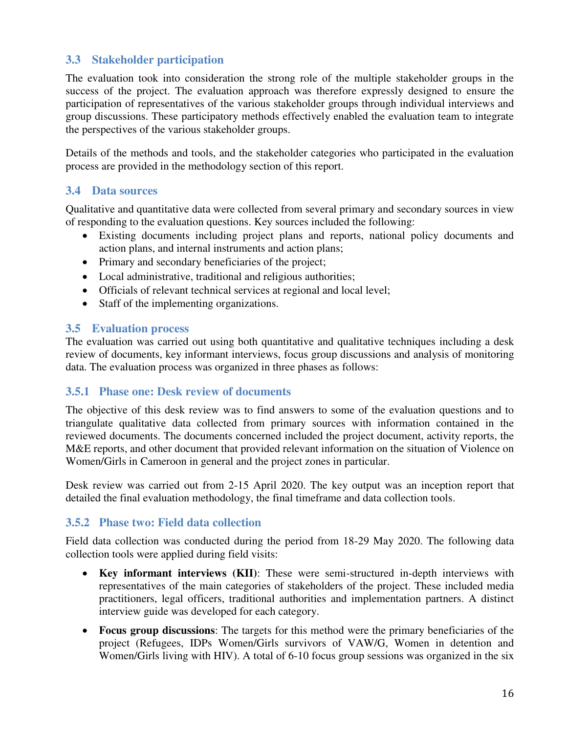#### **3.3 Stakeholder participation**

The evaluation took into consideration the strong role of the multiple stakeholder groups in the success of the project. The evaluation approach was therefore expressly designed to ensure the participation of representatives of the various stakeholder groups through individual interviews and group discussions. These participatory methods effectively enabled the evaluation team to integrate the perspectives of the various stakeholder groups.

Details of the methods and tools, and the stakeholder categories who participated in the evaluation process are provided in the methodology section of this report.

#### **3.4 Data sources**

Qualitative and quantitative data were collected from several primary and secondary sources in view of responding to the evaluation questions. Key sources included the following:

- Existing documents including project plans and reports, national policy documents and action plans, and internal instruments and action plans;
- Primary and secondary beneficiaries of the project;
- Local administrative, traditional and religious authorities;
- Officials of relevant technical services at regional and local level;
- Staff of the implementing organizations.

#### **3.5 Evaluation process**

The evaluation was carried out using both quantitative and qualitative techniques including a desk review of documents, key informant interviews, focus group discussions and analysis of monitoring data. The evaluation process was organized in three phases as follows:

#### **3.5.1 Phase one: Desk review of documents**

The objective of this desk review was to find answers to some of the evaluation questions and to triangulate qualitative data collected from primary sources with information contained in the reviewed documents. The documents concerned included the project document, activity reports, the M&E reports, and other document that provided relevant information on the situation of Violence on Women/Girls in Cameroon in general and the project zones in particular.

Desk review was carried out from 2-15 April 2020. The key output was an inception report that detailed the final evaluation methodology, the final timeframe and data collection tools.

#### **3.5.2 Phase two: Field data collection**

Field data collection was conducted during the period from 18-29 May 2020. The following data collection tools were applied during field visits:

- **Key informant interviews (KII)**: These were semi-structured in-depth interviews with representatives of the main categories of stakeholders of the project. These included media practitioners, legal officers, traditional authorities and implementation partners. A distinct interview guide was developed for each category.
- **Focus group discussions**: The targets for this method were the primary beneficiaries of the project (Refugees, IDPs Women/Girls survivors of VAW/G, Women in detention and Women/Girls living with HIV). A total of 6-10 focus group sessions was organized in the six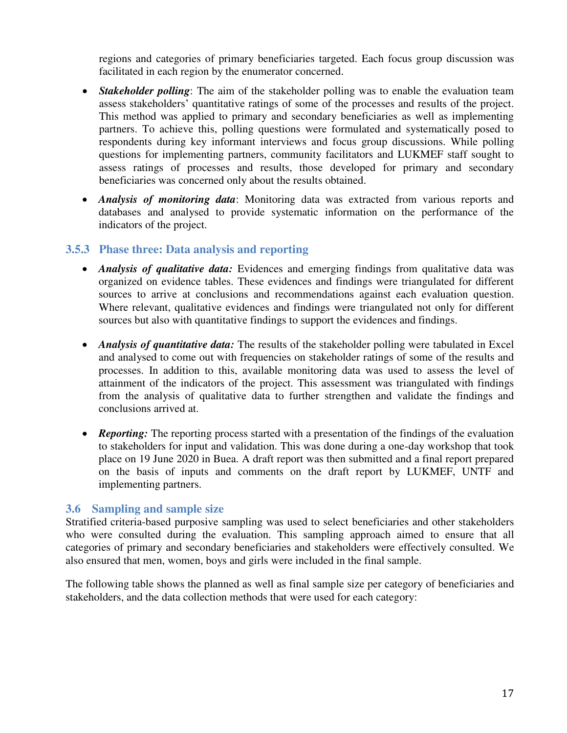regions and categories of primary beneficiaries targeted. Each focus group discussion was facilitated in each region by the enumerator concerned.

- *Stakeholder polling*: The aim of the stakeholder polling was to enable the evaluation team assess stakeholders' quantitative ratings of some of the processes and results of the project. This method was applied to primary and secondary beneficiaries as well as implementing partners. To achieve this, polling questions were formulated and systematically posed to respondents during key informant interviews and focus group discussions. While polling questions for implementing partners, community facilitators and LUKMEF staff sought to assess ratings of processes and results, those developed for primary and secondary beneficiaries was concerned only about the results obtained.
- *Analysis of monitoring data*: Monitoring data was extracted from various reports and databases and analysed to provide systematic information on the performance of the indicators of the project.

#### **3.5.3 Phase three: Data analysis and reporting**

- *Analysis of qualitative data:* Evidences and emerging findings from qualitative data was organized on evidence tables. These evidences and findings were triangulated for different sources to arrive at conclusions and recommendations against each evaluation question. Where relevant, qualitative evidences and findings were triangulated not only for different sources but also with quantitative findings to support the evidences and findings.
- *Analysis of quantitative data:* The results of the stakeholder polling were tabulated in Excel and analysed to come out with frequencies on stakeholder ratings of some of the results and processes. In addition to this, available monitoring data was used to assess the level of attainment of the indicators of the project. This assessment was triangulated with findings from the analysis of qualitative data to further strengthen and validate the findings and conclusions arrived at.
- **Reporting:** The reporting process started with a presentation of the findings of the evaluation to stakeholders for input and validation. This was done during a one-day workshop that took place on 19 June 2020 in Buea. A draft report was then submitted and a final report prepared on the basis of inputs and comments on the draft report by LUKMEF, UNTF and implementing partners.

#### **3.6 Sampling and sample size**

Stratified criteria-based purposive sampling was used to select beneficiaries and other stakeholders who were consulted during the evaluation. This sampling approach aimed to ensure that all categories of primary and secondary beneficiaries and stakeholders were effectively consulted. We also ensured that men, women, boys and girls were included in the final sample.

The following table shows the planned as well as final sample size per category of beneficiaries and stakeholders, and the data collection methods that were used for each category: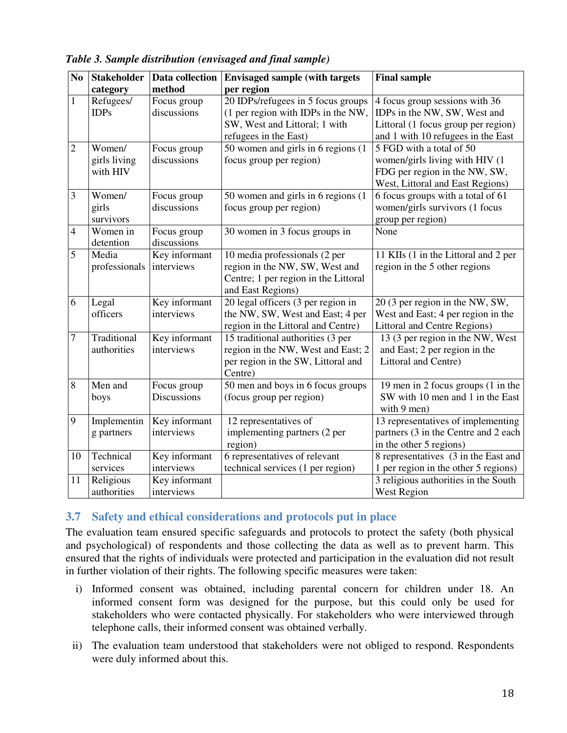| No             | <b>Stakeholder</b><br>category     | Data collection<br>method         | <b>Envisaged sample (with targets)</b><br>per region                                                                               | <b>Final sample</b>                                                                                                                         |
|----------------|------------------------------------|-----------------------------------|------------------------------------------------------------------------------------------------------------------------------------|---------------------------------------------------------------------------------------------------------------------------------------------|
| $\mathbf{1}$   | Refugees/<br><b>IDPs</b>           | Focus group<br>discussions        | 20 IDPs/refugees in 5 focus groups<br>(1 per region with IDPs in the NW,<br>SW, West and Littoral; 1 with<br>refugees in the East) | 4 focus group sessions with 36<br>IDPs in the NW, SW, West and<br>Littoral (1 focus group per region)<br>and 1 with 10 refugees in the East |
| $\overline{2}$ | Women/<br>girls living<br>with HIV | Focus group<br>discussions        | 50 women and girls in 6 regions (1<br>focus group per region)                                                                      | 5 FGD with a total of 50<br>women/girls living with HIV (1<br>FDG per region in the NW, SW,<br>West, Littoral and East Regions)             |
| 3              | Women/<br>girls<br>survivors       | Focus group<br>discussions        | 50 women and girls in 6 regions (1<br>focus group per region)                                                                      | 6 focus groups with a total of 61<br>women/girls survivors (1 focus<br>group per region)                                                    |
| $\overline{4}$ | Women in<br>detention              | Focus group<br>discussions        | 30 women in 3 focus groups in                                                                                                      | None                                                                                                                                        |
| 5              | Media<br>professionals             | Key informant<br>interviews       | 10 media professionals (2 per<br>region in the NW, SW, West and<br>Centre; 1 per region in the Littoral<br>and East Regions)       | 11 KIIs (1 in the Littoral and 2 per<br>region in the 5 other regions                                                                       |
| 6              | Legal<br>officers                  | Key informant<br>interviews       | 20 legal officers (3 per region in<br>the NW, SW, West and East; 4 per<br>region in the Littoral and Centre)                       | 20 (3 per region in the NW, SW,<br>West and East; 4 per region in the<br>Littoral and Centre Regions)                                       |
| $\tau$         | Traditional<br>authorities         | Key informant<br>interviews       | 15 traditional authorities (3 per<br>region in the NW, West and East; 2<br>per region in the SW, Littoral and<br>Centre)           | 13 (3 per region in the NW, West<br>and East; 2 per region in the<br>Littoral and Centre)                                                   |
| 8              | Men and<br>boys                    | Focus group<br><b>Discussions</b> | 50 men and boys in 6 focus groups<br>(focus group per region)                                                                      | 19 men in 2 focus groups (1 in the<br>SW with 10 men and 1 in the East<br>with 9 men)                                                       |
| 9              | Implementin<br>g partners          | Key informant<br>interviews       | 12 representatives of<br>implementing partners (2 per<br>region)                                                                   | 13 representatives of implementing<br>partners (3 in the Centre and 2 each<br>in the other 5 regions)                                       |
| 10             | Technical<br>services              | Key informant<br>interviews       | 6 representatives of relevant<br>technical services (1 per region)                                                                 | 8 representatives (3 in the East and<br>1 per region in the other 5 regions)                                                                |
| 11             | Religious<br>authorities           | Key informant<br>interviews       |                                                                                                                                    | 3 religious authorities in the South<br><b>West Region</b>                                                                                  |

*Table 3. Sample distribution (envisaged and final sample)* 

#### **3.7 Safety and ethical considerations and protocols put in place**

The evaluation team ensured specific safeguards and protocols to protect the safety (both physical and psychological) of respondents and those collecting the data as well as to prevent harm. This ensured that the rights of individuals were protected and participation in the evaluation did not result in further violation of their rights. The following specific measures were taken:

- i) Informed consent was obtained, including parental concern for children under 18. An informed consent form was designed for the purpose, but this could only be used for stakeholders who were contacted physically. For stakeholders who were interviewed through telephone calls, their informed consent was obtained verbally.
- ii) The evaluation team understood that stakeholders were not obliged to respond. Respondents were duly informed about this.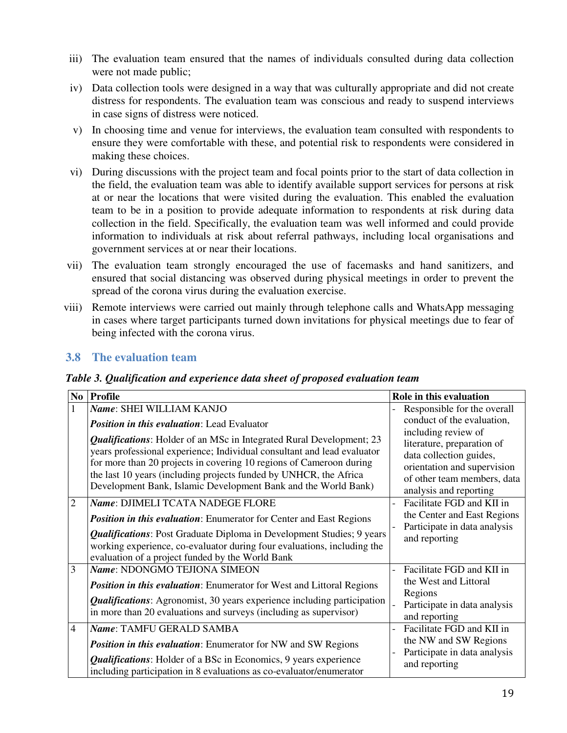- iii) The evaluation team ensured that the names of individuals consulted during data collection were not made public;
- iv) Data collection tools were designed in a way that was culturally appropriate and did not create distress for respondents. The evaluation team was conscious and ready to suspend interviews in case signs of distress were noticed.
- v) In choosing time and venue for interviews, the evaluation team consulted with respondents to ensure they were comfortable with these, and potential risk to respondents were considered in making these choices.
- vi) During discussions with the project team and focal points prior to the start of data collection in the field, the evaluation team was able to identify available support services for persons at risk at or near the locations that were visited during the evaluation. This enabled the evaluation team to be in a position to provide adequate information to respondents at risk during data collection in the field. Specifically, the evaluation team was well informed and could provide information to individuals at risk about referral pathways, including local organisations and government services at or near their locations.
- vii) The evaluation team strongly encouraged the use of facemasks and hand sanitizers, and ensured that social distancing was observed during physical meetings in order to prevent the spread of the corona virus during the evaluation exercise.
- viii) Remote interviews were carried out mainly through telephone calls and WhatsApp messaging in cases where target participants turned down invitations for physical meetings due to fear of being infected with the corona virus.

## **3.8 The evaluation team**

*Table 3. Qualification and experience data sheet of proposed evaluation team* 

| $\overline{N_0}$ | <b>Profile</b>                                                                                                                                                                                                                                                                                                                                                       | Role in this evaluation                                                                                                                                              |
|------------------|----------------------------------------------------------------------------------------------------------------------------------------------------------------------------------------------------------------------------------------------------------------------------------------------------------------------------------------------------------------------|----------------------------------------------------------------------------------------------------------------------------------------------------------------------|
| 1                | Name: SHEI WILLIAM KANJO                                                                                                                                                                                                                                                                                                                                             | Responsible for the overall                                                                                                                                          |
|                  | <b>Position in this evaluation:</b> Lead Evaluator                                                                                                                                                                                                                                                                                                                   | conduct of the evaluation,                                                                                                                                           |
|                  | <b>Qualifications:</b> Holder of an MSc in Integrated Rural Development; 23<br>years professional experience; Individual consultant and lead evaluator<br>for more than 20 projects in covering 10 regions of Cameroon during<br>the last 10 years (including projects funded by UNHCR, the Africa<br>Development Bank, Islamic Development Bank and the World Bank) | including review of<br>literature, preparation of<br>data collection guides,<br>orientation and supervision<br>of other team members, data<br>analysis and reporting |
| $\overline{2}$   | Name: DJIMELI TCATA NADEGE FLORE                                                                                                                                                                                                                                                                                                                                     | Facilitate FGD and KII in                                                                                                                                            |
|                  | <b>Position in this evaluation:</b> Enumerator for Center and East Regions<br><b>Qualifications:</b> Post Graduate Diploma in Development Studies; 9 years<br>working experience, co-evaluator during four evaluations, including the<br>evaluation of a project funded by the World Bank                                                                            | the Center and East Regions<br>Participate in data analysis<br>and reporting                                                                                         |
| 3                | Name: NDONGMO TEJIONA SIMEON                                                                                                                                                                                                                                                                                                                                         | Facilitate FGD and KII in                                                                                                                                            |
|                  | <b>Position in this evaluation:</b> Enumerator for West and Littoral Regions                                                                                                                                                                                                                                                                                         | the West and Littoral                                                                                                                                                |
|                  | <b>Qualifications:</b> Agronomist, 30 years experience including participation<br>in more than 20 evaluations and surveys (including as supervisor)                                                                                                                                                                                                                  | Regions<br>Participate in data analysis<br>and reporting                                                                                                             |
| $\overline{4}$   | Name: TAMFU GERALD SAMBA                                                                                                                                                                                                                                                                                                                                             | Facilitate FGD and KII in                                                                                                                                            |
|                  | <b>Position in this evaluation:</b> Enumerator for NW and SW Regions                                                                                                                                                                                                                                                                                                 | the NW and SW Regions                                                                                                                                                |
|                  | <b>Qualifications:</b> Holder of a BSc in Economics, 9 years experience<br>including participation in 8 evaluations as co-evaluator/enumerator                                                                                                                                                                                                                       | Participate in data analysis<br>and reporting                                                                                                                        |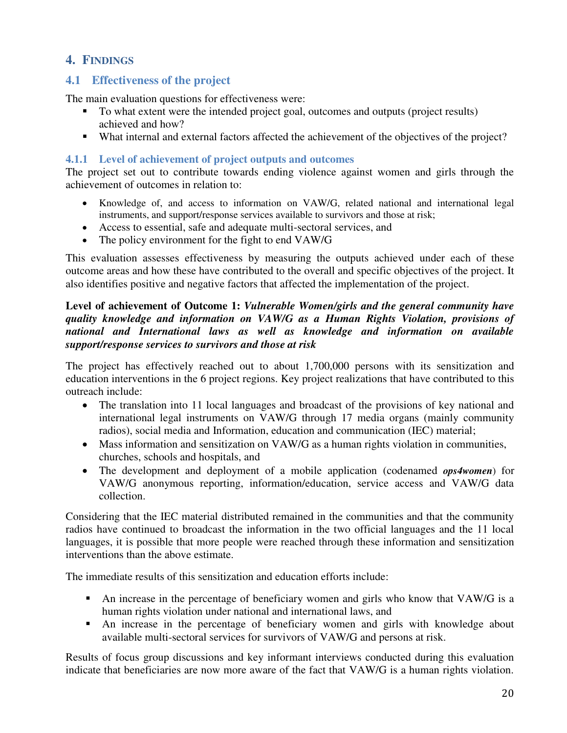## **4. FINDINGS**

#### **4.1 Effectiveness of the project**

The main evaluation questions for effectiveness were:

- To what extent were the intended project goal, outcomes and outputs (project results) achieved and how?
- What internal and external factors affected the achievement of the objectives of the project?

#### **4.1.1 Level of achievement of project outputs and outcomes**

The project set out to contribute towards ending violence against women and girls through the achievement of outcomes in relation to:

- Knowledge of, and access to information on VAW/G, related national and international legal instruments, and support/response services available to survivors and those at risk;
- Access to essential, safe and adequate multi-sectoral services, and
- The policy environment for the fight to end VAW/G

This evaluation assesses effectiveness by measuring the outputs achieved under each of these outcome areas and how these have contributed to the overall and specific objectives of the project. It also identifies positive and negative factors that affected the implementation of the project.

#### **Level of achievement of Outcome 1:** *Vulnerable Women/girls and the general community have quality knowledge and information on VAW/G as a Human Rights Violation, provisions of national and International laws as well as knowledge and information on available support/response services to survivors and those at risk*

The project has effectively reached out to about 1,700,000 persons with its sensitization and education interventions in the 6 project regions. Key project realizations that have contributed to this outreach include:

- The translation into 11 local languages and broadcast of the provisions of key national and international legal instruments on VAW/G through 17 media organs (mainly community radios), social media and Information, education and communication (IEC) material;
- Mass information and sensitization on VAW/G as a human rights violation in communities, churches, schools and hospitals, and
- The development and deployment of a mobile application (codenamed *ops4women*) for VAW/G anonymous reporting, information/education, service access and VAW/G data collection.

Considering that the IEC material distributed remained in the communities and that the community radios have continued to broadcast the information in the two official languages and the 11 local languages, it is possible that more people were reached through these information and sensitization interventions than the above estimate.

The immediate results of this sensitization and education efforts include:

- An increase in the percentage of beneficiary women and girls who know that VAW/G is a human rights violation under national and international laws, and
- An increase in the percentage of beneficiary women and girls with knowledge about available multi-sectoral services for survivors of VAW/G and persons at risk.

Results of focus group discussions and key informant interviews conducted during this evaluation indicate that beneficiaries are now more aware of the fact that VAW/G is a human rights violation.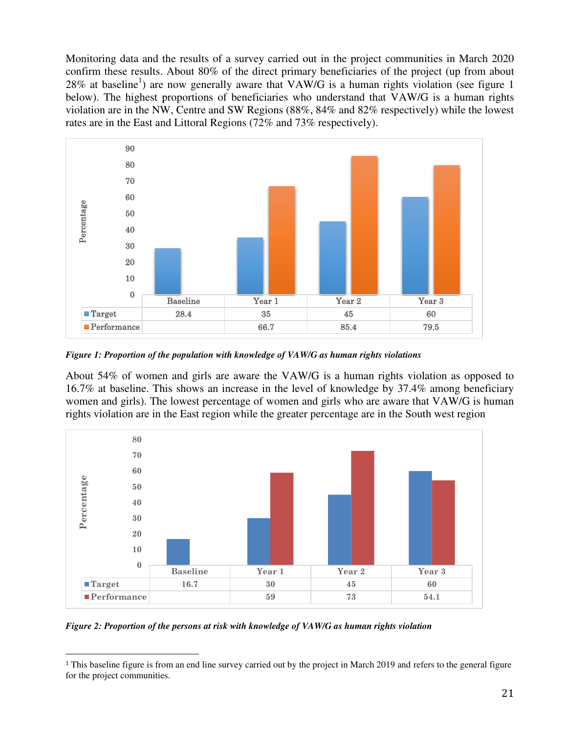Monitoring data and the results of a survey carried out in the project communities in March 2020 confirm these results. About 80% of the direct primary beneficiaries of the project (up from about 28% at baseline<sup>1</sup>) are now generally aware that VAW/G is a human rights violation (see figure 1 below). The highest proportions of beneficiaries who understand that VAW/G is a human rights violation are in the NW, Centre and SW Regions (88%, 84% and 82% respectively) while the lowest rates are in the East and Littoral Regions (72% and 73% respectively).



*Figure 1: Proportion of the population with knowledge of VAW/G as human rights violations* 

About 54% of women and girls are aware the VAW/G is a human rights violation as opposed to 16.7% at baseline. This shows an increase in the level of knowledge by 37.4% among beneficiary women and girls). The lowest percentage of women and girls who are aware that VAW/G is human rights violation are in the East region while the greater percentage are in the South west region



*Figure 2: Proportion of the persons at risk with knowledge of VAW/G as human rights violation* 

 $\overline{a}$ <sup>1</sup> This baseline figure is from an end line survey carried out by the project in March 2019 and refers to the general figure for the project communities.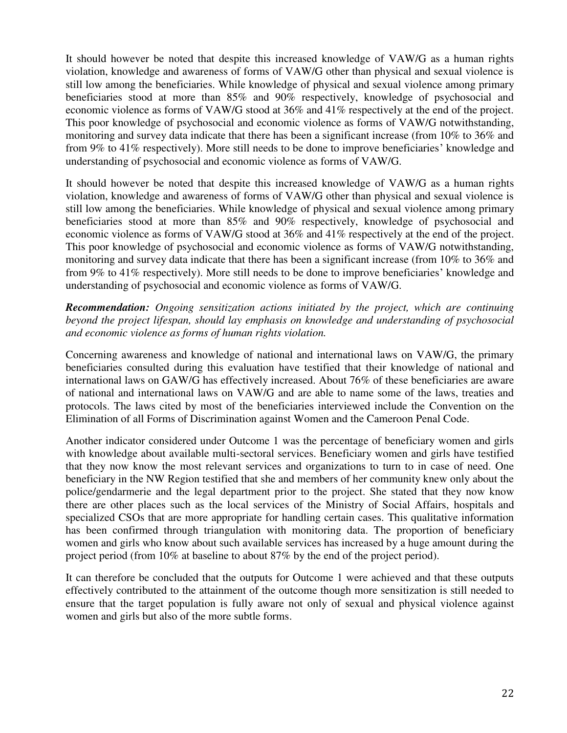It should however be noted that despite this increased knowledge of VAW/G as a human rights violation, knowledge and awareness of forms of VAW/G other than physical and sexual violence is still low among the beneficiaries. While knowledge of physical and sexual violence among primary beneficiaries stood at more than 85% and 90% respectively, knowledge of psychosocial and economic violence as forms of VAW/G stood at 36% and 41% respectively at the end of the project. This poor knowledge of psychosocial and economic violence as forms of VAW/G notwithstanding, monitoring and survey data indicate that there has been a significant increase (from 10% to 36% and from 9% to 41% respectively). More still needs to be done to improve beneficiaries' knowledge and understanding of psychosocial and economic violence as forms of VAW/G.

It should however be noted that despite this increased knowledge of VAW/G as a human rights violation, knowledge and awareness of forms of VAW/G other than physical and sexual violence is still low among the beneficiaries. While knowledge of physical and sexual violence among primary beneficiaries stood at more than 85% and 90% respectively, knowledge of psychosocial and economic violence as forms of VAW/G stood at 36% and 41% respectively at the end of the project. This poor knowledge of psychosocial and economic violence as forms of VAW/G notwithstanding, monitoring and survey data indicate that there has been a significant increase (from 10% to 36% and from 9% to 41% respectively). More still needs to be done to improve beneficiaries' knowledge and understanding of psychosocial and economic violence as forms of VAW/G.

#### *Recommendation: Ongoing sensitization actions initiated by the project, which are continuing beyond the project lifespan, should lay emphasis on knowledge and understanding of psychosocial and economic violence as forms of human rights violation.*

Concerning awareness and knowledge of national and international laws on VAW/G, the primary beneficiaries consulted during this evaluation have testified that their knowledge of national and international laws on GAW/G has effectively increased. About 76% of these beneficiaries are aware of national and international laws on VAW/G and are able to name some of the laws, treaties and protocols. The laws cited by most of the beneficiaries interviewed include the Convention on the Elimination of all Forms of Discrimination against Women and the Cameroon Penal Code.

Another indicator considered under Outcome 1 was the percentage of beneficiary women and girls with knowledge about available multi-sectoral services. Beneficiary women and girls have testified that they now know the most relevant services and organizations to turn to in case of need. One beneficiary in the NW Region testified that she and members of her community knew only about the police/gendarmerie and the legal department prior to the project. She stated that they now know there are other places such as the local services of the Ministry of Social Affairs, hospitals and specialized CSOs that are more appropriate for handling certain cases. This qualitative information has been confirmed through triangulation with monitoring data. The proportion of beneficiary women and girls who know about such available services has increased by a huge amount during the project period (from 10% at baseline to about 87% by the end of the project period).

It can therefore be concluded that the outputs for Outcome 1 were achieved and that these outputs effectively contributed to the attainment of the outcome though more sensitization is still needed to ensure that the target population is fully aware not only of sexual and physical violence against women and girls but also of the more subtle forms.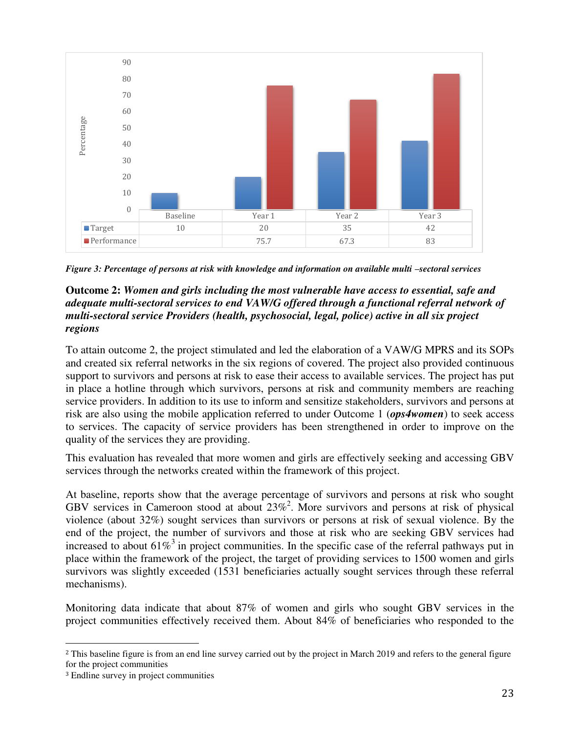

*Figure 3: Percentage of persons at risk with knowledge and information on available multi -<i>sectoral services* 

#### **Outcome 2:** *Women and girls including the most vulnerable have access to essential, safe and adequate multi-sectoral services to end VAW/G offered through a functional referral network of multi-sectoral service Providers (health, psychosocial, legal, police) active in all six project regions*

To attain outcome 2, the project stimulated and led the elaboration of a VAW/G MPRS and its SOPs and created six referral networks in the six regions of covered. The project also provided continuous support to survivors and persons at risk to ease their access to available services. The project has put in place a hotline through which survivors, persons at risk and community members are reaching service providers. In addition to its use to inform and sensitize stakeholders, survivors and persons at risk are also using the mobile application referred to under Outcome 1 (*ops4women*) to seek access to services. The capacity of service providers has been strengthened in order to improve on the quality of the services they are providing.

This evaluation has revealed that more women and girls are effectively seeking and accessing GBV services through the networks created within the framework of this project.

At baseline, reports show that the average percentage of survivors and persons at risk who sought GBV services in Cameroon stood at about  $23\%^2$ . More survivors and persons at risk of physical violence (about 32%) sought services than survivors or persons at risk of sexual violence. By the end of the project, the number of survivors and those at risk who are seeking GBV services had increased to about  $61\%$ <sup>3</sup> in project communities. In the specific case of the referral pathways put in place within the framework of the project, the target of providing services to 1500 women and girls survivors was slightly exceeded (1531 beneficiaries actually sought services through these referral mechanisms).

Monitoring data indicate that about 87% of women and girls who sought GBV services in the project communities effectively received them. About 84% of beneficiaries who responded to the

 $\overline{a}$ <sup>2</sup> This baseline figure is from an end line survey carried out by the project in March 2019 and refers to the general figure for the project communities

<sup>3</sup> Endline survey in project communities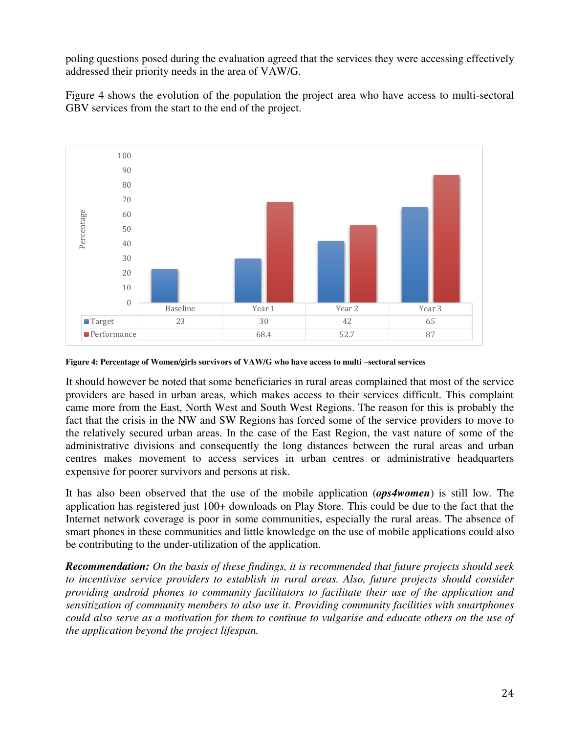poling questions posed during the evaluation agreed that the services they were accessing effectively addressed their priority needs in the area of VAW/G.

Figure 4 shows the evolution of the population the project area who have access to multi-sectoral GBV services from the start to the end of the project.



**Figure 4: Percentage of Women/girls survivors of VAW/G who have access to multi –sectoral services** 

It should however be noted that some beneficiaries in rural areas complained that most of the service providers are based in urban areas, which makes access to their services difficult. This complaint came more from the East, North West and South West Regions. The reason for this is probably the fact that the crisis in the NW and SW Regions has forced some of the service providers to move to the relatively secured urban areas. In the case of the East Region, the vast nature of some of the administrative divisions and consequently the long distances between the rural areas and urban centres makes movement to access services in urban centres or administrative headquarters expensive for poorer survivors and persons at risk.

It has also been observed that the use of the mobile application (*ops4women*) is still low. The application has registered just 100+ downloads on Play Store. This could be due to the fact that the Internet network coverage is poor in some communities, especially the rural areas. The absence of smart phones in these communities and little knowledge on the use of mobile applications could also be contributing to the under-utilization of the application.

*Recommendation: On the basis of these findings, it is recommended that future projects should seek to incentivise service providers to establish in rural areas. Also, future projects should consider providing android phones to community facilitators to facilitate their use of the application and sensitization of community members to also use it. Providing community facilities with smartphones could also serve as a motivation for them to continue to vulgarise and educate others on the use of the application beyond the project lifespan.*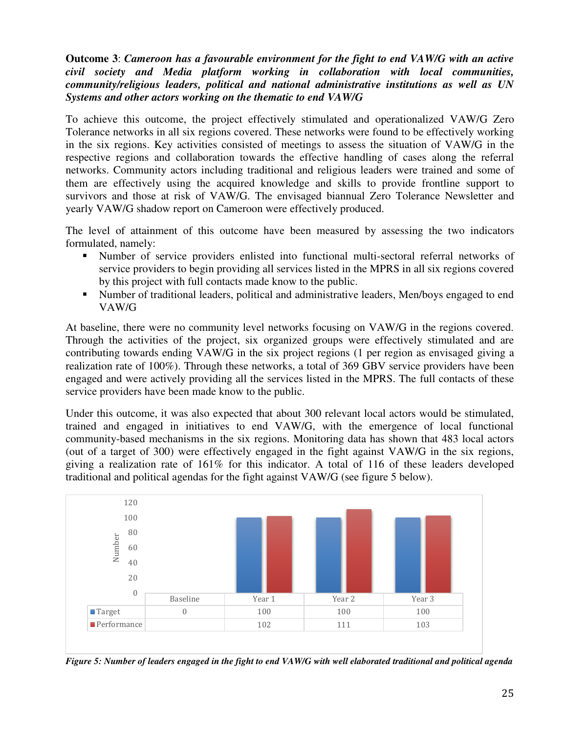#### **Outcome 3**: *Cameroon has a favourable environment for the fight to end VAW/G with an active civil society and Media platform working in collaboration with local communities, community/religious leaders, political and national administrative institutions as well as UN Systems and other actors working on the thematic to end VAW/G*

To achieve this outcome, the project effectively stimulated and operationalized VAW/G Zero Tolerance networks in all six regions covered. These networks were found to be effectively working in the six regions. Key activities consisted of meetings to assess the situation of VAW/G in the respective regions and collaboration towards the effective handling of cases along the referral networks. Community actors including traditional and religious leaders were trained and some of them are effectively using the acquired knowledge and skills to provide frontline support to survivors and those at risk of VAW/G. The envisaged biannual Zero Tolerance Newsletter and yearly VAW/G shadow report on Cameroon were effectively produced.

The level of attainment of this outcome have been measured by assessing the two indicators formulated, namely:

- Number of service providers enlisted into functional multi-sectoral referral networks of service providers to begin providing all services listed in the MPRS in all six regions covered by this project with full contacts made know to the public.
- Number of traditional leaders, political and administrative leaders, Men/boys engaged to end VAW/G

At baseline, there were no community level networks focusing on VAW/G in the regions covered. Through the activities of the project, six organized groups were effectively stimulated and are contributing towards ending VAW/G in the six project regions (1 per region as envisaged giving a realization rate of 100%). Through these networks, a total of 369 GBV service providers have been engaged and were actively providing all the services listed in the MPRS. The full contacts of these service providers have been made know to the public.

Under this outcome, it was also expected that about 300 relevant local actors would be stimulated, trained and engaged in initiatives to end VAW/G, with the emergence of local functional community-based mechanisms in the six regions. Monitoring data has shown that 483 local actors (out of a target of 300) were effectively engaged in the fight against VAW/G in the six regions, giving a realization rate of 161% for this indicator. A total of 116 of these leaders developed traditional and political agendas for the fight against VAW/G (see figure 5 below).



*Figure 5: Number of leaders engaged in the fight to end VAW/G with well elaborated traditional and political agenda*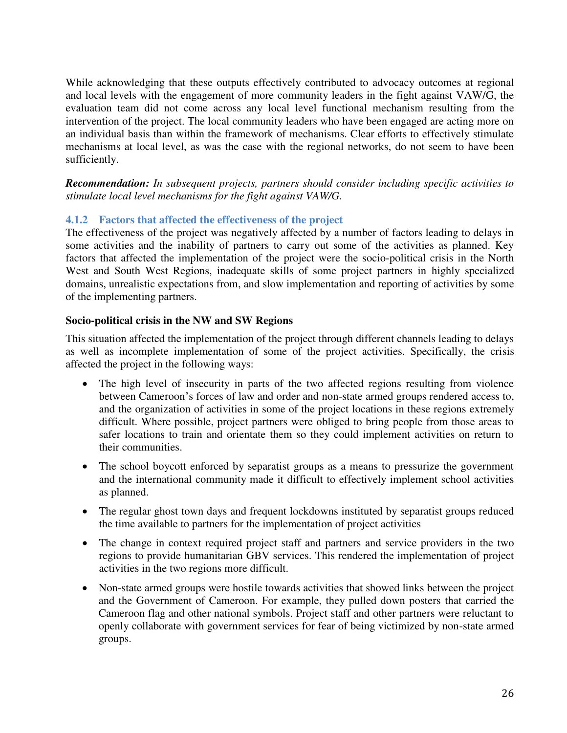While acknowledging that these outputs effectively contributed to advocacy outcomes at regional and local levels with the engagement of more community leaders in the fight against VAW/G, the evaluation team did not come across any local level functional mechanism resulting from the intervention of the project. The local community leaders who have been engaged are acting more on an individual basis than within the framework of mechanisms. Clear efforts to effectively stimulate mechanisms at local level, as was the case with the regional networks, do not seem to have been sufficiently.

*Recommendation: In subsequent projects, partners should consider including specific activities to stimulate local level mechanisms for the fight against VAW/G.* 

#### **4.1.2 Factors that affected the effectiveness of the project**

The effectiveness of the project was negatively affected by a number of factors leading to delays in some activities and the inability of partners to carry out some of the activities as planned. Key factors that affected the implementation of the project were the socio-political crisis in the North West and South West Regions, inadequate skills of some project partners in highly specialized domains, unrealistic expectations from, and slow implementation and reporting of activities by some of the implementing partners.

#### **Socio-political crisis in the NW and SW Regions**

This situation affected the implementation of the project through different channels leading to delays as well as incomplete implementation of some of the project activities. Specifically, the crisis affected the project in the following ways:

- The high level of insecurity in parts of the two affected regions resulting from violence between Cameroon's forces of law and order and non-state armed groups rendered access to, and the organization of activities in some of the project locations in these regions extremely difficult. Where possible, project partners were obliged to bring people from those areas to safer locations to train and orientate them so they could implement activities on return to their communities.
- The school boycott enforced by separatist groups as a means to pressurize the government and the international community made it difficult to effectively implement school activities as planned.
- The regular ghost town days and frequent lockdowns instituted by separatist groups reduced the time available to partners for the implementation of project activities
- The change in context required project staff and partners and service providers in the two regions to provide humanitarian GBV services. This rendered the implementation of project activities in the two regions more difficult.
- Non-state armed groups were hostile towards activities that showed links between the project and the Government of Cameroon. For example, they pulled down posters that carried the Cameroon flag and other national symbols. Project staff and other partners were reluctant to openly collaborate with government services for fear of being victimized by non-state armed groups.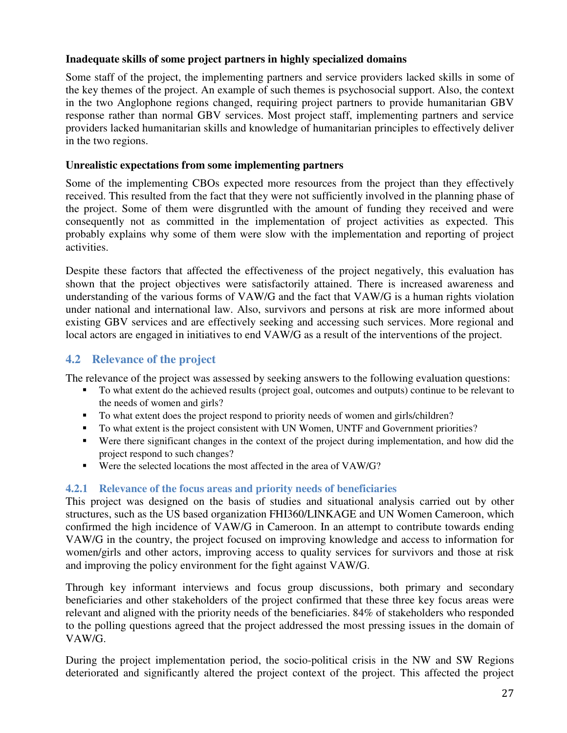#### **Inadequate skills of some project partners in highly specialized domains**

Some staff of the project, the implementing partners and service providers lacked skills in some of the key themes of the project. An example of such themes is psychosocial support. Also, the context in the two Anglophone regions changed, requiring project partners to provide humanitarian GBV response rather than normal GBV services. Most project staff, implementing partners and service providers lacked humanitarian skills and knowledge of humanitarian principles to effectively deliver in the two regions.

#### **Unrealistic expectations from some implementing partners**

Some of the implementing CBOs expected more resources from the project than they effectively received. This resulted from the fact that they were not sufficiently involved in the planning phase of the project. Some of them were disgruntled with the amount of funding they received and were consequently not as committed in the implementation of project activities as expected. This probably explains why some of them were slow with the implementation and reporting of project activities.

Despite these factors that affected the effectiveness of the project negatively, this evaluation has shown that the project objectives were satisfactorily attained. There is increased awareness and understanding of the various forms of VAW/G and the fact that VAW/G is a human rights violation under national and international law. Also, survivors and persons at risk are more informed about existing GBV services and are effectively seeking and accessing such services. More regional and local actors are engaged in initiatives to end VAW/G as a result of the interventions of the project.

#### **4.2 Relevance of the project**

The relevance of the project was assessed by seeking answers to the following evaluation questions:

- To what extent do the achieved results (project goal, outcomes and outputs) continue to be relevant to the needs of women and girls?
- To what extent does the project respond to priority needs of women and girls/children?
- To what extent is the project consistent with UN Women, UNTF and Government priorities?
- Were there significant changes in the context of the project during implementation, and how did the project respond to such changes?
- Were the selected locations the most affected in the area of  $VAW/G$ ?

#### **4.2.1 Relevance of the focus areas and priority needs of beneficiaries**

This project was designed on the basis of studies and situational analysis carried out by other structures, such as the US based organization FHI360/LINKAGE and UN Women Cameroon, which confirmed the high incidence of VAW/G in Cameroon. In an attempt to contribute towards ending VAW/G in the country, the project focused on improving knowledge and access to information for women/girls and other actors, improving access to quality services for survivors and those at risk and improving the policy environment for the fight against VAW/G.

Through key informant interviews and focus group discussions, both primary and secondary beneficiaries and other stakeholders of the project confirmed that these three key focus areas were relevant and aligned with the priority needs of the beneficiaries. 84% of stakeholders who responded to the polling questions agreed that the project addressed the most pressing issues in the domain of VAW/G.

During the project implementation period, the socio-political crisis in the NW and SW Regions deteriorated and significantly altered the project context of the project. This affected the project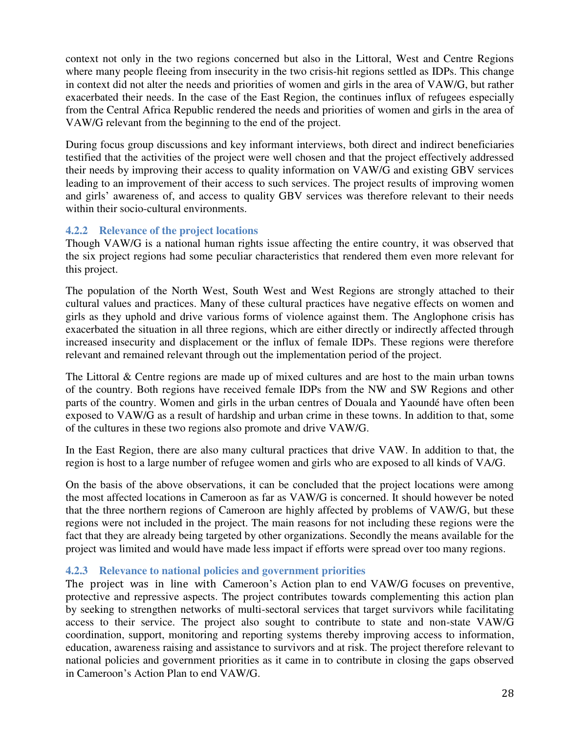context not only in the two regions concerned but also in the Littoral, West and Centre Regions where many people fleeing from insecurity in the two crisis-hit regions settled as IDPs. This change in context did not alter the needs and priorities of women and girls in the area of VAW/G, but rather exacerbated their needs. In the case of the East Region, the continues influx of refugees especially from the Central Africa Republic rendered the needs and priorities of women and girls in the area of VAW/G relevant from the beginning to the end of the project.

During focus group discussions and key informant interviews, both direct and indirect beneficiaries testified that the activities of the project were well chosen and that the project effectively addressed their needs by improving their access to quality information on VAW/G and existing GBV services leading to an improvement of their access to such services. The project results of improving women and girls' awareness of, and access to quality GBV services was therefore relevant to their needs within their socio-cultural environments.

#### **4.2.2 Relevance of the project locations**

Though VAW/G is a national human rights issue affecting the entire country, it was observed that the six project regions had some peculiar characteristics that rendered them even more relevant for this project.

The population of the North West, South West and West Regions are strongly attached to their cultural values and practices. Many of these cultural practices have negative effects on women and girls as they uphold and drive various forms of violence against them. The Anglophone crisis has exacerbated the situation in all three regions, which are either directly or indirectly affected through increased insecurity and displacement or the influx of female IDPs. These regions were therefore relevant and remained relevant through out the implementation period of the project.

The Littoral & Centre regions are made up of mixed cultures and are host to the main urban towns of the country. Both regions have received female IDPs from the NW and SW Regions and other parts of the country. Women and girls in the urban centres of Douala and Yaoundé have often been exposed to VAW/G as a result of hardship and urban crime in these towns. In addition to that, some of the cultures in these two regions also promote and drive VAW/G.

In the East Region, there are also many cultural practices that drive VAW. In addition to that, the region is host to a large number of refugee women and girls who are exposed to all kinds of VA/G.

On the basis of the above observations, it can be concluded that the project locations were among the most affected locations in Cameroon as far as VAW/G is concerned. It should however be noted that the three northern regions of Cameroon are highly affected by problems of VAW/G, but these regions were not included in the project. The main reasons for not including these regions were the fact that they are already being targeted by other organizations. Secondly the means available for the project was limited and would have made less impact if efforts were spread over too many regions.

#### **4.2.3 Relevance to national policies and government priorities**

The project was in line with Cameroon's Action plan to end VAW/G focuses on preventive, protective and repressive aspects. The project contributes towards complementing this action plan by seeking to strengthen networks of multi-sectoral services that target survivors while facilitating access to their service. The project also sought to contribute to state and non-state VAW/G coordination, support, monitoring and reporting systems thereby improving access to information, education, awareness raising and assistance to survivors and at risk. The project therefore relevant to national policies and government priorities as it came in to contribute in closing the gaps observed in Cameroon's Action Plan to end VAW/G.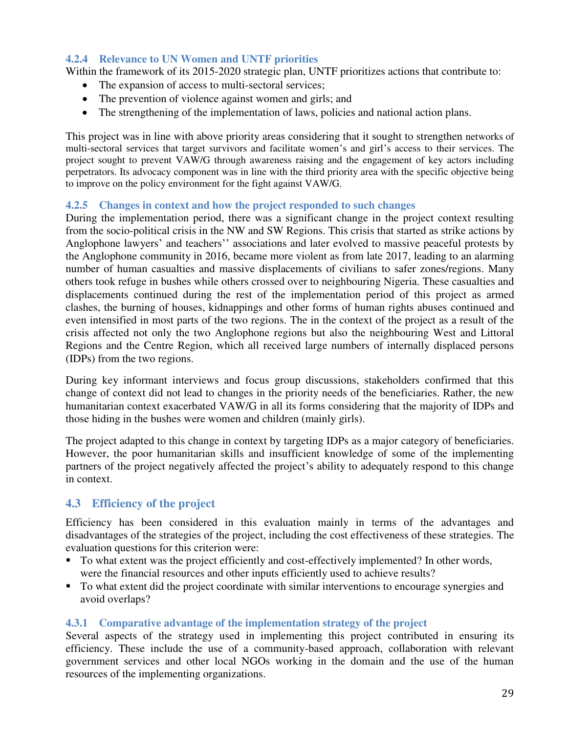#### **4.2.4 Relevance to UN Women and UNTF priorities**

Within the framework of its 2015-2020 strategic plan, UNTF prioritizes actions that contribute to:

- The expansion of access to multi-sectoral services;
- The prevention of violence against women and girls; and
- The strengthening of the implementation of laws, policies and national action plans.

This project was in line with above priority areas considering that it sought to strengthen networks of multi-sectoral services that target survivors and facilitate women's and girl's access to their services. The project sought to prevent VAW/G through awareness raising and the engagement of key actors including perpetrators. Its advocacy component was in line with the third priority area with the specific objective being to improve on the policy environment for the fight against VAW/G.

#### **4.2.5 Changes in context and how the project responded to such changes**

During the implementation period, there was a significant change in the project context resulting from the socio-political crisis in the NW and SW Regions. This crisis that started as strike actions by Anglophone lawyers' and teachers'' associations and later evolved to massive peaceful protests by the Anglophone community in 2016, became more violent as from late 2017, leading to an alarming number of human casualties and massive displacements of civilians to safer zones/regions. Many others took refuge in bushes while others crossed over to neighbouring Nigeria. These casualties and displacements continued during the rest of the implementation period of this project as armed clashes, the burning of houses, kidnappings and other forms of human rights abuses continued and even intensified in most parts of the two regions. The in the context of the project as a result of the crisis affected not only the two Anglophone regions but also the neighbouring West and Littoral Regions and the Centre Region, which all received large numbers of internally displaced persons (IDPs) from the two regions.

During key informant interviews and focus group discussions, stakeholders confirmed that this change of context did not lead to changes in the priority needs of the beneficiaries. Rather, the new humanitarian context exacerbated VAW/G in all its forms considering that the majority of IDPs and those hiding in the bushes were women and children (mainly girls).

The project adapted to this change in context by targeting IDPs as a major category of beneficiaries. However, the poor humanitarian skills and insufficient knowledge of some of the implementing partners of the project negatively affected the project's ability to adequately respond to this change in context.

#### **4.3 Efficiency of the project**

Efficiency has been considered in this evaluation mainly in terms of the advantages and disadvantages of the strategies of the project, including the cost effectiveness of these strategies. The evaluation questions for this criterion were:

- To what extent was the project efficiently and cost-effectively implemented? In other words, were the financial resources and other inputs efficiently used to achieve results?
- $\blacksquare$  To what extent did the project coordinate with similar interventions to encourage synergies and avoid overlaps?

#### **4.3.1 Comparative advantage of the implementation strategy of the project**

Several aspects of the strategy used in implementing this project contributed in ensuring its efficiency. These include the use of a community-based approach, collaboration with relevant government services and other local NGOs working in the domain and the use of the human resources of the implementing organizations.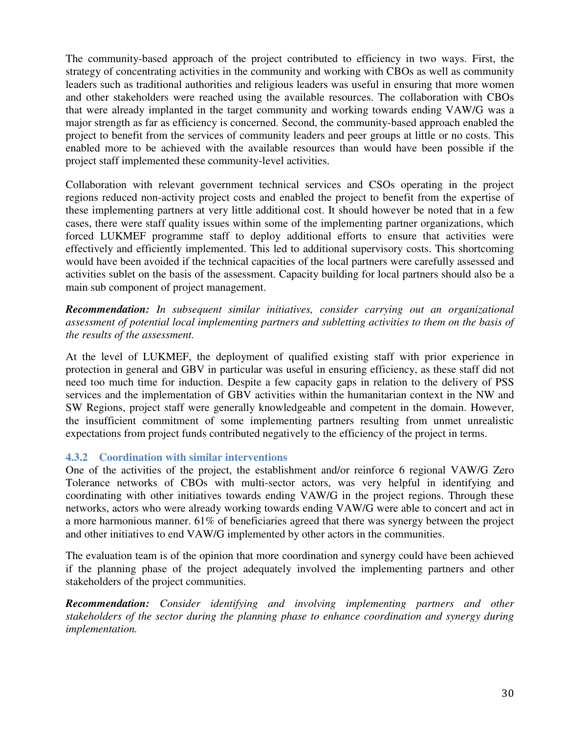The community-based approach of the project contributed to efficiency in two ways. First, the strategy of concentrating activities in the community and working with CBOs as well as community leaders such as traditional authorities and religious leaders was useful in ensuring that more women and other stakeholders were reached using the available resources. The collaboration with CBOs that were already implanted in the target community and working towards ending VAW/G was a major strength as far as efficiency is concerned. Second, the community-based approach enabled the project to benefit from the services of community leaders and peer groups at little or no costs. This enabled more to be achieved with the available resources than would have been possible if the project staff implemented these community-level activities.

Collaboration with relevant government technical services and CSOs operating in the project regions reduced non-activity project costs and enabled the project to benefit from the expertise of these implementing partners at very little additional cost. It should however be noted that in a few cases, there were staff quality issues within some of the implementing partner organizations, which forced LUKMEF programme staff to deploy additional efforts to ensure that activities were effectively and efficiently implemented. This led to additional supervisory costs. This shortcoming would have been avoided if the technical capacities of the local partners were carefully assessed and activities sublet on the basis of the assessment. Capacity building for local partners should also be a main sub component of project management.

*Recommendation: In subsequent similar initiatives, consider carrying out an organizational assessment of potential local implementing partners and subletting activities to them on the basis of the results of the assessment.* 

At the level of LUKMEF, the deployment of qualified existing staff with prior experience in protection in general and GBV in particular was useful in ensuring efficiency, as these staff did not need too much time for induction. Despite a few capacity gaps in relation to the delivery of PSS services and the implementation of GBV activities within the humanitarian context in the NW and SW Regions, project staff were generally knowledgeable and competent in the domain. However, the insufficient commitment of some implementing partners resulting from unmet unrealistic expectations from project funds contributed negatively to the efficiency of the project in terms.

#### **4.3.2 Coordination with similar interventions**

One of the activities of the project, the establishment and/or reinforce 6 regional VAW/G Zero Tolerance networks of CBOs with multi-sector actors, was very helpful in identifying and coordinating with other initiatives towards ending VAW/G in the project regions. Through these networks, actors who were already working towards ending VAW/G were able to concert and act in a more harmonious manner. 61% of beneficiaries agreed that there was synergy between the project and other initiatives to end VAW/G implemented by other actors in the communities.

The evaluation team is of the opinion that more coordination and synergy could have been achieved if the planning phase of the project adequately involved the implementing partners and other stakeholders of the project communities.

*Recommendation: Consider identifying and involving implementing partners and other stakeholders of the sector during the planning phase to enhance coordination and synergy during implementation.*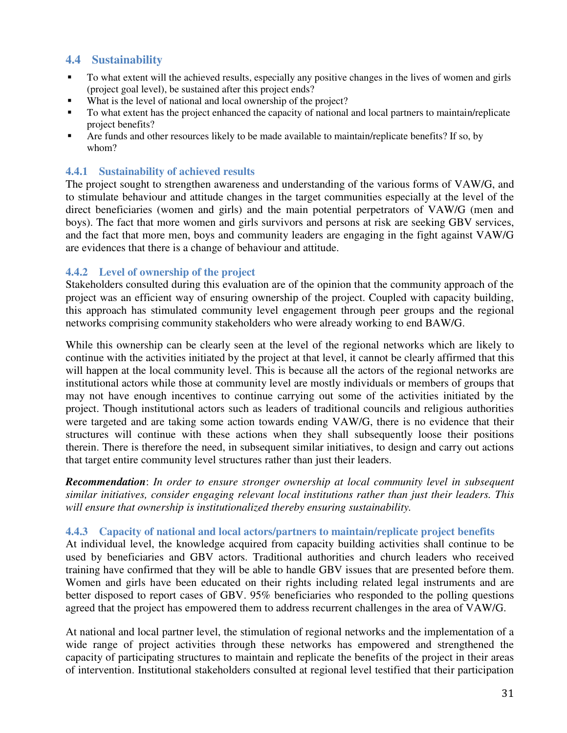#### **4.4 Sustainability**

- To what extent will the achieved results, especially any positive changes in the lives of women and girls (project goal level), be sustained after this project ends?
- What is the level of national and local ownership of the project?
- To what extent has the project enhanced the capacity of national and local partners to maintain/replicate project benefits?
- Are funds and other resources likely to be made available to maintain/replicate benefits? If so, by whom?

#### **4.4.1 Sustainability of achieved results**

The project sought to strengthen awareness and understanding of the various forms of VAW/G, and to stimulate behaviour and attitude changes in the target communities especially at the level of the direct beneficiaries (women and girls) and the main potential perpetrators of VAW/G (men and boys). The fact that more women and girls survivors and persons at risk are seeking GBV services, and the fact that more men, boys and community leaders are engaging in the fight against VAW/G are evidences that there is a change of behaviour and attitude.

#### **4.4.2 Level of ownership of the project**

Stakeholders consulted during this evaluation are of the opinion that the community approach of the project was an efficient way of ensuring ownership of the project. Coupled with capacity building, this approach has stimulated community level engagement through peer groups and the regional networks comprising community stakeholders who were already working to end BAW/G.

While this ownership can be clearly seen at the level of the regional networks which are likely to continue with the activities initiated by the project at that level, it cannot be clearly affirmed that this will happen at the local community level. This is because all the actors of the regional networks are institutional actors while those at community level are mostly individuals or members of groups that may not have enough incentives to continue carrying out some of the activities initiated by the project. Though institutional actors such as leaders of traditional councils and religious authorities were targeted and are taking some action towards ending VAW/G, there is no evidence that their structures will continue with these actions when they shall subsequently loose their positions therein. There is therefore the need, in subsequent similar initiatives, to design and carry out actions that target entire community level structures rather than just their leaders.

*Recommendation*: *In order to ensure stronger ownership at local community level in subsequent similar initiatives, consider engaging relevant local institutions rather than just their leaders. This will ensure that ownership is institutionalized thereby ensuring sustainability.*

#### **4.4.3 Capacity of national and local actors/partners to maintain/replicate project benefits**

At individual level, the knowledge acquired from capacity building activities shall continue to be used by beneficiaries and GBV actors. Traditional authorities and church leaders who received training have confirmed that they will be able to handle GBV issues that are presented before them. Women and girls have been educated on their rights including related legal instruments and are better disposed to report cases of GBV. 95% beneficiaries who responded to the polling questions agreed that the project has empowered them to address recurrent challenges in the area of VAW/G.

At national and local partner level, the stimulation of regional networks and the implementation of a wide range of project activities through these networks has empowered and strengthened the capacity of participating structures to maintain and replicate the benefits of the project in their areas of intervention. Institutional stakeholders consulted at regional level testified that their participation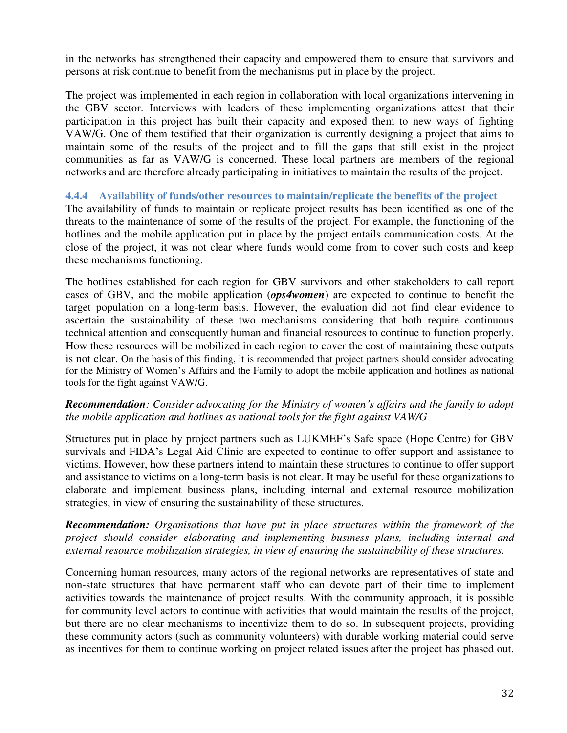in the networks has strengthened their capacity and empowered them to ensure that survivors and persons at risk continue to benefit from the mechanisms put in place by the project.

The project was implemented in each region in collaboration with local organizations intervening in the GBV sector. Interviews with leaders of these implementing organizations attest that their participation in this project has built their capacity and exposed them to new ways of fighting VAW/G. One of them testified that their organization is currently designing a project that aims to maintain some of the results of the project and to fill the gaps that still exist in the project communities as far as VAW/G is concerned. These local partners are members of the regional networks and are therefore already participating in initiatives to maintain the results of the project.

#### **4.4.4 Availability of funds/other resources to maintain/replicate the benefits of the project**

The availability of funds to maintain or replicate project results has been identified as one of the threats to the maintenance of some of the results of the project. For example, the functioning of the hotlines and the mobile application put in place by the project entails communication costs. At the close of the project, it was not clear where funds would come from to cover such costs and keep these mechanisms functioning.

The hotlines established for each region for GBV survivors and other stakeholders to call report cases of GBV, and the mobile application (*ops4women*) are expected to continue to benefit the target population on a long-term basis. However, the evaluation did not find clear evidence to ascertain the sustainability of these two mechanisms considering that both require continuous technical attention and consequently human and financial resources to continue to function properly. How these resources will be mobilized in each region to cover the cost of maintaining these outputs is not clear. On the basis of this finding, it is recommended that project partners should consider advocating for the Ministry of Women's Affairs and the Family to adopt the mobile application and hotlines as national tools for the fight against VAW/G.

#### *Recommendation: Consider advocating for the Ministry of women's affairs and the family to adopt the mobile application and hotlines as national tools for the fight against VAW/G*

Structures put in place by project partners such as LUKMEF's Safe space (Hope Centre) for GBV survivals and FIDA's Legal Aid Clinic are expected to continue to offer support and assistance to victims. However, how these partners intend to maintain these structures to continue to offer support and assistance to victims on a long-term basis is not clear. It may be useful for these organizations to elaborate and implement business plans, including internal and external resource mobilization strategies, in view of ensuring the sustainability of these structures.

#### *Recommendation: Organisations that have put in place structures within the framework of the project should consider elaborating and implementing business plans, including internal and external resource mobilization strategies, in view of ensuring the sustainability of these structures.*

Concerning human resources, many actors of the regional networks are representatives of state and non-state structures that have permanent staff who can devote part of their time to implement activities towards the maintenance of project results. With the community approach, it is possible for community level actors to continue with activities that would maintain the results of the project, but there are no clear mechanisms to incentivize them to do so. In subsequent projects, providing these community actors (such as community volunteers) with durable working material could serve as incentives for them to continue working on project related issues after the project has phased out.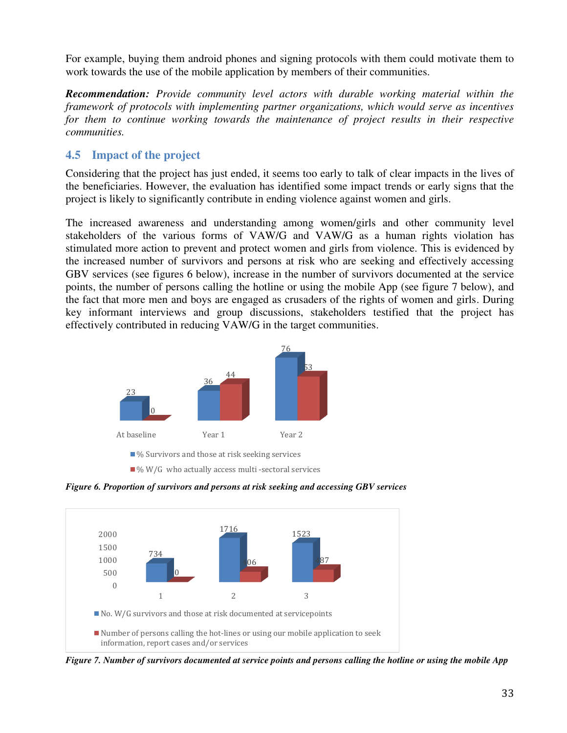For example, buying them android phones and signing protocols with them could motivate them to work towards the use of the mobile application by members of their communities.

*Recommendation: Provide community level actors with durable working material within the framework of protocols with implementing partner organizations, which would serve as incentives for them to continue working towards the maintenance of project results in their respective communities.* 

#### **4.5 Impact of the project**

Considering that the project has just ended, it seems too early to talk of clear impacts in the lives of the beneficiaries. However, the evaluation has identified some impact trends or early signs that the project is likely to significantly contribute in ending violence against women and girls.

The increased awareness and understanding among women/girls and other community level stakeholders of the various forms of VAW/G and VAW/G as a human rights violation has stimulated more action to prevent and protect women and girls from violence. This is evidenced by the increased number of survivors and persons at risk who are seeking and effectively accessing GBV services (see figures 6 below), increase in the number of survivors documented at the service points, the number of persons calling the hotline or using the mobile App (see figure 7 below), and the fact that more men and boys are engaged as crusaders of the rights of women and girls. During key informant interviews and group discussions, stakeholders testified that the project has effectively contributed in reducing VAW/G in the target communities.



 $\blacksquare$ % W/G who actually access multi-sectoral services





*Figure 7. Number of survivors documented at service points and persons calling the hotline or using the mobile App*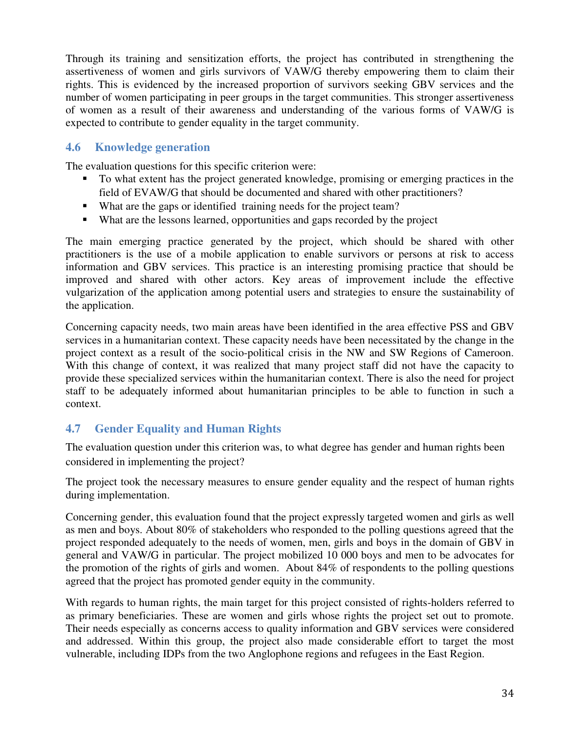Through its training and sensitization efforts, the project has contributed in strengthening the assertiveness of women and girls survivors of VAW/G thereby empowering them to claim their rights. This is evidenced by the increased proportion of survivors seeking GBV services and the number of women participating in peer groups in the target communities. This stronger assertiveness of women as a result of their awareness and understanding of the various forms of VAW/G is expected to contribute to gender equality in the target community.

#### **4.6 Knowledge generation**

The evaluation questions for this specific criterion were:

- To what extent has the project generated knowledge, promising or emerging practices in the field of EVAW/G that should be documented and shared with other practitioners?
- What are the gaps or identified training needs for the project team?
- What are the lessons learned, opportunities and gaps recorded by the project

The main emerging practice generated by the project, which should be shared with other practitioners is the use of a mobile application to enable survivors or persons at risk to access information and GBV services. This practice is an interesting promising practice that should be improved and shared with other actors. Key areas of improvement include the effective vulgarization of the application among potential users and strategies to ensure the sustainability of the application.

Concerning capacity needs, two main areas have been identified in the area effective PSS and GBV services in a humanitarian context. These capacity needs have been necessitated by the change in the project context as a result of the socio-political crisis in the NW and SW Regions of Cameroon. With this change of context, it was realized that many project staff did not have the capacity to provide these specialized services within the humanitarian context. There is also the need for project staff to be adequately informed about humanitarian principles to be able to function in such a context.

#### **4.7 Gender Equality and Human Rights**

The evaluation question under this criterion was, to what degree has gender and human rights been considered in implementing the project?

The project took the necessary measures to ensure gender equality and the respect of human rights during implementation.

Concerning gender, this evaluation found that the project expressly targeted women and girls as well as men and boys. About 80% of stakeholders who responded to the polling questions agreed that the project responded adequately to the needs of women, men, girls and boys in the domain of GBV in general and VAW/G in particular. The project mobilized 10 000 boys and men to be advocates for the promotion of the rights of girls and women. About 84% of respondents to the polling questions agreed that the project has promoted gender equity in the community.

With regards to human rights, the main target for this project consisted of rights-holders referred to as primary beneficiaries. These are women and girls whose rights the project set out to promote. Their needs especially as concerns access to quality information and GBV services were considered and addressed. Within this group, the project also made considerable effort to target the most vulnerable, including IDPs from the two Anglophone regions and refugees in the East Region.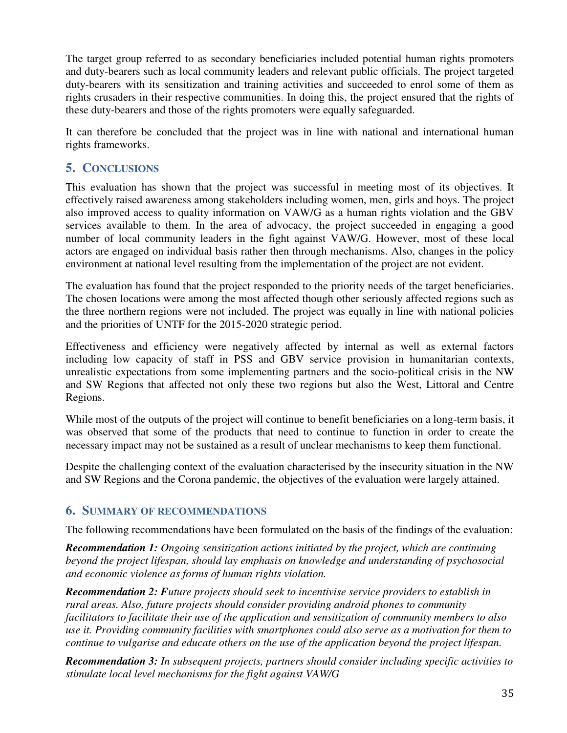The target group referred to as secondary beneficiaries included potential human rights promoters and duty-bearers such as local community leaders and relevant public officials. The project targeted duty-bearers with its sensitization and training activities and succeeded to enrol some of them as rights crusaders in their respective communities. In doing this, the project ensured that the rights of these duty-bearers and those of the rights promoters were equally safeguarded.

It can therefore be concluded that the project was in line with national and international human rights frameworks.

#### **5. CONCLUSIONS**

This evaluation has shown that the project was successful in meeting most of its objectives. It effectively raised awareness among stakeholders including women, men, girls and boys. The project also improved access to quality information on VAW/G as a human rights violation and the GBV services available to them. In the area of advocacy, the project succeeded in engaging a good number of local community leaders in the fight against VAW/G. However, most of these local actors are engaged on individual basis rather then through mechanisms. Also, changes in the policy environment at national level resulting from the implementation of the project are not evident.

The evaluation has found that the project responded to the priority needs of the target beneficiaries. The chosen locations were among the most affected though other seriously affected regions such as the three northern regions were not included. The project was equally in line with national policies and the priorities of UNTF for the 2015-2020 strategic period.

Effectiveness and efficiency were negatively affected by internal as well as external factors including low capacity of staff in PSS and GBV service provision in humanitarian contexts, unrealistic expectations from some implementing partners and the socio-political crisis in the NW and SW Regions that affected not only these two regions but also the West, Littoral and Centre Regions.

While most of the outputs of the project will continue to benefit beneficiaries on a long-term basis, it was observed that some of the products that need to continue to function in order to create the necessary impact may not be sustained as a result of unclear mechanisms to keep them functional.

Despite the challenging context of the evaluation characterised by the insecurity situation in the NW and SW Regions and the Corona pandemic, the objectives of the evaluation were largely attained.

#### **6. SUMMARY OF RECOMMENDATIONS**

The following recommendations have been formulated on the basis of the findings of the evaluation:

*Recommendation 1: Ongoing sensitization actions initiated by the project, which are continuing beyond the project lifespan, should lay emphasis on knowledge and understanding of psychosocial and economic violence as forms of human rights violation.*

*Recommendation 2: Future projects should seek to incentivise service providers to establish in rural areas. Also, future projects should consider providing android phones to community facilitators to facilitate their use of the application and sensitization of community members to also use it. Providing community facilities with smartphones could also serve as a motivation for them to continue to vulgarise and educate others on the use of the application beyond the project lifespan.*

*Recommendation 3: In subsequent projects, partners should consider including specific activities to stimulate local level mechanisms for the fight against VAW/G*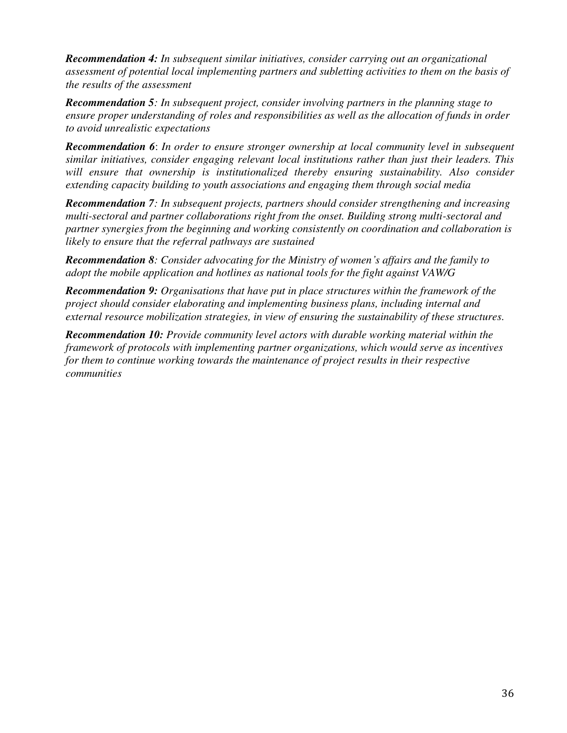*Recommendation 4: In subsequent similar initiatives, consider carrying out an organizational assessment of potential local implementing partners and subletting activities to them on the basis of the results of the assessment* 

*Recommendation 5: In subsequent project, consider involving partners in the planning stage to ensure proper understanding of roles and responsibilities as well as the allocation of funds in order to avoid unrealistic expectations* 

*Recommendation 6*: *In order to ensure stronger ownership at local community level in subsequent similar initiatives, consider engaging relevant local institutions rather than just their leaders. This*  will ensure that ownership is institutionalized thereby ensuring sustainability. Also consider *extending capacity building to youth associations and engaging them through social media* 

*Recommendation 7: In subsequent projects, partners should consider strengthening and increasing multi-sectoral and partner collaborations right from the onset. Building strong multi-sectoral and partner synergies from the beginning and working consistently on coordination and collaboration is likely to ensure that the referral pathways are sustained*

*Recommendation 8: Consider advocating for the Ministry of women's affairs and the family to adopt the mobile application and hotlines as national tools for the fight against VAW/G*

*Recommendation 9: Organisations that have put in place structures within the framework of the project should consider elaborating and implementing business plans, including internal and external resource mobilization strategies, in view of ensuring the sustainability of these structures.*

*Recommendation 10: Provide community level actors with durable working material within the framework of protocols with implementing partner organizations, which would serve as incentives for them to continue working towards the maintenance of project results in their respective communities*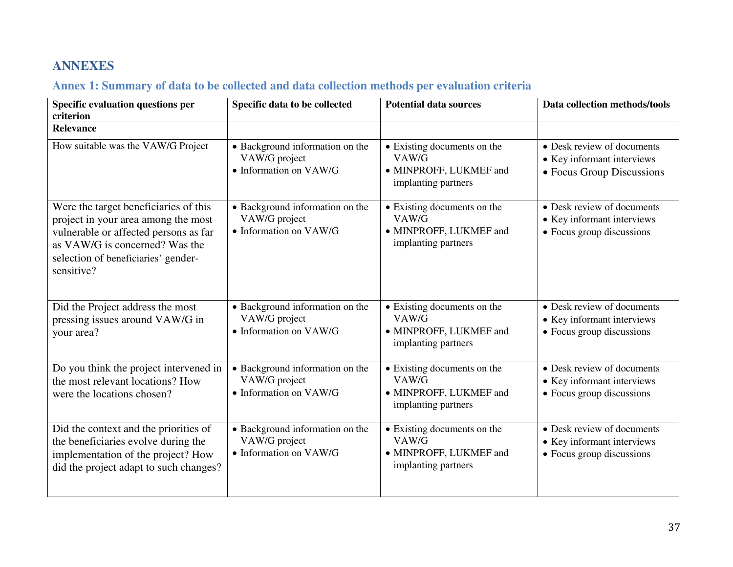## **ANNEXES**

## **Annex 1: Summary of data to be collected and data collection methods per evaluation criteria**

| Specific evaluation questions per<br>criterion                                                                                                                                                               | Specific data to be collected                                              | <b>Potential data sources</b>                                                         | Data collection methods/tools                                                         |
|--------------------------------------------------------------------------------------------------------------------------------------------------------------------------------------------------------------|----------------------------------------------------------------------------|---------------------------------------------------------------------------------------|---------------------------------------------------------------------------------------|
| <b>Relevance</b>                                                                                                                                                                                             |                                                                            |                                                                                       |                                                                                       |
| How suitable was the VAW/G Project                                                                                                                                                                           | • Background information on the<br>VAW/G project<br>• Information on VAW/G | • Existing documents on the<br>VAW/G<br>• MINPROFF, LUKMEF and<br>implanting partners | • Desk review of documents<br>• Key informant interviews<br>• Focus Group Discussions |
| Were the target beneficiaries of this<br>project in your area among the most<br>vulnerable or affected persons as far<br>as VAW/G is concerned? Was the<br>selection of beneficiaries' gender-<br>sensitive? | • Background information on the<br>VAW/G project<br>• Information on VAW/G | • Existing documents on the<br>VAW/G<br>• MINPROFF, LUKMEF and<br>implanting partners | • Desk review of documents<br>• Key informant interviews<br>• Focus group discussions |
| Did the Project address the most<br>pressing issues around VAW/G in<br>your area?                                                                                                                            | • Background information on the<br>VAW/G project<br>• Information on VAW/G | • Existing documents on the<br>VAW/G<br>• MINPROFF, LUKMEF and<br>implanting partners | • Desk review of documents<br>• Key informant interviews<br>• Focus group discussions |
| Do you think the project intervened in<br>the most relevant locations? How<br>were the locations chosen?                                                                                                     | • Background information on the<br>VAW/G project<br>• Information on VAW/G | • Existing documents on the<br>VAW/G<br>• MINPROFF, LUKMEF and<br>implanting partners | • Desk review of documents<br>• Key informant interviews<br>• Focus group discussions |
| Did the context and the priorities of<br>the beneficiaries evolve during the<br>implementation of the project? How<br>did the project adapt to such changes?                                                 | • Background information on the<br>VAW/G project<br>• Information on VAW/G | • Existing documents on the<br>VAW/G<br>• MINPROFF, LUKMEF and<br>implanting partners | • Desk review of documents<br>• Key informant interviews<br>• Focus group discussions |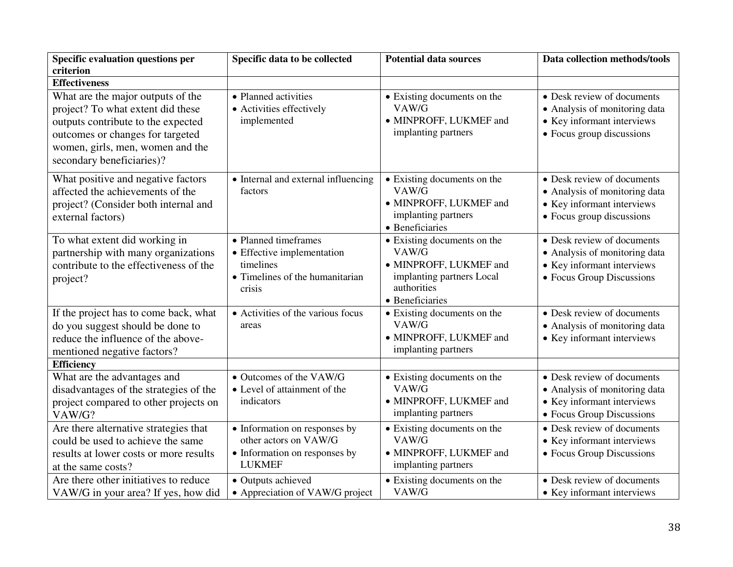| Specific evaluation questions per<br>criterion                                                                                                                                                                    | Specific data to be collected                                                                                | <b>Potential data sources</b>                                                                                                 | Data collection methods/tools                                                                                          |
|-------------------------------------------------------------------------------------------------------------------------------------------------------------------------------------------------------------------|--------------------------------------------------------------------------------------------------------------|-------------------------------------------------------------------------------------------------------------------------------|------------------------------------------------------------------------------------------------------------------------|
| <b>Effectiveness</b>                                                                                                                                                                                              |                                                                                                              |                                                                                                                               |                                                                                                                        |
| What are the major outputs of the<br>project? To what extent did these<br>outputs contribute to the expected<br>outcomes or changes for targeted<br>women, girls, men, women and the<br>secondary beneficiaries)? | • Planned activities<br>• Activities effectively<br>implemented                                              | • Existing documents on the<br>VAW/G<br>• MINPROFF, LUKMEF and<br>implanting partners                                         | • Desk review of documents<br>• Analysis of monitoring data<br>• Key informant interviews<br>• Focus group discussions |
| What positive and negative factors<br>affected the achievements of the<br>project? (Consider both internal and<br>external factors)                                                                               | • Internal and external influencing<br>factors                                                               | • Existing documents on the<br>VAW/G<br>• MINPROFF, LUKMEF and<br>implanting partners<br>• Beneficiaries                      | • Desk review of documents<br>• Analysis of monitoring data<br>• Key informant interviews<br>• Focus group discussions |
| To what extent did working in<br>partnership with many organizations<br>contribute to the effectiveness of the<br>project?                                                                                        | • Planned timeframes<br>• Effective implementation<br>timelines<br>• Timelines of the humanitarian<br>crisis | • Existing documents on the<br>VAW/G<br>· MINPROFF, LUKMEF and<br>implanting partners Local<br>authorities<br>• Beneficiaries | • Desk review of documents<br>• Analysis of monitoring data<br>• Key informant interviews<br>• Focus Group Discussions |
| If the project has to come back, what<br>do you suggest should be done to<br>reduce the influence of the above-<br>mentioned negative factors?                                                                    | • Activities of the various focus<br>areas                                                                   | • Existing documents on the<br>VAW/G<br>· MINPROFF, LUKMEF and<br>implanting partners                                         | • Desk review of documents<br>• Analysis of monitoring data<br>• Key informant interviews                              |
| <b>Efficiency</b>                                                                                                                                                                                                 |                                                                                                              |                                                                                                                               |                                                                                                                        |
| What are the advantages and<br>disadvantages of the strategies of the<br>project compared to other projects on<br>VAW/G?                                                                                          | • Outcomes of the VAW/G<br>• Level of attainment of the<br>indicators                                        | • Existing documents on the<br>VAW/G<br>· MINPROFF, LUKMEF and<br>implanting partners                                         | • Desk review of documents<br>• Analysis of monitoring data<br>• Key informant interviews<br>• Focus Group Discussions |
| Are there alternative strategies that<br>could be used to achieve the same<br>results at lower costs or more results<br>at the same costs?                                                                        | • Information on responses by<br>other actors on VAW/G<br>• Information on responses by<br><b>LUKMEF</b>     | • Existing documents on the<br>VAW/G<br>• MINPROFF, LUKMEF and<br>implanting partners                                         | • Desk review of documents<br>• Key informant interviews<br>• Focus Group Discussions                                  |
| Are there other initiatives to reduce<br>VAW/G in your area? If yes, how did                                                                                                                                      | · Outputs achieved<br>• Appreciation of VAW/G project                                                        | • Existing documents on the<br>VAW/G                                                                                          | • Desk review of documents<br>• Key informant interviews                                                               |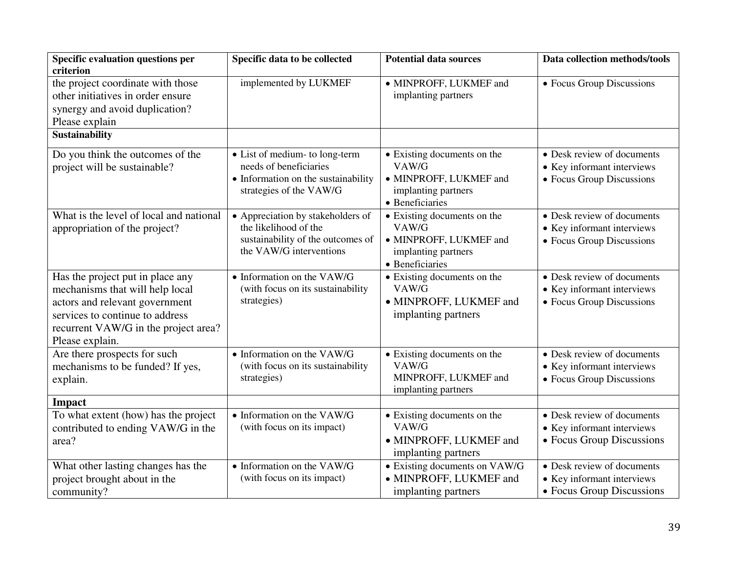| Specific evaluation questions per<br>criterion                                                                                                                                                      | Specific data to be collected                                                                                              | <b>Potential data sources</b>                                                                            | Data collection methods/tools                                                         |
|-----------------------------------------------------------------------------------------------------------------------------------------------------------------------------------------------------|----------------------------------------------------------------------------------------------------------------------------|----------------------------------------------------------------------------------------------------------|---------------------------------------------------------------------------------------|
| the project coordinate with those<br>other initiatives in order ensure<br>synergy and avoid duplication?<br>Please explain                                                                          | implemented by LUKMEF                                                                                                      | • MINPROFF, LUKMEF and<br>implanting partners                                                            | • Focus Group Discussions                                                             |
| Sustainability                                                                                                                                                                                      |                                                                                                                            |                                                                                                          |                                                                                       |
| Do you think the outcomes of the<br>project will be sustainable?                                                                                                                                    | • List of medium- to long-term<br>needs of beneficiaries<br>• Information on the sustainability<br>strategies of the VAW/G | • Existing documents on the<br>VAW/G<br>• MINPROFF, LUKMEF and<br>implanting partners<br>• Beneficiaries | • Desk review of documents<br>• Key informant interviews<br>• Focus Group Discussions |
| What is the level of local and national<br>appropriation of the project?                                                                                                                            | • Appreciation by stakeholders of<br>the likelihood of the<br>sustainability of the outcomes of<br>the VAW/G interventions | • Existing documents on the<br>VAW/G<br>· MINPROFF, LUKMEF and<br>implanting partners<br>• Beneficiaries | • Desk review of documents<br>• Key informant interviews<br>• Focus Group Discussions |
| Has the project put in place any<br>mechanisms that will help local<br>actors and relevant government<br>services to continue to address<br>recurrent VAW/G in the project area?<br>Please explain. | • Information on the VAW/G<br>(with focus on its sustainability<br>strategies)                                             | • Existing documents on the<br>VAW/G<br>· MINPROFF, LUKMEF and<br>implanting partners                    | • Desk review of documents<br>• Key informant interviews<br>• Focus Group Discussions |
| Are there prospects for such<br>mechanisms to be funded? If yes,<br>explain.                                                                                                                        | • Information on the VAW/G<br>(with focus on its sustainability<br>strategies)                                             | • Existing documents on the<br>VAW/G<br>MINPROFF, LUKMEF and<br>implanting partners                      | • Desk review of documents<br>• Key informant interviews<br>• Focus Group Discussions |
| <b>Impact</b>                                                                                                                                                                                       |                                                                                                                            |                                                                                                          |                                                                                       |
| To what extent (how) has the project<br>contributed to ending VAW/G in the<br>area?                                                                                                                 | • Information on the VAW/G<br>(with focus on its impact)                                                                   | • Existing documents on the<br>VAW/G<br>• MINPROFF, LUKMEF and<br>implanting partners                    | • Desk review of documents<br>• Key informant interviews<br>• Focus Group Discussions |
| What other lasting changes has the<br>project brought about in the<br>community?                                                                                                                    | • Information on the VAW/G<br>(with focus on its impact)                                                                   | • Existing documents on VAW/G<br>• MINPROFF, LUKMEF and<br>implanting partners                           | • Desk review of documents<br>• Key informant interviews<br>• Focus Group Discussions |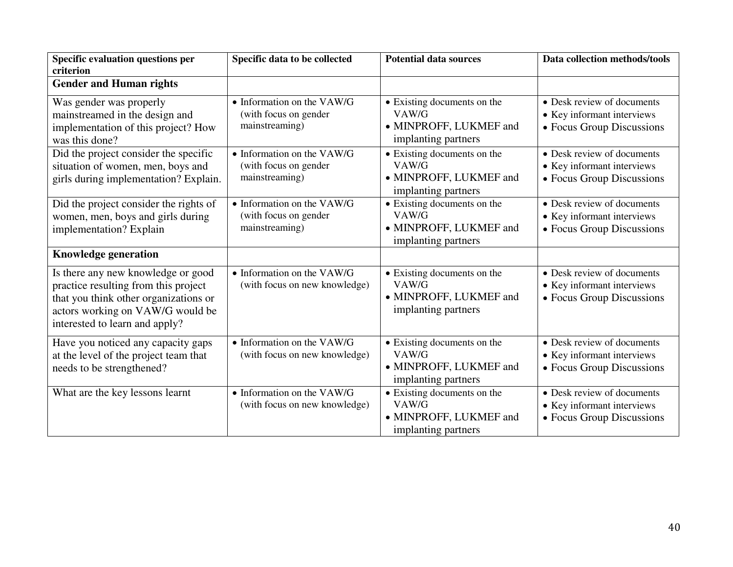| Specific evaluation questions per<br>criterion                                                                                                                                            | Specific data to be collected                                                 | <b>Potential data sources</b>                                                         | Data collection methods/tools                                                         |
|-------------------------------------------------------------------------------------------------------------------------------------------------------------------------------------------|-------------------------------------------------------------------------------|---------------------------------------------------------------------------------------|---------------------------------------------------------------------------------------|
| <b>Gender and Human rights</b>                                                                                                                                                            |                                                                               |                                                                                       |                                                                                       |
| Was gender was properly<br>mainstreamed in the design and<br>implementation of this project? How<br>was this done?                                                                        | • Information on the VAW/G<br>(with focus on gender<br>mainstreaming)         | • Existing documents on the<br>VAW/G<br>• MINPROFF, LUKMEF and<br>implanting partners | • Desk review of documents<br>• Key informant interviews<br>• Focus Group Discussions |
| Did the project consider the specific<br>situation of women, men, boys and<br>girls during implementation? Explain.                                                                       | • Information on the VAW/G<br>(with focus on gender<br>mainstreaming)         | • Existing documents on the<br>VAW/G<br>• MINPROFF, LUKMEF and<br>implanting partners | • Desk review of documents<br>• Key informant interviews<br>• Focus Group Discussions |
| Did the project consider the rights of<br>women, men, boys and girls during<br>implementation? Explain                                                                                    | $\bullet$ Information on the VAW/G<br>(with focus on gender<br>mainstreaming) | • Existing documents on the<br>VAW/G<br>• MINPROFF, LUKMEF and<br>implanting partners | • Desk review of documents<br>• Key informant interviews<br>• Focus Group Discussions |
| <b>Knowledge generation</b>                                                                                                                                                               |                                                                               |                                                                                       |                                                                                       |
| Is there any new knowledge or good<br>practice resulting from this project<br>that you think other organizations or<br>actors working on VAW/G would be<br>interested to learn and apply? | • Information on the VAW/G<br>(with focus on new knowledge)                   | • Existing documents on the<br>VAW/G<br>• MINPROFF, LUKMEF and<br>implanting partners | • Desk review of documents<br>• Key informant interviews<br>• Focus Group Discussions |
| Have you noticed any capacity gaps<br>at the level of the project team that<br>needs to be strengthened?                                                                                  | • Information on the VAW/G<br>(with focus on new knowledge)                   | • Existing documents on the<br>VAW/G<br>• MINPROFF, LUKMEF and<br>implanting partners | • Desk review of documents<br>• Key informant interviews<br>• Focus Group Discussions |
| What are the key lessons learnt                                                                                                                                                           | • Information on the VAW/G<br>(with focus on new knowledge)                   | • Existing documents on the<br>VAW/G<br>• MINPROFF, LUKMEF and<br>implanting partners | • Desk review of documents<br>• Key informant interviews<br>• Focus Group Discussions |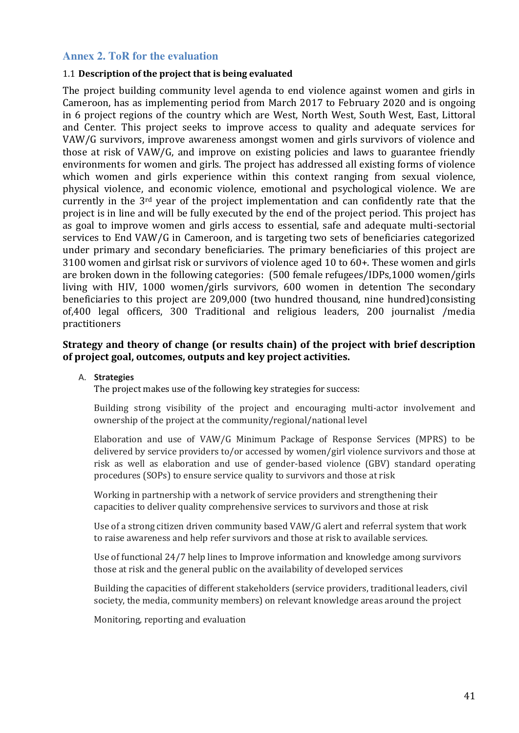#### **Annex 2. ToR for the evaluation**

#### 1.1 **Description of the project that is being evaluated**

The project building community level agenda to end violence against women and girls in Cameroon, has as implementing period from March 2017 to February 2020 and is ongoing in 6 project regions of the country which are West, North West, South West, East, Littoral and Center. This project seeks to improve access to quality and adequate services for VAW/G survivors, improve awareness amongst women and girls survivors of violence and those at risk of VAW/G, and improve on existing policies and laws to guarantee friendly environments for women and girls. The project has addressed all existing forms of violence which women and girls experience within this context ranging from sexual violence, physical violence, and economic violence, emotional and psychological violence. We are currently in the 3rd year of the project implementation and can confidently rate that the project is in line and will be fully executed by the end of the project period. This project has as goal to improve women and girls access to essential, safe and adequate multi-sectorial services to End VAW/G in Cameroon, and is targeting two sets of beneficiaries categorized under primary and secondary beneficiaries. The primary beneficiaries of this project are 3100 women and girlsat risk or survivors of violence aged 10 to 60+. These women and girls are broken down in the following categories: (500 female refugees/IDPs,1000 women/girls living with HIV, 1000 women/girls survivors, 600 women in detention The secondary beneficiaries to this project are 209,000 (two hundred thousand, nine hundred)consisting of,400 legal officers, 300 Traditional and religious leaders, 200 journalist /media practitioners

#### **Strategy and theory of change (or results chain) of the project with brief description of project goal, outcomes, outputs and key project activities.**

#### A. **Strategies**

The project makes use of the following key strategies for success:

Building strong visibility of the project and encouraging multi-actor involvement and ownership of the project at the community/regional/national level

Elaboration and use of VAW/G Minimum Package of Response Services (MPRS) to be delivered by service providers to/or accessed by women/girl violence survivors and those at risk as well as elaboration and use of gender-based violence (GBV) standard operating procedures (SOPs) to ensure service quality to survivors and those at risk

Working in partnership with a network of service providers and strengthening their capacities to deliver quality comprehensive services to survivors and those at risk

Use of a strong citizen driven community based VAW/G alert and referral system that work to raise awareness and help refer survivors and those at risk to available services.

Use of functional 24/7 help lines to Improve information and knowledge among survivors those at risk and the general public on the availability of developed services

Building the capacities of different stakeholders (service providers, traditional leaders, civil society, the media, community members) on relevant knowledge areas around the project

Monitoring, reporting and evaluation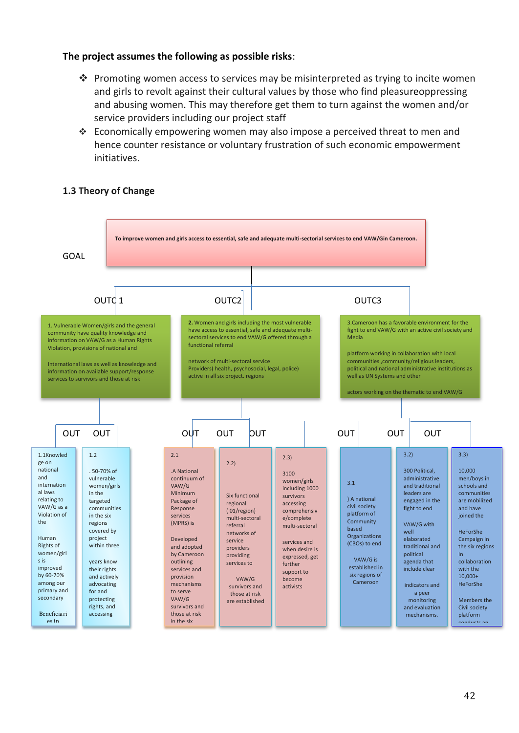#### **The project assumes the following as possible risks**:

- $\cdot$  Promoting women access to services may be misinterpreted as trying to incite women and girls to revolt against their cultural values by those who find pleasureoppressing and abusing women. This may therefore get them to turn against the women and/or service providers including our project staff
- Economically empowering women may also impose a perceived threat to men and hence counter resistance or voluntary frustration of such economic empowerment initiatives.



#### **1.3 Theory of Change**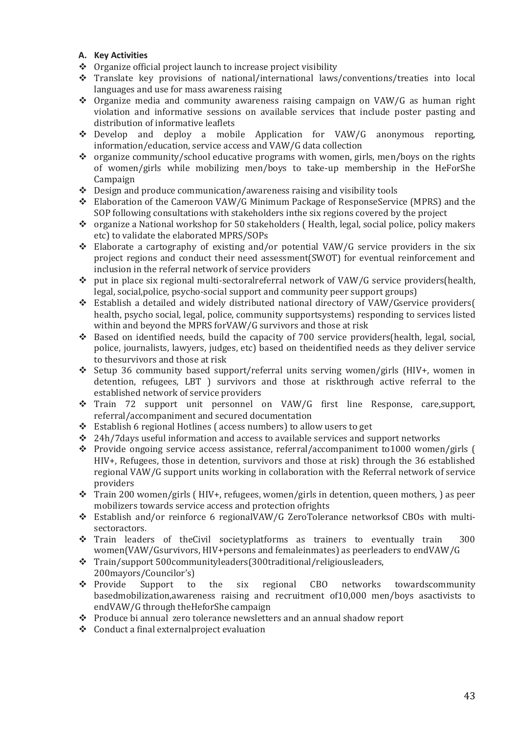#### **A. Key Activities**

- $\triangle$  Organize official project launch to increase project visibility
- Translate key provisions of national/international laws/conventions/treaties into local languages and use for mass awareness raising
- Organize media and community awareness raising campaign on VAW/G as human right violation and informative sessions on available services that include poster pasting and distribution of informative leaflets
- $\div$  Develop and deploy a mobile Application for VAW/G anonymous reporting, information/education, service access and VAW/G data collection
- organize community/school educative programs with women, girls, men/boys on the rights of women/girls while mobilizing men/boys to take-up membership in the HeForShe Campaign
- Design and produce communication/awareness raising and visibility tools
- Elaboration of the Cameroon VAW/G Minimum Package of ResponseService (MPRS) and the SOP following consultations with stakeholders inthe six regions covered by the project
- organize a National workshop for 50 stakeholders ( Health, legal, social police, policy makers etc) to validate the elaborated MPRS/SOPs
- $\bullet$  Elaborate a cartography of existing and/or potential VAW/G service providers in the six project regions and conduct their need assessment(SWOT) for eventual reinforcement and inclusion in the referral network of service providers
- put in place six regional multi-sectoralreferral network of VAW/G service providers(health, legal, social,police, psycho-social support and community peer support groups)
- Establish a detailed and widely distributed national directory of VAW/Gservice providers( health, psycho social, legal, police, community supportsystems) responding to services listed within and beyond the MPRS forVAW/G survivors and those at risk
- $\bullet$  Based on identified needs, build the capacity of 700 service providers (health, legal, social, police, journalists, lawyers, judges, etc) based on theidentified needs as they deliver service to thesurvivors and those at risk
- Setup 36 community based support/referral units serving women/girls (HIV+, women in detention, refugees, LBT ) survivors and those at riskthrough active referral to the established network of service providers
- \* Train 72 support unit personnel on VAW/G first line Response, care, support, referral/accompaniment and secured documentation
- Establish 6 regional Hotlines ( access numbers) to allow users to get
- \* 24h/7days useful information and access to available services and support networks
- Provide ongoing service access assistance, referral/accompaniment to 1000 women/girls ( HIV+, Refugees, those in detention, survivors and those at risk) through the 36 established regional VAW/G support units working in collaboration with the Referral network of service providers
- $\div$  Train 200 women/girls (HIV+, refugees, women/girls in detention, queen mothers, ) as peer mobilizers towards service access and protection ofrights
- Establish and/or reinforce 6 regionalVAW/G ZeroTolerance networksof CBOs with multisectoractors.
- \* Train leaders of theCivil societyplatforms as trainers to eventually train 300 women(VAW/Gsurvivors, HIV+persons and femaleinmates) as peerleaders to endVAW/G
- Train/support 500communityleaders(300traditional/religiousleaders, 200mayors/Councilor's)<br>
Provide Support to
- the six regional CBO networks towardscommunity basedmobilization,awareness raising and recruitment of10,000 men/boys asactivists to endVAW/G through theHeforShe campaign
- Produce bi annual zero tolerance newsletters and an annual shadow report
- Conduct a final externalproject evaluation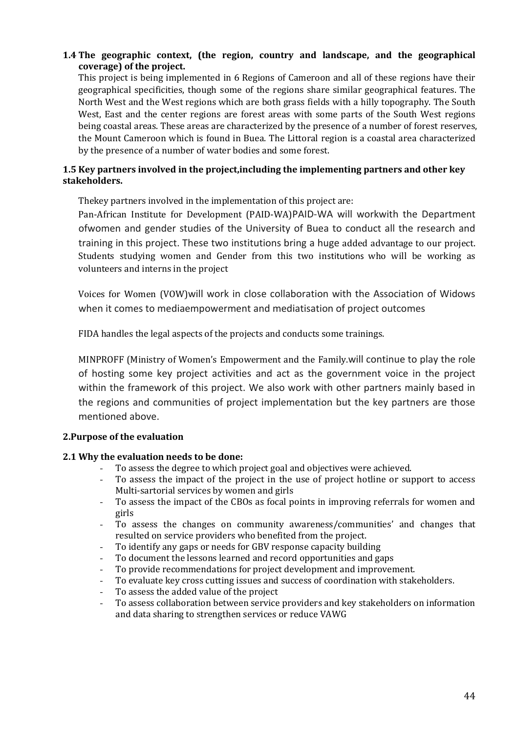#### **1.4 The geographic context, (the region, country and landscape, and the geographical coverage) of the project.**

This project is being implemented in 6 Regions of Cameroon and all of these regions have their geographical specificities, though some of the regions share similar geographical features. The North West and the West regions which are both grass fields with a hilly topography. The South West, East and the center regions are forest areas with some parts of the South West regions being coastal areas. These areas are characterized by the presence of a number of forest reserves, the Mount Cameroon which is found in Buea. The Littoral region is a coastal area characterized by the presence of a number of water bodies and some forest.

#### **1.5 Key partners involved in the project,including the implementing partners and other key stakeholders.**

Thekey partners involved in the implementation of this project are:

Pan-African Institute for Development (PAID-WA)PAID-WA will workwith the Department ofwomen and gender studies of the University of Buea to conduct all the research and training in this project. These two institutions bring a huge added advantage to our project. Students studying women and Gender from this two institutions who will be working as volunteers and interns in the project

Voices for Women (VOW)will work in close collaboration with the Association of Widows when it comes to mediaempowerment and mediatisation of project outcomes

FIDA handles the legal aspects of the projects and conducts some trainings.

MINPROFF (Ministry of Women's Empowerment and the Family.will continue to play the role of hosting some key project activities and act as the government voice in the project within the framework of this project. We also work with other partners mainly based in the regions and communities of project implementation but the key partners are those mentioned above.

#### **2.Purpose of the evaluation**

#### **2.1 Why the evaluation needs to be done:**

- To assess the degree to which project goal and objectives were achieved.
- To assess the impact of the project in the use of project hotline or support to access Multi-sartorial services by women and girls
- To assess the impact of the CBOs as focal points in improving referrals for women and girls
- To assess the changes on community awareness/communities' and changes that resulted on service providers who benefited from the project.
- To identify any gaps or needs for GBV response capacity building
- To document the lessons learned and record opportunities and gaps
- To provide recommendations for project development and improvement.
- To evaluate key cross cutting issues and success of coordination with stakeholders.
- To assess the added value of the project
- To assess collaboration between service providers and key stakeholders on information and data sharing to strengthen services or reduce VAWG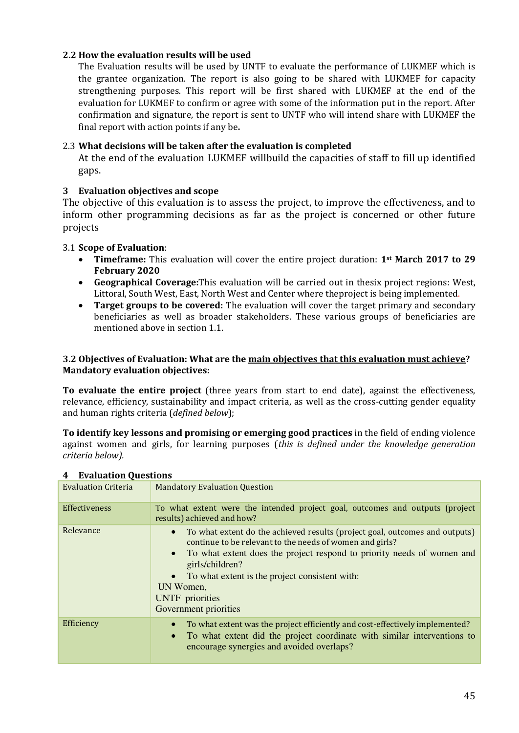#### **2.2 How the evaluation results will be used**

The Evaluation results will be used by UNTF to evaluate the performance of LUKMEF which is the grantee organization. The report is also going to be shared with LUKMEF for capacity strengthening purposes. This report will be first shared with LUKMEF at the end of the evaluation for LUKMEF to confirm or agree with some of the information put in the report. After confirmation and signature, the report is sent to UNTF who will intend share with LUKMEF the final report with action points if any be**.** 

#### 2.3 **What decisions will be taken after the evaluation is completed**

At the end of the evaluation LUKMEF willbuild the capacities of staff to fill up identified gaps.

#### **3 Evaluation objectives and scope**

The objective of this evaluation is to assess the project, to improve the effectiveness, and to inform other programming decisions as far as the project is concerned or other future projects

#### 3.1 **Scope of Evaluation**:

- **Timeframe:** This evaluation will cover the entire project duration: **1st March 2017 to 29 February 2020**
- **Geographical Coverage:**This evaluation will be carried out in thesix project regions: West, Littoral, South West, East, North West and Center where theproject is being implemented.
- **Target groups to be covered:** The evaluation will cover the target primary and secondary beneficiaries as well as broader stakeholders. These various groups of beneficiaries are mentioned above in section 1.1.

#### **3.2 Objectives of Evaluation: What are the main objectives that this evaluation must achieve? Mandatory evaluation objectives:**

**To evaluate the entire project** (three years from start to end date), against the effectiveness, relevance, efficiency, sustainability and impact criteria, as well as the cross-cutting gender equality and human rights criteria (*defined below*);

**To identify key lessons and promising or emerging good practices** in the field of ending violence against women and girls, for learning purposes (*this is defined under the knowledge generation criteria below).*

| <b>Evaluation Criteria</b> | <b>Mandatory Evaluation Question</b>                                                                                                                                                                                                                                                                                                                                                          |
|----------------------------|-----------------------------------------------------------------------------------------------------------------------------------------------------------------------------------------------------------------------------------------------------------------------------------------------------------------------------------------------------------------------------------------------|
| <b>Effectiveness</b>       | To what extent were the intended project goal, outcomes and outputs (project<br>results) achieved and how?                                                                                                                                                                                                                                                                                    |
| Relevance                  | To what extent do the achieved results (project goal, outcomes and outputs)<br>$\bullet$<br>continue to be relevant to the needs of women and girls?<br>To what extent does the project respond to priority needs of women and<br>$\bullet$<br>girls/children?<br>To what extent is the project consistent with:<br>$\bullet$<br>UN Women,<br><b>UNTF</b> priorities<br>Government priorities |
| Efficiency                 | To what extent was the project efficiently and cost-effectively implemented?<br>$\bullet$<br>To what extent did the project coordinate with similar interventions to<br>$\bullet$<br>encourage synergies and avoided overlaps?                                                                                                                                                                |

#### **4 Evaluation Questions**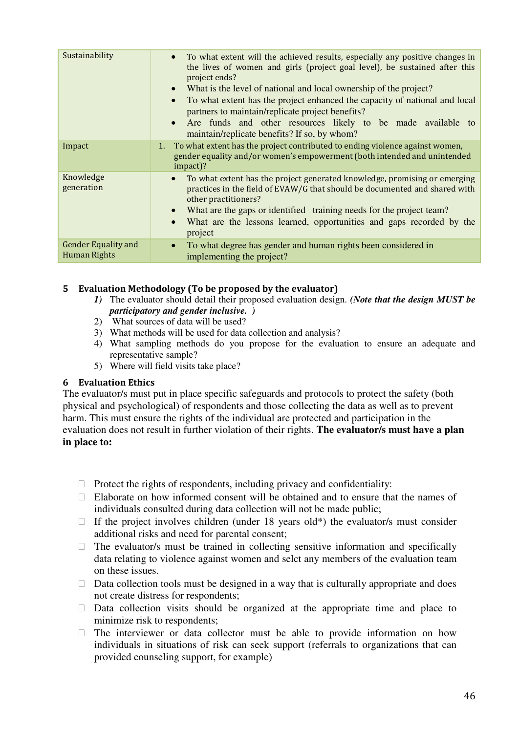| Sustainability                             | To what extent will the achieved results, especially any positive changes in<br>$\bullet$<br>the lives of women and girls (project goal level), be sustained after this<br>project ends?<br>What is the level of national and local ownership of the project?<br>$\bullet$<br>To what extent has the project enhanced the capacity of national and local<br>$\bullet$<br>partners to maintain/replicate project benefits?<br>Are funds and other resources likely to be made available to<br>$\bullet$<br>maintain/replicate benefits? If so, by whom? |
|--------------------------------------------|--------------------------------------------------------------------------------------------------------------------------------------------------------------------------------------------------------------------------------------------------------------------------------------------------------------------------------------------------------------------------------------------------------------------------------------------------------------------------------------------------------------------------------------------------------|
| Impact                                     | To what extent has the project contributed to ending violence against women,<br>1.<br>gender equality and/or women's empowerment (both intended and unintended<br>impact)?                                                                                                                                                                                                                                                                                                                                                                             |
| Knowledge<br>generation                    | To what extent has the project generated knowledge, promising or emerging<br>$\bullet$<br>practices in the field of EVAW/G that should be documented and shared with<br>other practitioners?<br>What are the gaps or identified training needs for the project team?<br>$\bullet$<br>What are the lessons learned, opportunities and gaps recorded by the<br>$\bullet$<br>project                                                                                                                                                                      |
| <b>Gender Equality and</b><br>Human Rights | To what degree has gender and human rights been considered in<br>$\bullet$<br>implementing the project?                                                                                                                                                                                                                                                                                                                                                                                                                                                |

#### **5 Evaluation Methodology (To be proposed by the evaluator)**

- *1)* The evaluator should detail their proposed evaluation design. *(Note that the design MUST be participatory and gender inclusive. )*
- 2) What sources of data will be used?
- 3) What methods will be used for data collection and analysis?
- 4) What sampling methods do you propose for the evaluation to ensure an adequate and representative sample?
- 5) Where will field visits take place?

#### **6 Evaluation Ethics**

The evaluator/s must put in place specific safeguards and protocols to protect the safety (both physical and psychological) of respondents and those collecting the data as well as to prevent harm. This must ensure the rights of the individual are protected and participation in the evaluation does not result in further violation of their rights. **The evaluator/s must have a plan in place to:**

- $\Box$  Protect the rights of respondents, including privacy and confidentiality:
- $\Box$  Elaborate on how informed consent will be obtained and to ensure that the names of individuals consulted during data collection will not be made public;
- $\Box$  If the project involves children (under 18 years old\*) the evaluator/s must consider additional risks and need for parental consent;
- $\Box$  The evaluator/s must be trained in collecting sensitive information and specifically data relating to violence against women and selct any members of the evaluation team on these issues.
- $\Box$  Data collection tools must be designed in a way that is culturally appropriate and does not create distress for respondents;
- $\Box$  Data collection visits should be organized at the appropriate time and place to minimize risk to respondents;
- $\Box$  The interviewer or data collector must be able to provide information on how individuals in situations of risk can seek support (referrals to organizations that can provided counseling support, for example)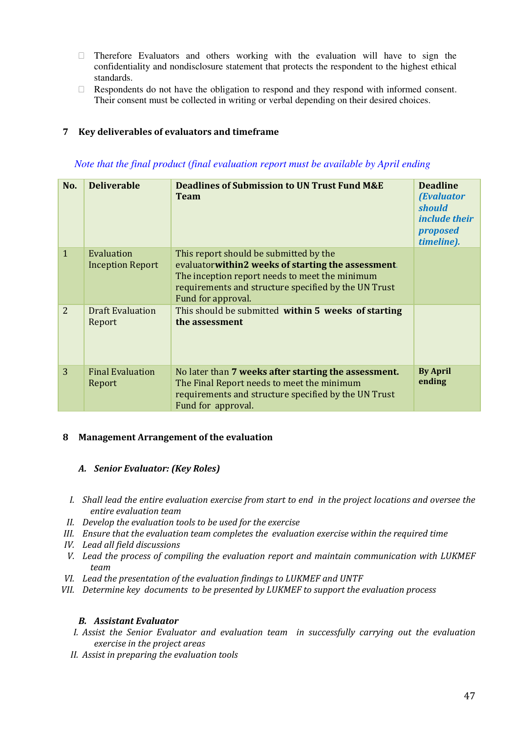- $\Box$  Therefore Evaluators and others working with the evaluation will have to sign the confidentiality and nondisclosure statement that protects the respondent to the highest ethical standards.
- $\Box$  Respondents do not have the obligation to respond and they respond with informed consent. Their consent must be collected in writing or verbal depending on their desired choices.

#### **7 Key deliverables of evaluators and timeframe**

#### *Note that the final product (final evaluation report must be available by April ending*

| No.          | <b>Deliverable</b>                    | <b>Deadlines of Submission to UN Trust Fund M&amp;E</b><br><b>Team</b>                                                                                                                                                         | <b>Deadline</b><br><i><b>(Evaluator)</b></i><br><b>should</b><br><i>include their</i><br><i>proposed</i><br>timeline). |
|--------------|---------------------------------------|--------------------------------------------------------------------------------------------------------------------------------------------------------------------------------------------------------------------------------|------------------------------------------------------------------------------------------------------------------------|
| $\mathbf{1}$ | Evaluation<br><b>Inception Report</b> | This report should be submitted by the<br>evaluator within 2 weeks of starting the assessment.<br>The inception report needs to meet the minimum<br>requirements and structure specified by the UN Trust<br>Fund for approval. |                                                                                                                        |
| 2            | <b>Draft Evaluation</b><br>Report     | This should be submitted within 5 weeks of starting<br>the assessment                                                                                                                                                          |                                                                                                                        |
| 3            | <b>Final Evaluation</b><br>Report     | No later than 7 weeks after starting the assessment.<br>The Final Report needs to meet the minimum<br>requirements and structure specified by the UN Trust<br>Fund for approval.                                               | <b>By April</b><br>ending                                                                                              |

#### **8 Management Arrangement of the evaluation**

#### *A. Senior Evaluator: (Key Roles)*

- *I. Shall lead the entire evaluation exercise from start to end in the project locations and oversee the entire evaluation team*
- *II. Develop the evaluation tools to be used for the exercise*
- *III. Ensure that the evaluation team completes the evaluation exercise within the required time*
- *IV. Lead all field discussions*
- *V. Lead the process of compiling the evaluation report and maintain communication with LUKMEF team*
- *VI. Lead the presentation of the evaluation findings to LUKMEF and UNTF*
- *VII. Determine key documents to be presented by LUKMEF to support the evaluation process*

#### *B. Assistant Evaluator*

- *I. Assist the Senior Evaluator and evaluation team in successfully carrying out the evaluation exercise in the project areas*
- *II. Assist in preparing the evaluation tools*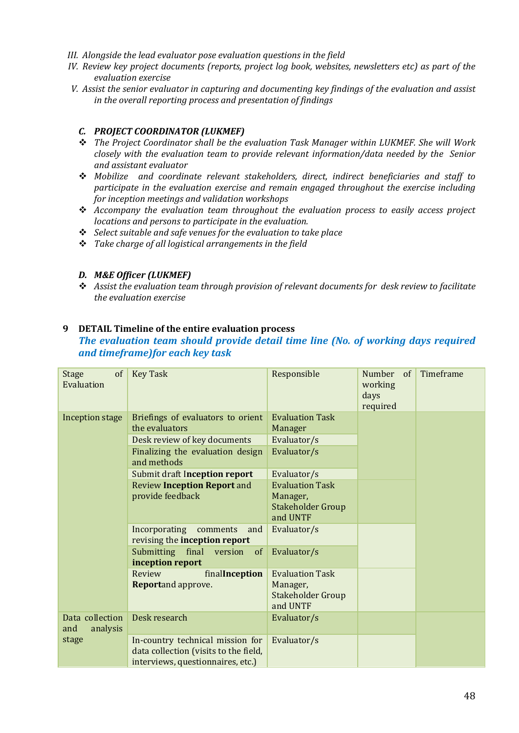- *III. Alongside the lead evaluator pose evaluation questions in the field*
- *IV. Review key project documents (reports, project log book, websites, newsletters etc) as part of the evaluation exercise*
- *V. Assist the senior evaluator in capturing and documenting key findings of the evaluation and assist in the overall reporting process and presentation of findings*

#### *C. PROJECT COORDINATOR (LUKMEF)*

- *The Project Coordinator shall be the evaluation Task Manager within LUKMEF. She will Work closely with the evaluation team to provide relevant information/data needed by the Senior and assistant evaluator*
- *Mobilize and coordinate relevant stakeholders, direct, indirect beneficiaries and staff to participate in the evaluation exercise and remain engaged throughout the exercise including for inception meetings and validation workshops*
- *Accompany the evaluation team throughout the evaluation process to easily access project locations and persons to participate in the evaluation.*
- *Select suitable and safe venues for the evaluation to take place*
- *Take charge of all logistical arrangements in the field*
- *D. M&E Officer (LUKMEF)*
- *Assist the evaluation team through provision of relevant documents for desk review to facilitate the evaluation exercise*

#### **9 DETAIL Timeline of the entire evaluation process**

*The evaluation team should provide detail time line (No. of working days required and timeframe)for each key task* 

| of<br><b>Stage</b><br>Evaluation            | <b>Key Task</b>                                                                                                | Responsible                                                                | Number<br>of<br>working<br>days<br>required | Timeframe |
|---------------------------------------------|----------------------------------------------------------------------------------------------------------------|----------------------------------------------------------------------------|---------------------------------------------|-----------|
| Inception stage                             | Briefings of evaluators to orient<br>the evaluators                                                            | <b>Evaluation Task</b><br>Manager                                          |                                             |           |
|                                             | Desk review of key documents                                                                                   | Evaluator/s                                                                |                                             |           |
|                                             | Finalizing the evaluation design<br>and methods                                                                | Evaluator/s                                                                |                                             |           |
|                                             | Submit draft Inception report                                                                                  | Evaluator/s                                                                |                                             |           |
|                                             | <b>Review Inception Report and</b>                                                                             | <b>Evaluation Task</b>                                                     |                                             |           |
|                                             | provide feedback                                                                                               | Manager,<br><b>Stakeholder Group</b><br>and UNTF                           |                                             |           |
|                                             | Incorporating<br>comments<br>and<br>revising the inception report                                              | Evaluator/s                                                                |                                             |           |
|                                             | Submitting final<br>version<br><sub>of</sub><br>inception report                                               | Evaluator/s                                                                |                                             |           |
|                                             | Review<br>finalInception<br>Reportand approve.                                                                 | <b>Evaluation Task</b><br>Manager,<br><b>Stakeholder Group</b><br>and UNTF |                                             |           |
| Data collection<br>and<br>analysis<br>stage | Desk research                                                                                                  | Evaluator/s                                                                |                                             |           |
|                                             | In-country technical mission for<br>data collection (visits to the field,<br>interviews, questionnaires, etc.) | Evaluator/s                                                                |                                             |           |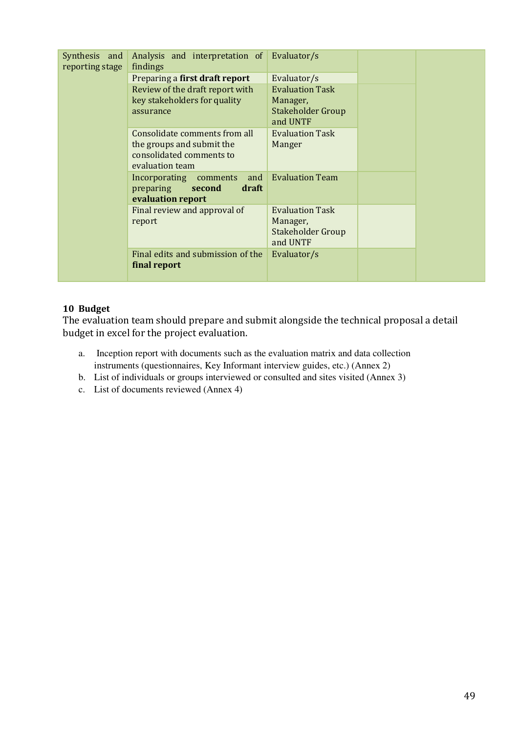| Synthesis and<br>reporting stage | Analysis and interpretation of<br>findings<br>Preparing a first draft report                              | Evaluator/s<br>Evaluator/s                                                 |  |
|----------------------------------|-----------------------------------------------------------------------------------------------------------|----------------------------------------------------------------------------|--|
|                                  | Review of the draft report with<br>key stakeholders for quality<br>assurance                              | <b>Evaluation Task</b><br>Manager,<br><b>Stakeholder Group</b><br>and UNTF |  |
|                                  | Consolidate comments from all<br>the groups and submit the<br>consolidated comments to<br>evaluation team | <b>Evaluation Task</b><br>Manger                                           |  |
|                                  | Incorporating<br>comments and<br>draft<br>preparing<br>second<br>evaluation report                        | <b>Evaluation Team</b>                                                     |  |
|                                  | Final review and approval of<br>report                                                                    | <b>Evaluation Task</b><br>Manager,<br><b>Stakeholder Group</b><br>and UNTF |  |
|                                  | Final edits and submission of the<br>final report                                                         | Evaluator/s                                                                |  |

#### **10 Budget**

The evaluation team should prepare and submit alongside the technical proposal a detail budget in excel for the project evaluation.

- a. Inception report with documents such as the evaluation matrix and data collection instruments (questionnaires, Key Informant interview guides, etc.) (Annex 2)
- b. List of individuals or groups interviewed or consulted and sites visited (Annex 3)
- c. List of documents reviewed (Annex 4)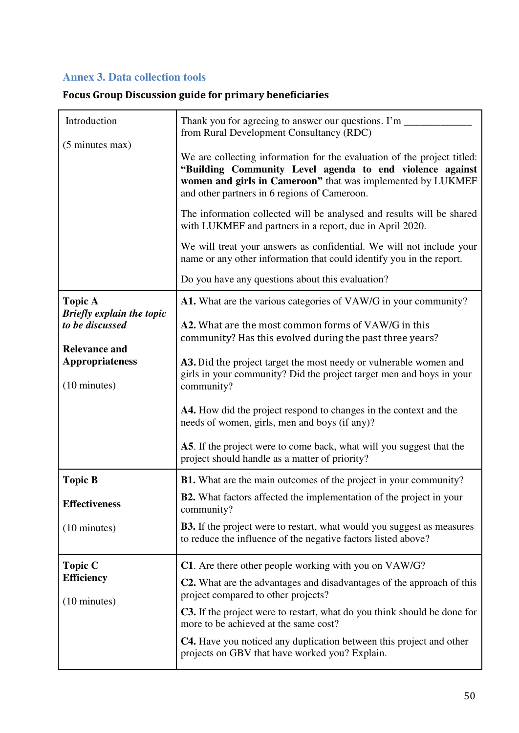## **Annex 3. Data collection tools**

| Introduction                                                                                                                                      | Thank you for agreeing to answer our questions. I'm<br>from Rural Development Consultancy (RDC)                                                                                                                                                                                                                                                                                                                                                                                                                                                                                               |
|---------------------------------------------------------------------------------------------------------------------------------------------------|-----------------------------------------------------------------------------------------------------------------------------------------------------------------------------------------------------------------------------------------------------------------------------------------------------------------------------------------------------------------------------------------------------------------------------------------------------------------------------------------------------------------------------------------------------------------------------------------------|
| $(5 \text{ minutes max})$                                                                                                                         | We are collecting information for the evaluation of the project titled:<br>"Building Community Level agenda to end violence against<br>women and girls in Cameroon" that was implemented by LUKMEF<br>and other partners in 6 regions of Cameroon.                                                                                                                                                                                                                                                                                                                                            |
|                                                                                                                                                   | The information collected will be analysed and results will be shared<br>with LUKMEF and partners in a report, due in April 2020.                                                                                                                                                                                                                                                                                                                                                                                                                                                             |
|                                                                                                                                                   | We will treat your answers as confidential. We will not include your<br>name or any other information that could identify you in the report.                                                                                                                                                                                                                                                                                                                                                                                                                                                  |
|                                                                                                                                                   | Do you have any questions about this evaluation?                                                                                                                                                                                                                                                                                                                                                                                                                                                                                                                                              |
| <b>Topic A</b><br><b>Briefly explain the topic</b><br>to be discussed<br><b>Relevance and</b><br><b>Appropriateness</b><br>$(10 \text{ minutes})$ | A1. What are the various categories of VAW/G in your community?<br>A2. What are the most common forms of VAW/G in this<br>community? Has this evolved during the past three years?<br>A3. Did the project target the most needy or vulnerable women and<br>girls in your community? Did the project target men and boys in your<br>community?<br>A4. How did the project respond to changes in the context and the<br>needs of women, girls, men and boys (if any)?<br>A5. If the project were to come back, what will you suggest that the<br>project should handle as a matter of priority? |
| <b>Topic B</b>                                                                                                                                    | <b>B1.</b> What are the main outcomes of the project in your community?                                                                                                                                                                                                                                                                                                                                                                                                                                                                                                                       |
| <b>Effectiveness</b>                                                                                                                              | <b>B2.</b> What factors affected the implementation of the project in your<br>community?                                                                                                                                                                                                                                                                                                                                                                                                                                                                                                      |
| $(10 \text{ minutes})$                                                                                                                            | <b>B3.</b> If the project were to restart, what would you suggest as measures<br>to reduce the influence of the negative factors listed above?                                                                                                                                                                                                                                                                                                                                                                                                                                                |
| <b>Topic C</b>                                                                                                                                    | C1. Are there other people working with you on VAW/G?                                                                                                                                                                                                                                                                                                                                                                                                                                                                                                                                         |
| <b>Efficiency</b><br>$(10 \text{ minutes})$                                                                                                       | <b>C2.</b> What are the advantages and disadvantages of the approach of this<br>project compared to other projects?                                                                                                                                                                                                                                                                                                                                                                                                                                                                           |
|                                                                                                                                                   | <b>C3.</b> If the project were to restart, what do you think should be done for<br>more to be achieved at the same cost?                                                                                                                                                                                                                                                                                                                                                                                                                                                                      |
|                                                                                                                                                   | <b>C4.</b> Have you noticed any duplication between this project and other<br>projects on GBV that have worked you? Explain.                                                                                                                                                                                                                                                                                                                                                                                                                                                                  |

## **Focus Group Discussion guide for primary beneficiaries**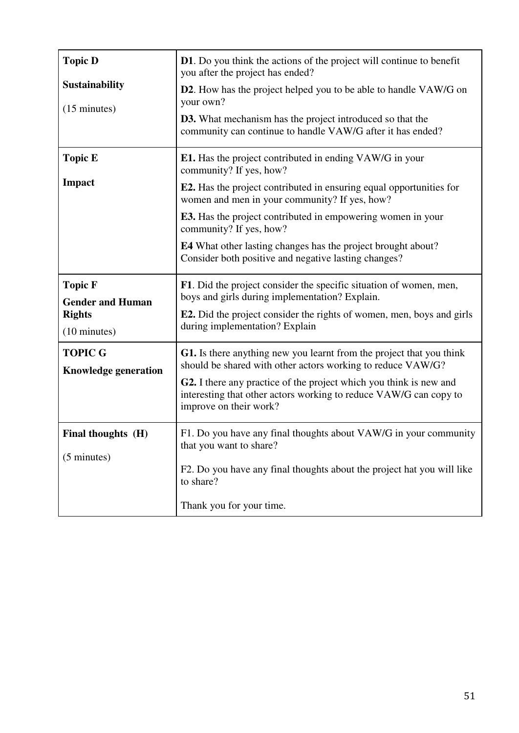| <b>Topic D</b>                                                                                                                        | <b>D1</b> . Do you think the actions of the project will continue to benefit<br>you after the project has ended?<br>D2. How has the project helped you to be able to handle VAW/G on<br>your own?<br><b>D3.</b> What mechanism has the project introduced so that the<br>community can continue to handle VAW/G after it has ended?                                                                                                                                                                                                                |  |
|---------------------------------------------------------------------------------------------------------------------------------------|----------------------------------------------------------------------------------------------------------------------------------------------------------------------------------------------------------------------------------------------------------------------------------------------------------------------------------------------------------------------------------------------------------------------------------------------------------------------------------------------------------------------------------------------------|--|
| <b>Sustainability</b><br>$(15 \text{ minutes})$                                                                                       |                                                                                                                                                                                                                                                                                                                                                                                                                                                                                                                                                    |  |
| <b>Topic E</b><br><b>Impact</b>                                                                                                       | <b>E1.</b> Has the project contributed in ending VAW/G in your<br>community? If yes, how?<br><b>E2.</b> Has the project contributed in ensuring equal opportunities for<br>women and men in your community? If yes, how?<br><b>E3.</b> Has the project contributed in empowering women in your<br>community? If yes, how?<br><b>E4</b> What other lasting changes has the project brought about?<br>Consider both positive and negative lasting changes?                                                                                           |  |
| <b>Topic F</b><br><b>Gender and Human</b><br><b>Rights</b><br>$(10 \text{ minutes})$<br><b>TOPIC G</b><br><b>Knowledge generation</b> | F1. Did the project consider the specific situation of women, men,<br>boys and girls during implementation? Explain.<br>E2. Did the project consider the rights of women, men, boys and girls<br>during implementation? Explain<br>G1. Is there anything new you learnt from the project that you think<br>should be shared with other actors working to reduce VAW/G?<br><b>G2.</b> I there any practice of the project which you think is new and<br>interesting that other actors working to reduce VAW/G can copy to<br>improve on their work? |  |
| Final thoughts (H)<br>(5 minutes)                                                                                                     | F1. Do you have any final thoughts about VAW/G in your community<br>that you want to share?<br>F2. Do you have any final thoughts about the project hat you will like<br>to share?<br>Thank you for your time.                                                                                                                                                                                                                                                                                                                                     |  |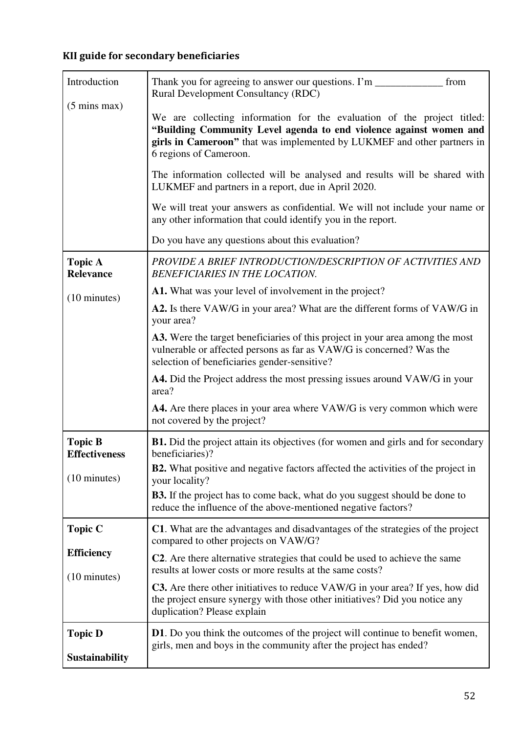## **KII guide for secondary beneficiaries**

| Introduction                                | from<br>Rural Development Consultancy (RDC)                                                                                                                                                                                                        |
|---------------------------------------------|----------------------------------------------------------------------------------------------------------------------------------------------------------------------------------------------------------------------------------------------------|
| $(5 \text{ mins } \text{max})$              | We are collecting information for the evaluation of the project titled:<br>"Building Community Level agenda to end violence against women and<br>girls in Cameroon" that was implemented by LUKMEF and other partners in<br>6 regions of Cameroon. |
|                                             | The information collected will be analysed and results will be shared with<br>LUKMEF and partners in a report, due in April 2020.                                                                                                                  |
|                                             | We will treat your answers as confidential. We will not include your name or<br>any other information that could identify you in the report.                                                                                                       |
|                                             | Do you have any questions about this evaluation?                                                                                                                                                                                                   |
| <b>Topic A</b><br><b>Relevance</b>          | PROVIDE A BRIEF INTRODUCTION/DESCRIPTION OF ACTIVITIES AND<br><b>BENEFICIARIES IN THE LOCATION.</b>                                                                                                                                                |
| $(10 \text{ minutes})$                      | A1. What was your level of involvement in the project?                                                                                                                                                                                             |
|                                             | A2. Is there VAW/G in your area? What are the different forms of VAW/G in<br>your area?                                                                                                                                                            |
|                                             | A3. Were the target beneficiaries of this project in your area among the most<br>vulnerable or affected persons as far as VAW/G is concerned? Was the<br>selection of beneficiaries gender-sensitive?                                              |
|                                             | A4. Did the Project address the most pressing issues around VAW/G in your<br>area?                                                                                                                                                                 |
|                                             | A4. Are there places in your area where VAW/G is very common which were<br>not covered by the project?                                                                                                                                             |
| <b>Topic B</b><br><b>Effectiveness</b>      | <b>B1.</b> Did the project attain its objectives (for women and girls and for secondary<br>beneficiaries)?                                                                                                                                         |
| $(10 \text{ minutes})$                      | <b>B2.</b> What positive and negative factors affected the activities of the project in<br>your locality?                                                                                                                                          |
|                                             | <b>B3.</b> If the project has to come back, what do you suggest should be done to<br>reduce the influence of the above-mentioned negative factors?                                                                                                 |
| <b>Topic C</b>                              | C1. What are the advantages and disadvantages of the strategies of the project<br>compared to other projects on VAW/G?                                                                                                                             |
| <b>Efficiency</b><br>$(10 \text{ minutes})$ | C2. Are there alternative strategies that could be used to achieve the same<br>results at lower costs or more results at the same costs?                                                                                                           |
|                                             | <b>C3.</b> Are there other initiatives to reduce VAW/G in your area? If yes, how did<br>the project ensure synergy with those other initiatives? Did you notice any<br>duplication? Please explain                                                 |
| <b>Topic D</b>                              | <b>D1</b> . Do you think the outcomes of the project will continue to benefit women,                                                                                                                                                               |
| <b>Sustainability</b>                       | girls, men and boys in the community after the project has ended?                                                                                                                                                                                  |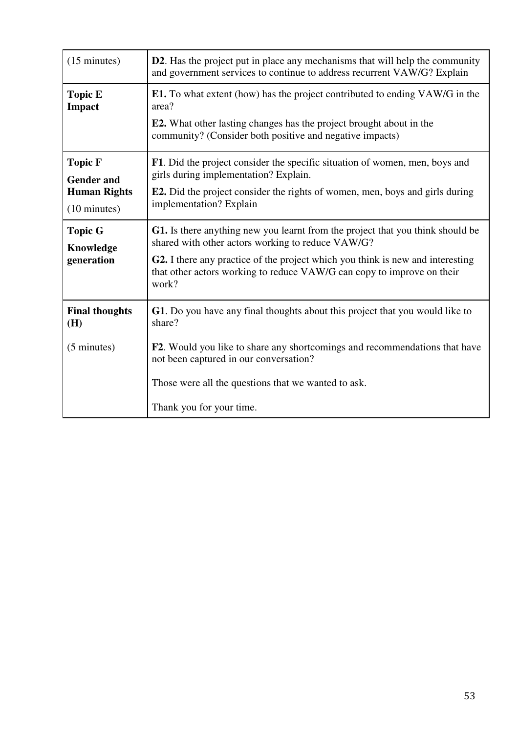| $(15 \text{ minutes})$                                                                                                                                                                                                                                                   | <b>D2.</b> Has the project put in place any mechanisms that will help the community<br>and government services to continue to address recurrent VAW/G? Explain                                                                                                                                           |
|--------------------------------------------------------------------------------------------------------------------------------------------------------------------------------------------------------------------------------------------------------------------------|----------------------------------------------------------------------------------------------------------------------------------------------------------------------------------------------------------------------------------------------------------------------------------------------------------|
| <b>Topic E</b><br><b>E1.</b> To what extent (how) has the project contributed to ending VAW/G in the<br><b>Impact</b><br>area?<br><b>E2.</b> What other lasting changes has the project brought about in the<br>community? (Consider both positive and negative impacts) |                                                                                                                                                                                                                                                                                                          |
| <b>Topic F</b><br><b>Gender and</b><br><b>Human Rights</b><br>$(10 \text{ minutes})$                                                                                                                                                                                     | <b>F1.</b> Did the project consider the specific situation of women, men, boys and<br>girls during implementation? Explain.<br><b>E2.</b> Did the project consider the rights of women, men, boys and girls during<br>implementation? Explain                                                            |
| <b>Topic G</b><br><b>Knowledge</b><br>generation                                                                                                                                                                                                                         | G1. Is there anything new you learnt from the project that you think should be<br>shared with other actors working to reduce VAW/G?<br>G2. I there any practice of the project which you think is new and interesting<br>that other actors working to reduce VAW/G can copy to improve on their<br>work? |
| <b>Final thoughts</b><br>(H)<br>(5 minutes)                                                                                                                                                                                                                              | <b>G1.</b> Do you have any final thoughts about this project that you would like to<br>share?<br><b>F2.</b> Would you like to share any shortcomings and recommendations that have<br>not been captured in our conversation?                                                                             |
|                                                                                                                                                                                                                                                                          | Those were all the questions that we wanted to ask.<br>Thank you for your time.                                                                                                                                                                                                                          |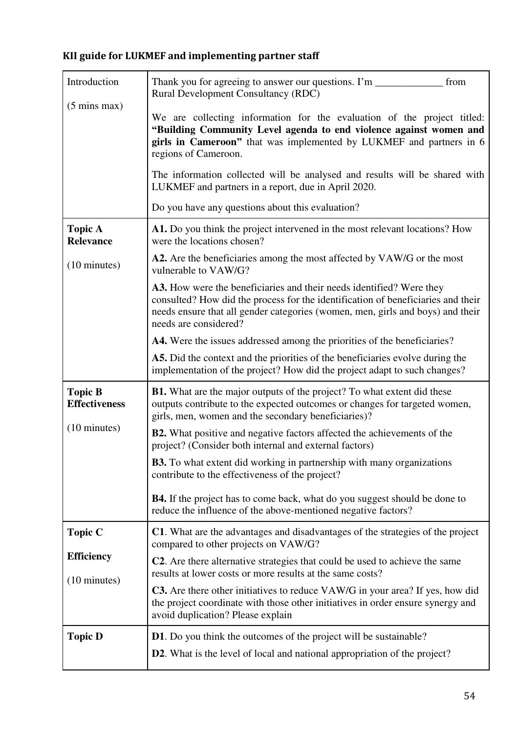## **KII guide for LUKMEF and implementing partner staff**

| Introduction                           | Thank you for agreeing to answer our questions. I'm _____<br>from<br>Rural Development Consultancy (RDC)                                                                                                                                                            |
|----------------------------------------|---------------------------------------------------------------------------------------------------------------------------------------------------------------------------------------------------------------------------------------------------------------------|
| $(5 \text{ mins max})$                 | We are collecting information for the evaluation of the project titled:<br>"Building Community Level agenda to end violence against women and<br>girls in Cameroon" that was implemented by LUKMEF and partners in 6<br>regions of Cameroon.                        |
|                                        | The information collected will be analysed and results will be shared with<br>LUKMEF and partners in a report, due in April 2020.                                                                                                                                   |
|                                        | Do you have any questions about this evaluation?                                                                                                                                                                                                                    |
| <b>Topic A</b><br><b>Relevance</b>     | A1. Do you think the project intervened in the most relevant locations? How<br>were the locations chosen?                                                                                                                                                           |
| $(10 \text{ minutes})$                 | A2. Are the beneficiaries among the most affected by VAW/G or the most<br>vulnerable to VAW/G?                                                                                                                                                                      |
|                                        | A3. How were the beneficiaries and their needs identified? Were they<br>consulted? How did the process for the identification of beneficiaries and their<br>needs ensure that all gender categories (women, men, girls and boys) and their<br>needs are considered? |
|                                        | A4. Were the issues addressed among the priorities of the beneficiaries?                                                                                                                                                                                            |
|                                        | A5. Did the context and the priorities of the beneficiaries evolve during the<br>implementation of the project? How did the project adapt to such changes?                                                                                                          |
| <b>Topic B</b><br><b>Effectiveness</b> | <b>B1.</b> What are the major outputs of the project? To what extent did these<br>outputs contribute to the expected outcomes or changes for targeted women,<br>girls, men, women and the secondary beneficiaries)?                                                 |
| $(10 \text{ minutes})$                 | <b>B2.</b> What positive and negative factors affected the achievements of the<br>project? (Consider both internal and external factors)                                                                                                                            |
|                                        | B3. To what extent did working in partnership with many organizations<br>contribute to the effectiveness of the project?                                                                                                                                            |
|                                        | <b>B4.</b> If the project has to come back, what do you suggest should be done to<br>reduce the influence of the above-mentioned negative factors?                                                                                                                  |
| <b>Topic C</b>                         | <b>C1</b> . What are the advantages and disadvantages of the strategies of the project<br>compared to other projects on VAW/G?                                                                                                                                      |
| <b>Efficiency</b>                      | <b>C2.</b> Are there alternative strategies that could be used to achieve the same                                                                                                                                                                                  |
| $(10 \text{ minutes})$                 | results at lower costs or more results at the same costs?<br>C3. Are there other initiatives to reduce VAW/G in your area? If yes, how did<br>the project coordinate with those other initiatives in order ensure synergy and<br>avoid duplication? Please explain  |
| <b>Topic D</b>                         | <b>D1</b> . Do you think the outcomes of the project will be sustainable?                                                                                                                                                                                           |
|                                        | <b>D2.</b> What is the level of local and national appropriation of the project?                                                                                                                                                                                    |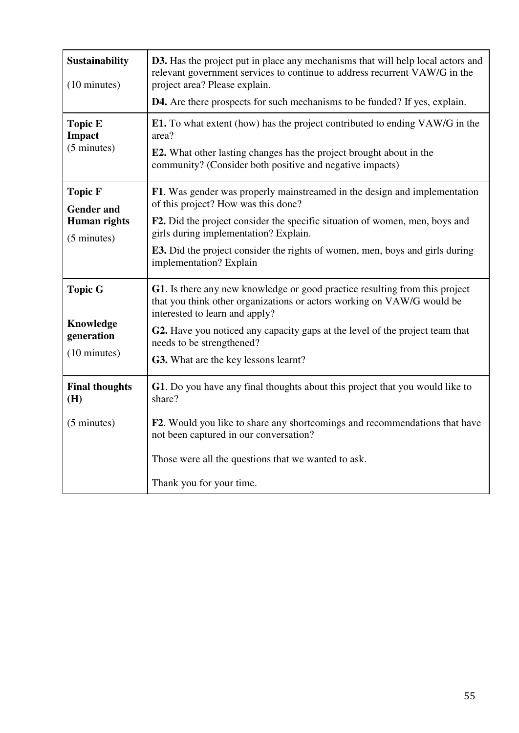| Sustainability<br>(10 minutes)                                                      | D3. Has the project put in place any mechanisms that will help local actors and<br>relevant government services to continue to address recurrent VAW/G in the<br>project area? Please explain.<br><b>D4.</b> Are there prospects for such mechanisms to be funded? If yes, explain.                                                                               |  |
|-------------------------------------------------------------------------------------|-------------------------------------------------------------------------------------------------------------------------------------------------------------------------------------------------------------------------------------------------------------------------------------------------------------------------------------------------------------------|--|
| <b>Topic E</b><br><b>Impact</b><br>(5 minutes)                                      | E1. To what extent (how) has the project contributed to ending VAW/G in the<br>area?<br>E2. What other lasting changes has the project brought about in the<br>community? (Consider both positive and negative impacts)                                                                                                                                           |  |
| <b>Topic F</b><br><b>Gender and</b><br><b>Human</b> rights<br>$(5 \text{ minutes})$ | F1. Was gender was properly mainstreamed in the design and implementation<br>of this project? How was this done?<br><b>F2.</b> Did the project consider the specific situation of women, men, boys and<br>girls during implementation? Explain.<br><b>E3.</b> Did the project consider the rights of women, men, boys and girls during<br>implementation? Explain |  |
| <b>Topic G</b><br><b>Knowledge</b><br>generation<br>$(10 \text{ minutes})$          | G1. Is there any new knowledge or good practice resulting from this project<br>that you think other organizations or actors working on VAW/G would be<br>interested to learn and apply?<br>G2. Have you noticed any capacity gaps at the level of the project team that<br>needs to be strengthened?<br><b>G3.</b> What are the key lessons learnt?               |  |
| <b>Final thoughts</b><br>(H)<br>$(5 \text{ minutes})$                               | <b>G1</b> . Do you have any final thoughts about this project that you would like to<br>share?<br><b>F2.</b> Would you like to share any shortcomings and recommendations that have<br>not been captured in our conversation?<br>Those were all the questions that we wanted to ask.<br>Thank you for your time.                                                  |  |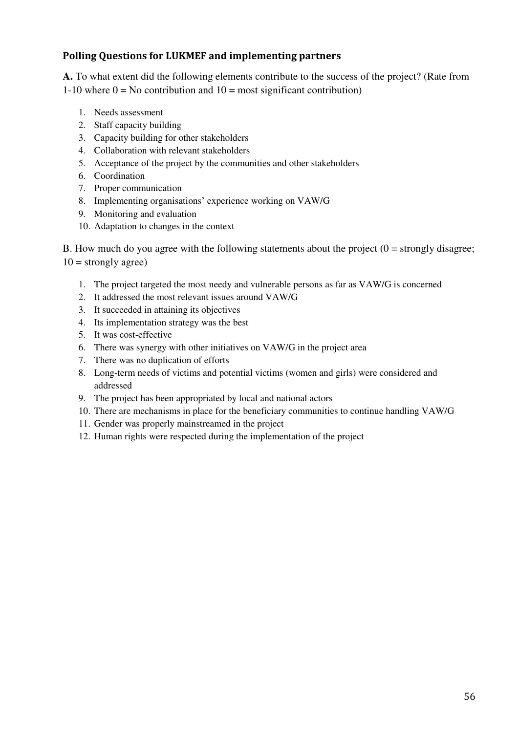#### **Polling Questions for LUKMEF and implementing partners**

**A.** To what extent did the following elements contribute to the success of the project? (Rate from 1-10 where  $0 = No$  contribution and  $10 = most$  significant contribution)

- 1. Needs assessment
- 2. Staff capacity building
- 3. Capacity building for other stakeholders
- 4. Collaboration with relevant stakeholders
- 5. Acceptance of the project by the communities and other stakeholders
- 6. Coordination
- 7. Proper communication
- 8. Implementing organisations' experience working on VAW/G
- 9. Monitoring and evaluation
- 10. Adaptation to changes in the context

B. How much do you agree with the following statements about the project  $(0 =$  strongly disagree;  $10 =$  strongly agree)

- 1. The project targeted the most needy and vulnerable persons as far as VAW/G is concerned
- 2. It addressed the most relevant issues around VAW/G
- 3. It succeeded in attaining its objectives
- 4. Its implementation strategy was the best
- 5. It was cost-effective
- 6. There was synergy with other initiatives on VAW/G in the project area
- 7. There was no duplication of efforts
- 8. Long-term needs of victims and potential victims (women and girls) were considered and addressed
- 9. The project has been appropriated by local and national actors
- 10. There are mechanisms in place for the beneficiary communities to continue handling VAW/G
- 11. Gender was properly mainstreamed in the project
- 12. Human rights were respected during the implementation of the project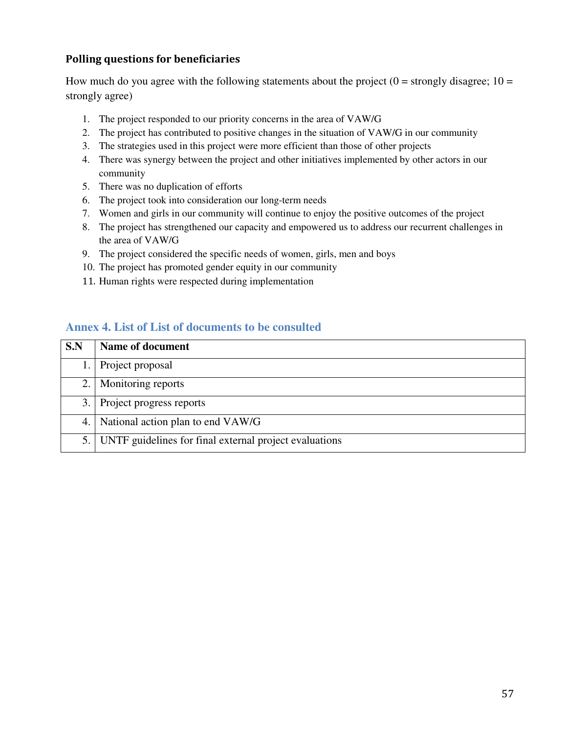#### **Polling questions for beneficiaries**

How much do you agree with the following statements about the project  $(0 =$  strongly disagree;  $10 =$ strongly agree)

- 1. The project responded to our priority concerns in the area of VAW/G
- 2. The project has contributed to positive changes in the situation of VAW/G in our community
- 3. The strategies used in this project were more efficient than those of other projects
- 4. There was synergy between the project and other initiatives implemented by other actors in our community
- 5. There was no duplication of efforts
- 6. The project took into consideration our long-term needs
- 7. Women and girls in our community will continue to enjoy the positive outcomes of the project
- 8. The project has strengthened our capacity and empowered us to address our recurrent challenges in the area of VAW/G
- 9. The project considered the specific needs of women, girls, men and boys
- 10. The project has promoted gender equity in our community
- 11. Human rights were respected during implementation

#### **Annex 4. List of List of documents to be consulted**

| S.N | Name of document                                       |
|-----|--------------------------------------------------------|
|     | Project proposal                                       |
| 2.  | Monitoring reports                                     |
| 3.1 | Project progress reports                               |
| 4.  | National action plan to end VAW/G                      |
| 5.1 | UNTF guidelines for final external project evaluations |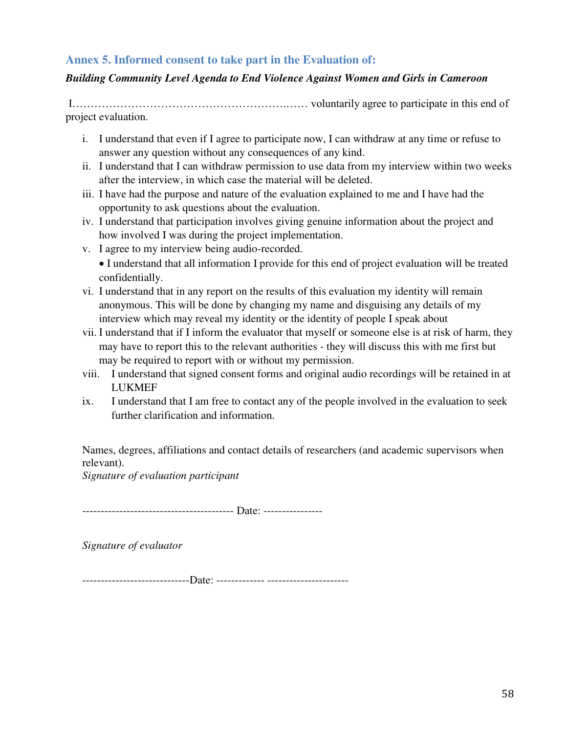#### **Annex 5. Informed consent to take part in the Evaluation of:**

#### *Building Community Level Agenda to End Violence Against Women and Girls in Cameroon*

I………………………………………………….…… voluntarily agree to participate in this end of project evaluation.

- i. I understand that even if I agree to participate now, I can withdraw at any time or refuse to answer any question without any consequences of any kind.
- ii. I understand that I can withdraw permission to use data from my interview within two weeks after the interview, in which case the material will be deleted.
- iii. I have had the purpose and nature of the evaluation explained to me and I have had the opportunity to ask questions about the evaluation.
- iv. I understand that participation involves giving genuine information about the project and how involved I was during the project implementation.
- v. I agree to my interview being audio-recorded.

 I understand that all information I provide for this end of project evaluation will be treated confidentially.

- vi. I understand that in any report on the results of this evaluation my identity will remain anonymous. This will be done by changing my name and disguising any details of my interview which may reveal my identity or the identity of people I speak about
- vii. I understand that if I inform the evaluator that myself or someone else is at risk of harm, they may have to report this to the relevant authorities - they will discuss this with me first but may be required to report with or without my permission.
- viii. I understand that signed consent forms and original audio recordings will be retained in at LUKMEF
- ix. I understand that I am free to contact any of the people involved in the evaluation to seek further clarification and information.

Names, degrees, affiliations and contact details of researchers (and academic supervisors when relevant).

*Signature of evaluation participant* 

----------------------------------------- Date: ----------------

*Signature of evaluator* 

-----------------------------Date: ------------- ----------------------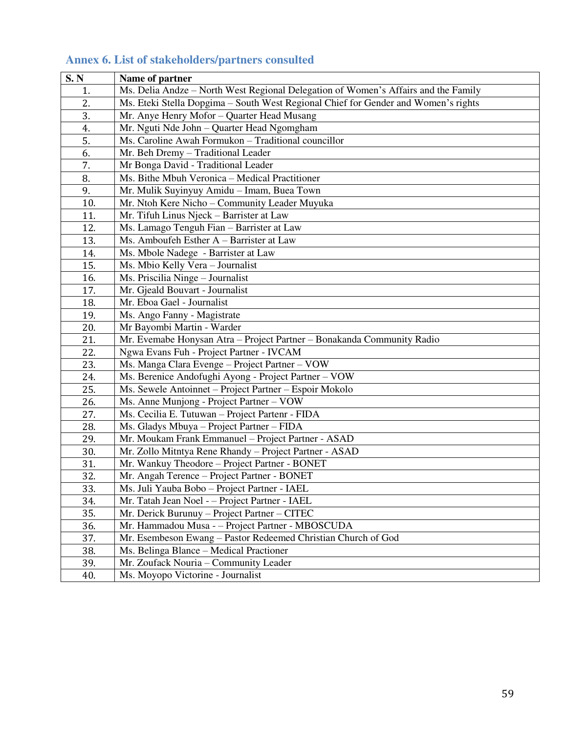| S. N | Name of partner                                                                    |
|------|------------------------------------------------------------------------------------|
| 1.   | Ms. Delia Andze - North West Regional Delegation of Women's Affairs and the Family |
| 2.   | Ms. Eteki Stella Dopgima - South West Regional Chief for Gender and Women's rights |
| 3.   | Mr. Anye Henry Mofor - Quarter Head Musang                                         |
| 4.   | Mr. Nguti Nde John - Quarter Head Ngomgham                                         |
| 5.   | Ms. Caroline Awah Formukon - Traditional councillor                                |
| 6.   | Mr. Beh Dremy - Traditional Leader                                                 |
| 7.   | Mr Bonga David - Traditional Leader                                                |
| 8.   | Ms. Bithe Mbuh Veronica - Medical Practitioner                                     |
| 9.   | Mr. Mulik Suyinyuy Amidu - Imam, Buea Town                                         |
| 10.  | Mr. Ntoh Kere Nicho - Community Leader Muyuka                                      |
| 11.  | Mr. Tifuh Linus Njeck - Barrister at Law                                           |
| 12.  | Ms. Lamago Tenguh Fian - Barrister at Law                                          |
| 13.  | Ms. Amboufeh Esther A - Barrister at Law                                           |
| 14.  | Ms. Mbole Nadege - Barrister at Law                                                |
| 15.  | Ms. Mbio Kelly Vera - Journalist                                                   |
| 16.  | Ms. Priscilia Ninge - Journalist                                                   |
| 17.  | Mr. Gjeald Bouvart - Journalist                                                    |
| 18.  | Mr. Eboa Gael - Journalist                                                         |
| 19.  | Ms. Ango Fanny - Magistrate                                                        |
| 20.  | Mr Bayombi Martin - Warder                                                         |
| 21.  | Mr. Evemabe Honysan Atra - Project Partner - Bonakanda Community Radio             |
| 22.  | Ngwa Evans Fuh - Project Partner - IVCAM                                           |
| 23.  | Ms. Manga Clara Evenge - Project Partner - VOW                                     |
| 24.  | Ms. Berenice Andofughi Ayong - Project Partner - VOW                               |
| 25.  | Ms. Sewele Antoinnet - Project Partner - Espoir Mokolo                             |
| 26.  | Ms. Anne Munjong - Project Partner - VOW                                           |
| 27.  | Ms. Cecilia E. Tutuwan - Project Partenr - FIDA                                    |
| 28.  | Ms. Gladys Mbuya - Project Partner - FIDA                                          |
| 29.  | Mr. Moukam Frank Emmanuel - Project Partner - ASAD                                 |
| 30.  | Mr. Zollo Mitntya Rene Rhandy - Project Partner - ASAD                             |
| 31.  | Mr. Wankuy Theodore - Project Partner - BONET                                      |
| 32.  | Mr. Angah Terence - Project Partner - BONET                                        |
| 33.  | Ms. Juli Yauba Bobo - Project Partner - IAEL                                       |
| 34.  | Mr. Tatah Jean Noel - - Project Partner - IAEL                                     |
| 35.  | Mr. Derick Burunuy - Project Partner - CITEC                                       |
| 36.  | Mr. Hammadou Musa - - Project Partner - MBOSCUDA                                   |
| 37.  | Mr. Esembeson Ewang - Pastor Redeemed Christian Church of God                      |
| 38.  | Ms. Belinga Blance - Medical Practioner                                            |
| 39.  | Mr. Zoufack Nouria - Community Leader                                              |
| 40.  | Ms. Moyopo Victorine - Journalist                                                  |

## **Annex 6. List of stakeholders/partners consulted**